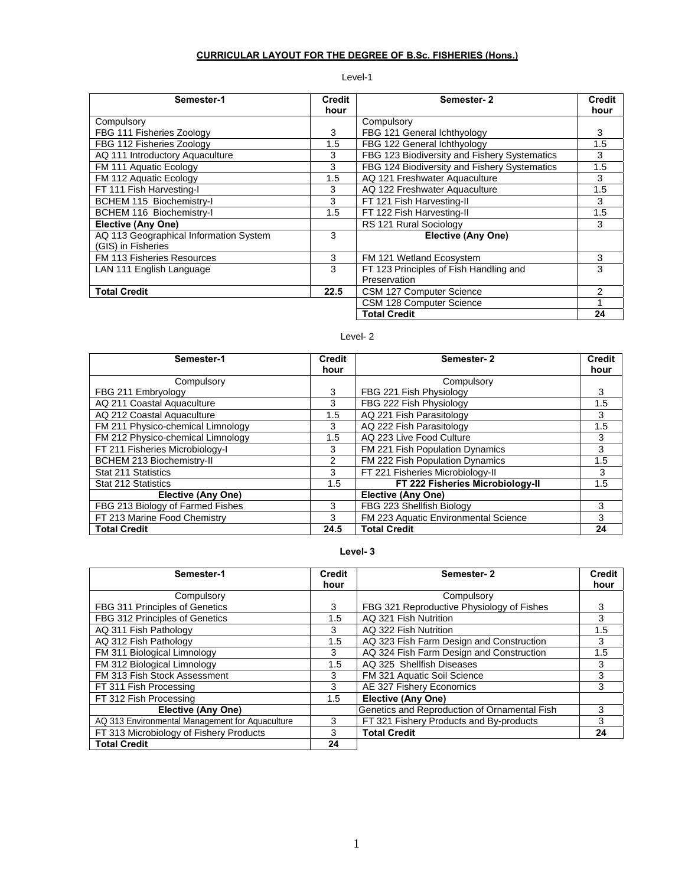# **CURRICULAR LAYOUT FOR THE DEGREE OF B.Sc. FISHERIES (Hons.)**

# Level-1

| Semester-1                             | <b>Credit</b> | Semester-2                                   | <b>Credit</b> |
|----------------------------------------|---------------|----------------------------------------------|---------------|
|                                        | hour          |                                              | hour          |
| Compulsory                             |               | Compulsory                                   |               |
| FBG 111 Fisheries Zoology              | 3             | FBG 121 General Ichthyology                  | 3             |
| FBG 112 Fisheries Zoology              | 1.5           | FBG 122 General Ichthyology                  | 1.5           |
| AQ 111 Introductory Aquaculture        | 3             | FBG 123 Biodiversity and Fishery Systematics | 3             |
| FM 111 Aquatic Ecology                 | 3             | FBG 124 Biodiversity and Fishery Systematics | 1.5           |
| FM 112 Aquatic Ecology                 | 1.5           | AQ 121 Freshwater Aquaculture                | 3             |
| FT 111 Fish Harvesting-I               | 3             | AQ 122 Freshwater Aquaculture                | 1.5           |
| BCHEM 115 Biochemistry-I               | 3             | FT 121 Fish Harvesting-II                    | 3             |
| BCHEM 116 Biochemistry-I               | 1.5           | FT 122 Fish Harvesting-II                    | 1.5           |
| <b>Elective (Any One)</b>              |               | RS 121 Rural Sociology                       | 3             |
| AQ 113 Geographical Information System | 3             | Elective (Any One)                           |               |
| (GIS) in Fisheries                     |               |                                              |               |
| FM 113 Fisheries Resources             | 3             | FM 121 Wetland Ecosystem                     | 3             |
| LAN 111 English Language               | 3             | FT 123 Principles of Fish Handling and       | 3             |
|                                        |               | Preservation                                 |               |
| <b>Total Credit</b>                    | 22.5          | CSM 127 Computer Science                     | 2             |
|                                        |               | CSM 128 Computer Science                     |               |
|                                        |               | <b>Total Credit</b>                          | 24            |

# Level- 2

| Semester-1                        | Credit<br>hour | Semester-2                           | <b>Credit</b><br>hour |
|-----------------------------------|----------------|--------------------------------------|-----------------------|
| Compulsory                        |                | Compulsory                           |                       |
| FBG 211 Embryology                | 3              | FBG 221 Fish Physiology              | 3                     |
| AQ 211 Coastal Aquaculture        | 3              | FBG 222 Fish Physiology              | 1.5                   |
| AQ 212 Coastal Aquaculture        | 1.5            | AQ 221 Fish Parasitology             | 3                     |
| FM 211 Physico-chemical Limnology | 3              | AQ 222 Fish Parasitology             | 1.5                   |
| FM 212 Physico-chemical Limnology | 1.5            | AQ 223 Live Food Culture             | 3                     |
| FT 211 Fisheries Microbiology-I   | 3              | FM 221 Fish Population Dynamics      | 3                     |
| BCHEM 213 Biochemistry-II         | $\mathcal{P}$  | FM 222 Fish Population Dynamics      | 1.5                   |
| Stat 211 Statistics               | 3              | FT 221 Fisheries Microbiology-II     | 3                     |
| Stat 212 Statistics               | 1.5            | FT 222 Fisheries Microbiology-II     | 1.5                   |
| Elective (Any One)                |                | Elective (Any One)                   |                       |
| FBG 213 Biology of Farmed Fishes  | 3              | FBG 223 Shellfish Biology            | 3                     |
| FT 213 Marine Food Chemistry      | 3              | FM 223 Aquatic Environmental Science | 3                     |
| <b>Total Credit</b>               | 24.5           | <b>Total Credit</b>                  | 24                    |

# **Level- 3**

| Semester-1                                      | <b>Credit</b><br>hour | Semester-2                                   | <b>Credit</b><br>hour |
|-------------------------------------------------|-----------------------|----------------------------------------------|-----------------------|
| Compulsory                                      |                       | Compulsory                                   |                       |
| FBG 311 Principles of Genetics                  | 3                     | FBG 321 Reproductive Physiology of Fishes    | 3                     |
| FBG 312 Principles of Genetics                  | 1.5                   | AQ 321 Fish Nutrition                        | 3                     |
| AQ 311 Fish Pathology                           | 3                     | AQ 322 Fish Nutrition                        | 1.5                   |
| AQ 312 Fish Pathology                           | 1.5                   | AQ 323 Fish Farm Design and Construction     | 3                     |
| FM 311 Biological Limnology                     | 3                     | AQ 324 Fish Farm Design and Construction     | 1.5                   |
| FM 312 Biological Limnology                     | 1.5                   | AQ 325 Shellfish Diseases                    | 3                     |
| FM 313 Fish Stock Assessment                    | 3                     | FM 321 Aquatic Soil Science                  | 3                     |
| FT 311 Fish Processing                          | 3                     | AE 327 Fishery Economics                     | 3                     |
| FT 312 Fish Processing                          | 1.5                   | <b>Elective (Any One)</b>                    |                       |
| Elective (Any One)                              |                       | Genetics and Reproduction of Ornamental Fish | 3                     |
| AQ 313 Environmental Management for Aquaculture | 3                     | FT 321 Fishery Products and By-products      | 3                     |
| FT 313 Microbiology of Fishery Products         | 3                     | <b>Total Credit</b>                          | 24                    |
| <b>Total Credit</b>                             | 24                    |                                              |                       |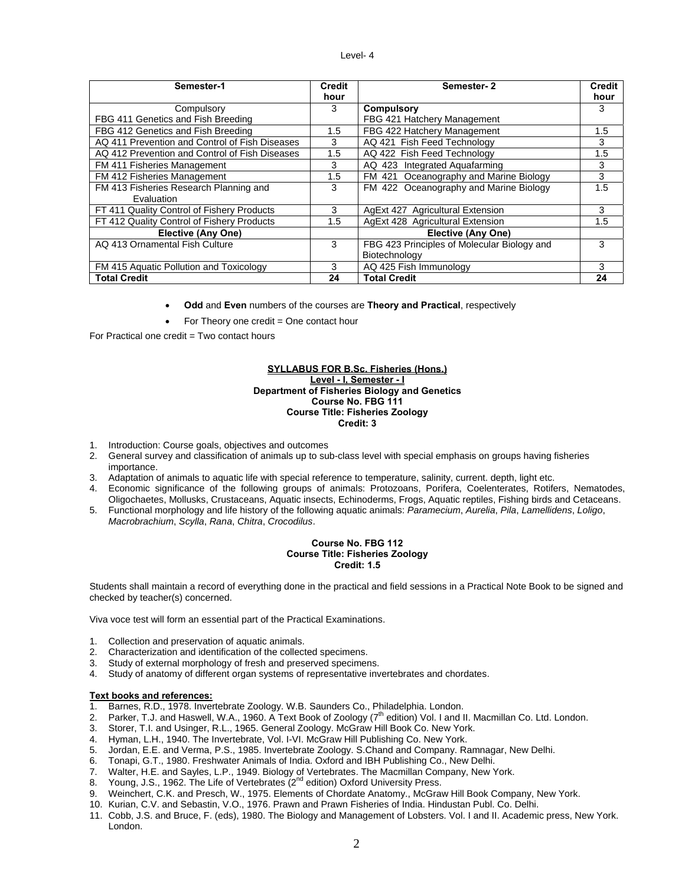#### Level- 4

| Semester-1                                     | <b>Credit</b> | Semester-2                                  | <b>Credit</b> |
|------------------------------------------------|---------------|---------------------------------------------|---------------|
|                                                | hour          |                                             | hour          |
| Compulsory                                     | 3             | <b>Compulsory</b>                           | 3             |
| FBG 411 Genetics and Fish Breeding             |               | FBG 421 Hatchery Management                 |               |
| FBG 412 Genetics and Fish Breeding             | 1.5           | FBG 422 Hatchery Management                 | 1.5           |
| AQ 411 Prevention and Control of Fish Diseases | 3             | AQ 421 Fish Feed Technology                 | 3             |
| AQ 412 Prevention and Control of Fish Diseases | 1.5           | AQ 422 Fish Feed Technology                 | 1.5           |
| FM 411 Fisheries Management                    | 3             | AQ 423 Integrated Aguafarming               | 3             |
| FM 412 Fisheries Management                    | 1.5           | FM 421 Oceanography and Marine Biology      | 3             |
| FM 413 Fisheries Research Planning and         | 3             | FM 422 Oceanography and Marine Biology      | 1.5           |
| Evaluation                                     |               |                                             |               |
| FT 411 Quality Control of Fishery Products     | 3             | AgExt 427 Agricultural Extension            | 3             |
| FT 412 Quality Control of Fishery Products     | 1.5           | AgExt 428 Agricultural Extension            | 1.5           |
| Elective (Any One)                             |               | Elective (Any One)                          |               |
| AQ 413 Ornamental Fish Culture                 | 3             | FBG 423 Principles of Molecular Biology and | 3             |
|                                                |               | Biotechnology                               |               |
| FM 415 Aquatic Pollution and Toxicology        | 3             | AQ 425 Fish Immunology                      | 3             |
| <b>Total Credit</b>                            | 24            | <b>Total Credit</b>                         | 24            |

- **Odd** and **Even** numbers of the courses are **Theory and Practical**, respectively
- For Theory one credit  $=$  One contact hour

For Practical one credit = Two contact hours

#### **SYLLABUS FOR B.Sc. Fisheries (Hons.) Level - I, Semester - I Department of Fisheries Biology and Genetics Course No. FBG 111 Course Title: Fisheries Zoology Credit: 3**

- 1. Introduction: Course goals, objectives and outcomes
- 2. General survey and classification of animals up to sub-class level with special emphasis on groups having fisheries importance.
- 3. Adaptation of animals to aquatic life with special reference to temperature, salinity, current. depth, light etc.
- 4. Economic significance of the following groups of animals: Protozoans, Porifera, Coelenterates, Rotifers, Nematodes, Oligochaetes, Mollusks, Crustaceans, Aquatic insects, Echinoderms, Frogs, Aquatic reptiles, Fishing birds and Cetaceans.
- 5. Functional morphology and life history of the following aquatic animals: *Paramecium*, *Aurelia*, *Pila*, *Lamellidens*, *Loligo*, *Macrobrachium*, *Scylla*, *Rana*, *Chitra*, *Crocodilus*.

#### **Course No. FBG 112 Course Title: Fisheries Zoology Credit: 1.5**

Students shall maintain a record of everything done in the practical and field sessions in a Practical Note Book to be signed and checked by teacher(s) concerned.

Viva voce test will form an essential part of the Practical Examinations.

- 1. Collection and preservation of aquatic animals.
- 
- 2. Characterization and identification of the collected specimens.<br>3. Study of external morphology of fresh and preserved specimer Study of external morphology of fresh and preserved specimens.
- 4. Study of anatomy of different organ systems of representative invertebrates and chordates.

- 1. Barnes, R.D., 1978. Invertebrate Zoology. W.B. Saunders Co., Philadelphia. London.
- 2. Parker, T.J. and Haswell, W.A., 1960. A Text Book of Zoology (7<sup>th</sup> edition) Vol. I and II. Macmillan Co. Ltd. London.
- 3. Storer, T.I. and Usinger, R.L., 1965. General Zoology. McGraw Hill Book Co. New York.
- Hyman, L.H., 1940. The Invertebrate, Vol. I-VI. McGraw Hill Publishing Co. New York.
- 5. Jordan, E.E. and Verma, P.S., 1985. Invertebrate Zoology. S.Chand and Company. Ramnagar, New Delhi.
- 6. Tonapi, G.T., 1980. Freshwater Animals of India. Oxford and IBH Publishing Co., New Delhi.
- 7. Walter, H.E. and Sayles, L.P., 1949. Biology of Vertebrates. The Macmillan Company, New York.
- 8. Young, J.S., 1962. The Life of Vertebrates (2<sup>nd</sup> edition) Oxford University Press.
- 9. Weinchert, C.K. and Presch, W., 1975. Elements of Chordate Anatomy., McGraw Hill Book Company, New York.
- 10. Kurian, C.V. and Sebastin, V.O., 1976. Prawn and Prawn Fisheries of India. Hindustan Publ. Co. Delhi.
- 11. Cobb, J.S. and Bruce, F. (eds), 1980. The Biology and Management of Lobsters. Vol. I and II. Academic press, New York. London.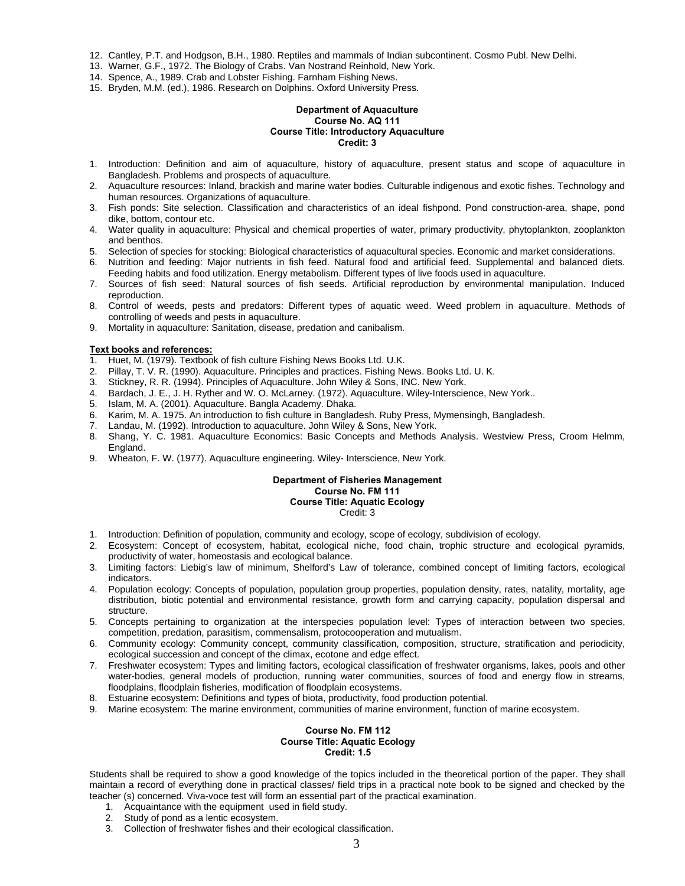- 12. Cantley, P.T. and Hodgson, B.H., 1980. Reptiles and mammals of Indian subcontinent. Cosmo Publ. New Delhi.
- 13. Warner, G.F., 1972. The Biology of Crabs. Van Nostrand Reinhold, New York.
- 14. Spence, A., 1989. Crab and Lobster Fishing. Farnham Fishing News.
- 15. Bryden, M.M. (ed.), 1986. Research on Dolphins. Oxford University Press.

### **Department of Aquaculture Course No. AQ 111 Course Title: Introductory Aquaculture Credit: 3**

- 1. Introduction: Definition and aim of aquaculture, history of aquaculture, present status and scope of aquaculture in Bangladesh. Problems and prospects of aquaculture.
- 2. Aquaculture resources: Inland, brackish and marine water bodies. Culturable indigenous and exotic fishes. Technology and human resources. Organizations of aquaculture.
- 3. Fish ponds: Site selection. Classification and characteristics of an ideal fishpond. Pond construction-area, shape, pond dike, bottom, contour etc.
- 4. Water quality in aquaculture: Physical and chemical properties of water, primary productivity, phytoplankton, zooplankton and benthos.
- 5. Selection of species for stocking: Biological characteristics of aquacultural species. Economic and market considerations.
- 6. Nutrition and feeding: Major nutrients in fish feed. Natural food and artificial feed. Supplemental and balanced diets. Feeding habits and food utilization. Energy metabolism. Different types of live foods used in aquaculture.
- 7. Sources of fish seed: Natural sources of fish seeds. Artificial reproduction by environmental manipulation. Induced reproduction.
- 8. Control of weeds, pests and predators: Different types of aquatic weed. Weed problem in aquaculture. Methods of controlling of weeds and pests in aquaculture.
- 9. Mortality in aquaculture: Sanitation, disease, predation and canibalism.

# **Text books and references:**

- 1. Huet, M. (1979). Textbook of fish culture Fishing News Books Ltd. U.K.
- 2. Pillay, T. V. R. (1990). Aquaculture. Principles and practices. Fishing News. Books Ltd. U. K.
- 3. Stickney, R. R. (1994). Principles of Aquaculture. John Wiley & Sons, INC. New York.
- 4. Bardach, J. E., J. H. Ryther and W. O. McLarney. (1972). Aquaculture. Wiley-Interscience, New York..
- 5. Islam, M. A. (2001). Aquaculture. Bangla Academy. Dhaka.
- 6. Karim, M. A. 1975. An introduction to fish culture in Bangladesh. Ruby Press, Mymensingh, Bangladesh.
- 7. Landau, M. (1992). Introduction to aquaculture. John Wiley & Sons, New York.
- 8. Shang, Y. C. 1981. Aquaculture Economics: Basic Concepts and Methods Analysis. Westview Press, Croom Helmm, England.
- 9. Wheaton, F. W. (1977). Aquaculture engineering. Wiley- Interscience, New York.

#### **Department of Fisheries Management Course No. FM 111 Course Title: Aquatic Ecology**  Credit: 3

- 1. Introduction: Definition of population, community and ecology, scope of ecology, subdivision of ecology.
- 2. Ecosystem: Concept of ecosystem, habitat, ecological niche, food chain, trophic structure and ecological pyramids, productivity of water, homeostasis and ecological balance.
- 3. Limiting factors: Liebig's law of minimum, Shelford's Law of tolerance, combined concept of limiting factors, ecological indicators.
- 4. Population ecology: Concepts of population, population group properties, population density, rates, natality, mortality, age distribution, biotic potential and environmental resistance, growth form and carrying capacity, population dispersal and structure.
- 5. Concepts pertaining to organization at the interspecies population level: Types of interaction between two species, competition, predation, parasitism, commensalism, protocooperation and mutualism.
- 6. Community ecology: Community concept, community classification, composition, structure, stratification and periodicity, ecological succession and concept of the climax, ecotone and edge effect.
- 7. Freshwater ecosystem: Types and limiting factors, ecological classification of freshwater organisms, lakes, pools and other water-bodies, general models of production, running water communities, sources of food and energy flow in streams, floodplains, floodplain fisheries, modification of floodplain ecosystems.
- 8. Estuarine ecosystem: Definitions and types of biota, productivity, food production potential.
- 9. Marine ecosystem: The marine environment, communities of marine environment, function of marine ecosystem.

#### **Course No. FM 112 Course Title: Aquatic Ecology Credit: 1.5**

Students shall be required to show a good knowledge of the topics included in the theoretical portion of the paper. They shall maintain a record of everything done in practical classes/ field trips in a practical note book to be signed and checked by the teacher (s) concerned. Viva-voce test will form an essential part of the practical examination.

- 1. Acquaintance with the equipment used in field study.
- 2. Study of pond as a lentic ecosystem.
- 3. Collection of freshwater fishes and their ecological classification.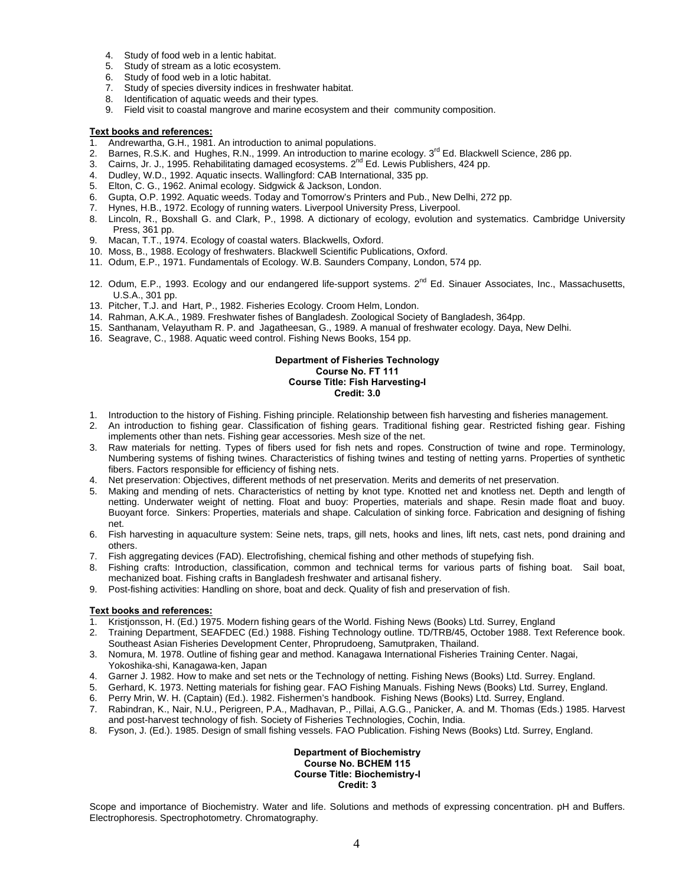- 4. Study of food web in a lentic habitat.
- 
- Study of food web in a lotic habitat.
- 5. Study of stream as a lotic ecosystem.<br>6. Study of food web in a lotic habitat.<br>7. Study of species diversity indices in fr Study of species diversity indices in freshwater habitat.
- 8. Identification of aquatic weeds and their types.
- 9. Field visit to coastal mangrove and marine ecosystem and their community composition.

- 1. Andrewartha, G.H., 1981. An introduction to animal populations.
- 2. Barnes, R.S.K. and Hughes, R.N., 1999. An introduction to marine ecology. 3<sup>rd</sup> Ed. Blackwell Science, 286 pp.
- 3. Cairns, Jr. J., 1995. Rehabilitating damaged ecosystems. 2<sup>nd</sup> Ed. Lewis Publishers, 424 pp.
- 4. Dudley, W.D., 1992. Aquatic insects. Wallingford: CAB International, 335 pp.
- 5. Elton, C. G., 1962. Animal ecology. Sidgwick & Jackson, London.
- 6. Gupta, O.P. 1992. Aquatic weeds. Today and Tomorrow's Printers and Pub., New Delhi, 272 pp.
- 7. Hynes, H.B., 1972. Ecology of running waters. Liverpool University Press, Liverpool.
- 8. Lincoln, R., Boxshall G. and Clark, P., 1998. A dictionary of ecology, evolution and systematics. Cambridge University Press, 361 pp.
- 9. Macan, T.T., 1974. Ecology of coastal waters. Blackwells, Oxford.
- 10. Moss, B., 1988. Ecology of freshwaters. Blackwell Scientific Publications, Oxford.
- 11. Odum, E.P., 1971. Fundamentals of Ecology. W.B. Saunders Company, London, 574 pp.
- 12. Odum, E.P., 1993. Ecology and our endangered life-support systems. 2<sup>nd</sup> Ed. Sinauer Associates, Inc., Massachusetts, U.S.A., 301 pp.
- 13. Pitcher, T.J. and Hart, P., 1982. Fisheries Ecology. Croom Helm, London.
- 14. Rahman, A.K.A., 1989. Freshwater fishes of Bangladesh. Zoological Society of Bangladesh, 364pp.
- 15. Santhanam, Velayutham R. P. and Jagatheesan, G., 1989. A manual of freshwater ecology. Daya, New Delhi.
- 16. Seagrave, C., 1988. Aquatic weed control. Fishing News Books, 154 pp.

#### **Department of Fisheries Technology Course No. FT 111 Course Title: Fish Harvesting-I Credit: 3.0**

- 1. Introduction to the history of Fishing. Fishing principle. Relationship between fish harvesting and fisheries management.
- 2. An introduction to fishing gear. Classification of fishing gears. Traditional fishing gear. Restricted fishing gear. Fishing implements other than nets. Fishing gear accessories. Mesh size of the net.
- 3. Raw materials for netting. Types of fibers used for fish nets and ropes. Construction of twine and rope. Terminology, Numbering systems of fishing twines. Characteristics of fishing twines and testing of netting yarns. Properties of synthetic fibers. Factors responsible for efficiency of fishing nets.
- 4. Net preservation: Objectives, different methods of net preservation. Merits and demerits of net preservation.
- 5. Making and mending of nets. Characteristics of netting by knot type. Knotted net and knotless net. Depth and length of netting. Underwater weight of netting. Float and buoy: Properties, materials and shape. Resin made float and buoy. Buoyant force. Sinkers: Properties, materials and shape. Calculation of sinking force. Fabrication and designing of fishing net.
- 6. Fish harvesting in aquaculture system: Seine nets, traps, gill nets, hooks and lines, lift nets, cast nets, pond draining and others.
- 7. Fish aggregating devices (FAD). Electrofishing, chemical fishing and other methods of stupefying fish.
- Fishing crafts: Introduction, classification, common and technical terms for various parts of fishing boat. Sail boat, mechanized boat. Fishing crafts in Bangladesh freshwater and artisanal fishery.
- 9. Post-fishing activities: Handling on shore, boat and deck. Quality of fish and preservation of fish.

# **Text books and references:**

- 1. Kristjonsson, H. (Ed.) 1975. Modern fishing gears of the World. Fishing News (Books) Ltd. Surrey, England
- 2. Training Department, SEAFDEC (Ed.) 1988. Fishing Technology outline. TD/TRB/45, October 1988. Text Reference book. Southeast Asian Fisheries Development Center, Phroprudoeng, Samutpraken, Thailand.
- 3. Nomura, M. 1978. Outline of fishing gear and method. Kanagawa International Fisheries Training Center. Nagai, Yokoshika-shi, Kanagawa-ken, Japan
- 4. Garner J. 1982. How to make and set nets or the Technology of netting. Fishing News (Books) Ltd. Surrey. England.
- 5. Gerhard, K. 1973. Netting materials for fishing gear. FAO Fishing Manuals. Fishing News (Books) Ltd. Surrey, England.
- 6. Perry Mrin, W. H. (Captain) (Ed.). 1982. Fishermen's handbook. Fishing News (Books) Ltd. Surrey, England.
- 7. Rabindran, K., Nair, N.U., Perigreen, P.A., Madhavan, P., Pillai, A.G.G., Panicker, A. and M. Thomas (Eds.) 1985. Harvest and post-harvest technology of fish. Society of Fisheries Technologies, Cochin, India.
- 8. Fyson, J. (Ed.). 1985. Design of small fishing vessels. FAO Publication. Fishing News (Books) Ltd. Surrey, England.

# **Department of Biochemistry Course No. BCHEM 115 Course Title: Biochemistry-I Credit: 3**

Scope and importance of Biochemistry. Water and life. Solutions and methods of expressing concentration. pH and Buffers. Electrophoresis. Spectrophotometry. Chromatography.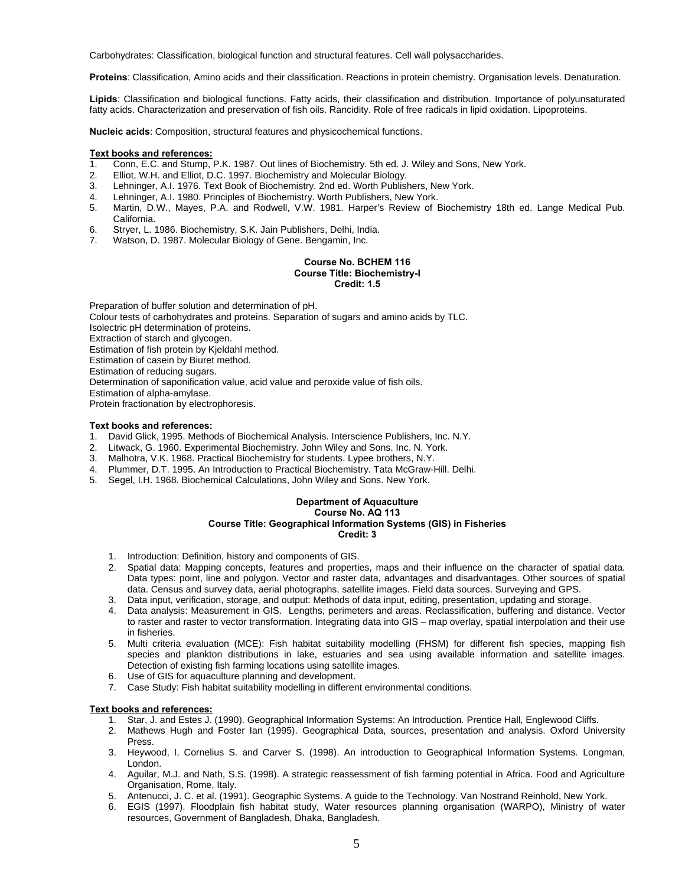Carbohydrates: Classification, biological function and structural features. Cell wall polysaccharides.

**Proteins**: Classification, Amino acids and their classification. Reactions in protein chemistry. Organisation levels. Denaturation.

**Lipids**: Classification and biological functions. Fatty acids, their classification and distribution. Importance of polyunsaturated fatty acids. Characterization and preservation of fish oils. Rancidity. Role of free radicals in lipid oxidation. Lipoproteins.

**Nucleic acids**: Composition, structural features and physicochemical functions.

#### **Text books and references:**

- 1. Conn, E.C. and Stump, P.K. 1987. Out lines of Biochemistry. 5th ed. J. Wiley and Sons, New York.
- 2. Elliot, W.H. and Elliot, D.C. 1997. Biochemistry and Molecular Biology.
- 3. Lehninger, A.I. 1976. Text Book of Biochemistry. 2nd ed. Worth Publishers, New York.
- 4. Lehninger, A.I. 1980. Principles of Biochemistry. Worth Publishers, New York.
- 5. Martin, D.W., Mayes, P.A. and Rodwell, V.W. 1981. Harper's Review of Biochemistry 18th ed. Lange Medical Pub. California.
- 6. Stryer, L. 1986. Biochemistry, S.K. Jain Publishers, Delhi, India.
- 7. Watson, D. 1987. Molecular Biology of Gene. Bengamin, Inc.

#### **Course No. BCHEM 116 Course Title: Biochemistry-I Credit: 1.5**

Preparation of buffer solution and determination of pH. Colour tests of carbohydrates and proteins. Separation of sugars and amino acids by TLC. Isolectric pH determination of proteins. Extraction of starch and glycogen. Estimation of fish protein by Kjeldahl method. Estimation of casein by Biuret method. Estimation of reducing sugars. Determination of saponification value, acid value and peroxide value of fish oils. Estimation of alpha-amylase. Protein fractionation by electrophoresis.

#### **Text books and references:**

- 1. David Glick, 1995. Methods of Biochemical Analysis. Interscience Publishers, Inc. N.Y.
- 2. Litwack, G. 1960. Experimental Biochemistry. John Wiley and Sons. Inc. N. York.
- 3. Malhotra, V.K. 1968. Practical Biochemistry for students. Lypee brothers, N.Y.
- 4. Plummer, D.T. 1995. An Introduction to Practical Biochemistry. Tata McGraw-Hill. Delhi.
- 5. Segel, I.H. 1968. Biochemical Calculations, John Wiley and Sons. New York.

#### **Department of Aquaculture Course No. AQ 113 Course Title: Geographical Information Systems (GIS) in Fisheries Credit: 3**

- 1. Introduction: Definition, history and components of GIS.
- 2. Spatial data: Mapping concepts, features and properties, maps and their influence on the character of spatial data. Data types: point, line and polygon. Vector and raster data, advantages and disadvantages. Other sources of spatial data. Census and survey data, aerial photographs, satellite images. Field data sources. Surveying and GPS.
- 3. Data input, verification, storage, and output: Methods of data input, editing, presentation, updating and storage.
- 4. Data analysis: Measurement in GIS. Lengths, perimeters and areas. Reclassification, buffering and distance. Vector to raster and raster to vector transformation. Integrating data into GIS – map overlay, spatial interpolation and their use in fisheries.
- 5. Multi criteria evaluation (MCE): Fish habitat suitability modelling (FHSM) for different fish species, mapping fish species and plankton distributions in lake, estuaries and sea using available information and satellite images. Detection of existing fish farming locations using satellite images.
- 6. Use of GIS for aquaculture planning and development.
- 7. Case Study: Fish habitat suitability modelling in different environmental conditions.

- 1. Star, J. and Estes J. (1990). Geographical Information Systems: An Introduction*.* Prentice Hall, Englewood Cliffs.
- 2. Mathews Hugh and Foster Ian (1995). Geographical Data, sources, presentation and analysis. Oxford University Press.
- 3. Heywood, I, Cornelius S. and Carver S. (1998). An introduction to Geographical Information Systems*.* Longman, London.
- 4. Aguilar, M.J. and Nath, S.S. (1998). A strategic reassessment of fish farming potential in Africa. Food and Agriculture Organisation, Rome, Italy.
- 5. Antenucci, J. C. et al. (1991). Geographic Systems. A guide to the Technology. Van Nostrand Reinhold, New York.
- 6. EGIS (1997). Floodplain fish habitat study, Water resources planning organisation (WARPO), Ministry of water resources, Government of Bangladesh, Dhaka, Bangladesh.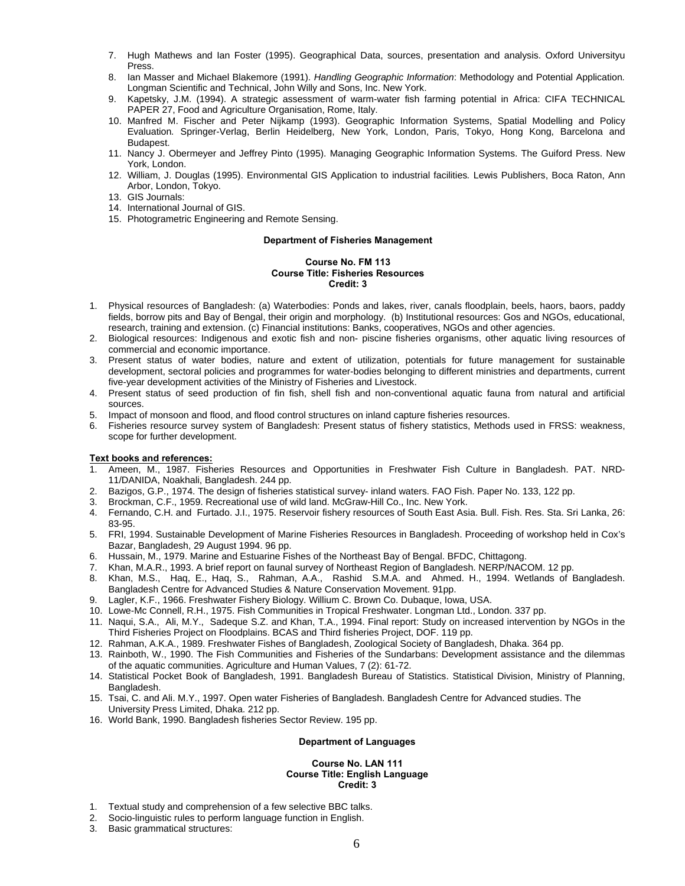- 7. Hugh Mathews and Ian Foster (1995). Geographical Data, sources, presentation and analysis. Oxford Universityu Press.
- 8. Ian Masser and Michael Blakemore (1991). *Handling Geographic Information*: Methodology and Potential Application*.* Longman Scientific and Technical, John Willy and Sons, Inc. New York.
- 9. Kapetsky, J.M. (1994). A strategic assessment of warm-water fish farming potential in Africa: CIFA TECHNICAL PAPER 27, Food and Agriculture Organisation, Rome, Italy.
- 10. Manfred M. Fischer and Peter Nijkamp (1993). Geographic Information Systems, Spatial Modelling and Policy Evaluation*.* Springer-Verlag, Berlin Heidelberg, New York, London, Paris, Tokyo, Hong Kong, Barcelona and Budapest.
- 11. Nancy J. Obermeyer and Jeffrey Pinto (1995). Managing Geographic Information Systems. The Guiford Press. New York, London.
- 12. William, J. Douglas (1995). Environmental GIS Application to industrial facilities*.* Lewis Publishers, Boca Raton, Ann Arbor, London, Tokyo.
- 13. GIS Journals:
- 14. International Journal of GIS.
- 15. Photogrametric Engineering and Remote Sensing.

# **Department of Fisheries Management**

#### **Course No. FM 113 Course Title: Fisheries Resources Credit: 3**

- 1. Physical resources of Bangladesh: (a) Waterbodies: Ponds and lakes, river, canals floodplain, beels, haors, baors, paddy fields, borrow pits and Bay of Bengal, their origin and morphology. (b) Institutional resources: Gos and NGOs, educational, research, training and extension. (c) Financial institutions: Banks, cooperatives, NGOs and other agencies.
- 2. Biological resources: Indigenous and exotic fish and non- piscine fisheries organisms, other aquatic living resources of commercial and economic importance.
- 3. Present status of water bodies, nature and extent of utilization, potentials for future management for sustainable development, sectoral policies and programmes for water-bodies belonging to different ministries and departments, current five-year development activities of the Ministry of Fisheries and Livestock.
- 4. Present status of seed production of fin fish, shell fish and non-conventional aquatic fauna from natural and artificial sources.
- 5. Impact of monsoon and flood, and flood control structures on inland capture fisheries resources.
- 6. Fisheries resource survey system of Bangladesh: Present status of fishery statistics, Methods used in FRSS: weakness, scope for further development.

# **Text books and references:**

- 1. Ameen, M., 1987. Fisheries Resources and Opportunities in Freshwater Fish Culture in Bangladesh. PAT. NRD-11/DANIDA, Noakhali, Bangladesh. 244 pp.
- 2. Bazigos, G.P., 1974. The design of fisheries statistical survey- inland waters. FAO Fish. Paper No. 133, 122 pp.
- 3. Brockman, C.F., 1959. Recreational use of wild land. McGraw-Hill Co., Inc. New York.
- 4. Fernando, C.H. and Furtado. J.I., 1975. Reservoir fishery resources of South East Asia. Bull. Fish. Res. Sta. Sri Lanka, 26: 83-95.
- 5. FRI, 1994. Sustainable Development of Marine Fisheries Resources in Bangladesh. Proceeding of workshop held in Cox's Bazar, Bangladesh, 29 August 1994. 96 pp.
- 6. Hussain, M., 1979. Marine and Estuarine Fishes of the Northeast Bay of Bengal. BFDC, Chittagong.
- 7. Khan, M.A.R., 1993. A brief report on faunal survey of Northeast Region of Bangladesh. NERP/NACOM. 12 pp.
- 8. Khan, M.S., Haq, E., Haq, S., Rahman, A.A., Rashid S.M.A. and Ahmed. H., 1994. Wetlands of Bangladesh. Bangladesh Centre for Advanced Studies & Nature Conservation Movement. 91pp.
- 9. Lagler, K.F., 1966. Freshwater Fishery Biology. Willium C. Brown Co. Dubaque, Iowa, USA.
- 10. Lowe-Mc Connell, R.H., 1975. Fish Communities in Tropical Freshwater. Longman Ltd., London. 337 pp.
- 11. Naqui, S.A., Ali, M.Y., Sadeque S.Z. and Khan, T.A., 1994. Final report: Study on increased intervention by NGOs in the Third Fisheries Project on Floodplains. BCAS and Third fisheries Project, DOF. 119 pp.
- 12. Rahman, A.K.A., 1989. Freshwater Fishes of Bangladesh, Zoological Society of Bangladesh, Dhaka. 364 pp.
- 13. Rainboth, W., 1990. The Fish Communities and Fisheries of the Sundarbans: Development assistance and the dilemmas of the aquatic communities. Agriculture and Human Values, 7 (2): 61-72.
- 14. Statistical Pocket Book of Bangladesh, 1991. Bangladesh Bureau of Statistics. Statistical Division, Ministry of Planning, Bangladesh.
- 15. Tsai, C. and Ali. M.Y., 1997. Open water Fisheries of Bangladesh. Bangladesh Centre for Advanced studies. The University Press Limited, Dhaka. 212 pp.
- 16. World Bank, 1990. Bangladesh fisheries Sector Review. 195 pp.

# **Department of Languages**

#### **Course No. LAN 111 Course Title: English Language Credit: 3**

- 1. Textual study and comprehension of a few selective BBC talks.
- 2. Socio-linguistic rules to perform language function in English.
- 3. Basic grammatical structures: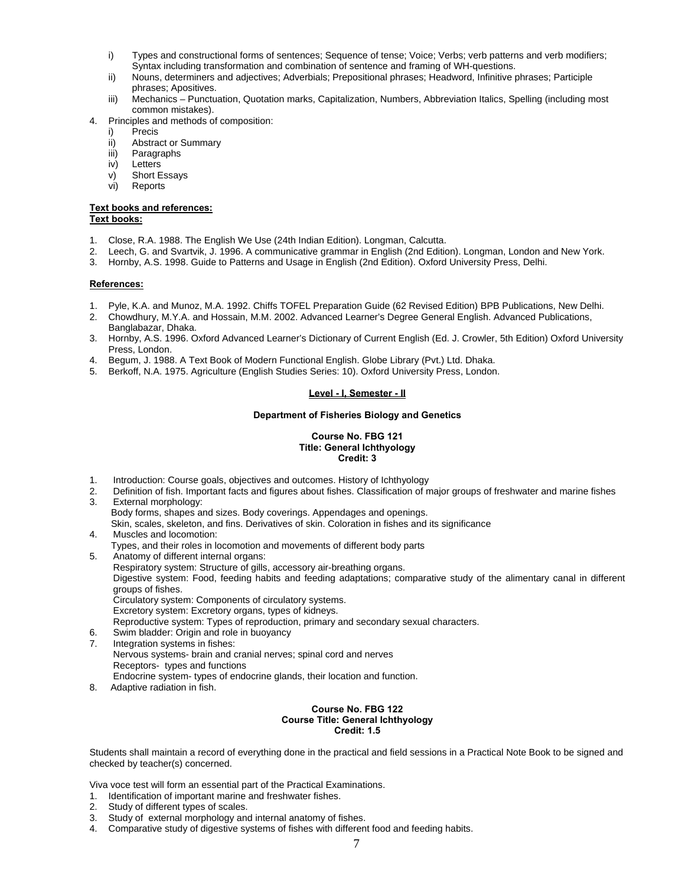- i) Types and constructional forms of sentences; Sequence of tense; Voice; Verbs; verb patterns and verb modifiers; Syntax including transformation and combination of sentence and framing of WH-questions.
- ii) Nouns, determiners and adjectives; Adverbials; Prepositional phrases; Headword, Infinitive phrases; Participle phrases; Apositives.
- iii) Mechanics Punctuation, Quotation marks, Capitalization, Numbers, Abbreviation Italics, Spelling (including most common mistakes).
- 4. Principles and methods of composition:
	- i) Precis
	- ii) Abstract or Summary
	- iii) Paragraphs
	- iv) Letters
	- v) Short Essays
	- vi) Reports

#### **Text books and references: Text books:**

- 1. Close, R.A. 1988. The English We Use (24th Indian Edition). Longman, Calcutta.
- 2. Leech, G. and Svartvik, J. 1996. A communicative grammar in English (2nd Edition). Longman, London and New York.
- 3. Hornby, A.S. 1998. Guide to Patterns and Usage in English (2nd Edition). Oxford University Press, Delhi.

# **References:**

- 1. Pyle, K.A. and Munoz, M.A. 1992. Chiffs TOFEL Preparation Guide (62 Revised Edition) BPB Publications, New Delhi.
- 2. Chowdhury, M.Y.A. and Hossain, M.M. 2002. Advanced Learner's Degree General English. Advanced Publications, Banglabazar, Dhaka.
- 3. Hornby, A.S. 1996. Oxford Advanced Learner's Dictionary of Current English (Ed. J. Crowler, 5th Edition) Oxford University Press, London.
- 4. Begum, J. 1988. A Text Book of Modern Functional English. Globe Library (Pvt.) Ltd. Dhaka.
- 5. Berkoff, N.A. 1975. Agriculture (English Studies Series: 10). Oxford University Press, London.

# **Level - I, Semester - II**

# **Department of Fisheries Biology and Genetics**

#### **Course No. FBG 121 Title: General Ichthyology Credit: 3**

- 1. Introduction: Course goals, objectives and outcomes. History of Ichthyology
- 2. Definition of fish. Important facts and figures about fishes. Classification of major groups of freshwater and marine fishes 3. External morphology:
- Body forms, shapes and sizes. Body coverings. Appendages and openings. Skin, scales, skeleton, and fins. Derivatives of skin. Coloration in fishes and its significance
- 4. Muscles and locomotion: Types, and their roles in locomotion and movements of different body parts
- 5. Anatomy of different internal organs:
- Respiratory system: Structure of gills, accessory air-breathing organs. Digestive system: Food, feeding habits and feeding adaptations; comparative study of the alimentary canal in different groups of fishes. Circulatory system: Components of circulatory systems. Excretory system: Excretory organs, types of kidneys. Reproductive system: Types of reproduction, primary and secondary sexual characters. 6. Swim bladder: Origin and role in buoyancy
- 7. Integration systems in fishes: Nervous systems- brain and cranial nerves; spinal cord and nerves Receptors- types and functions Endocrine system- types of endocrine glands, their location and function.
- 8. Adaptive radiation in fish.

#### **Course No. FBG 122 Course Title: General Ichthyology Credit: 1.5**

Students shall maintain a record of everything done in the practical and field sessions in a Practical Note Book to be signed and checked by teacher(s) concerned.

Viva voce test will form an essential part of the Practical Examinations.

- 1. Identification of important marine and freshwater fishes.
- 2. Study of different types of scales.
- 3. Study of external morphology and internal anatomy of fishes.
- 4. Comparative study of digestive systems of fishes with different food and feeding habits.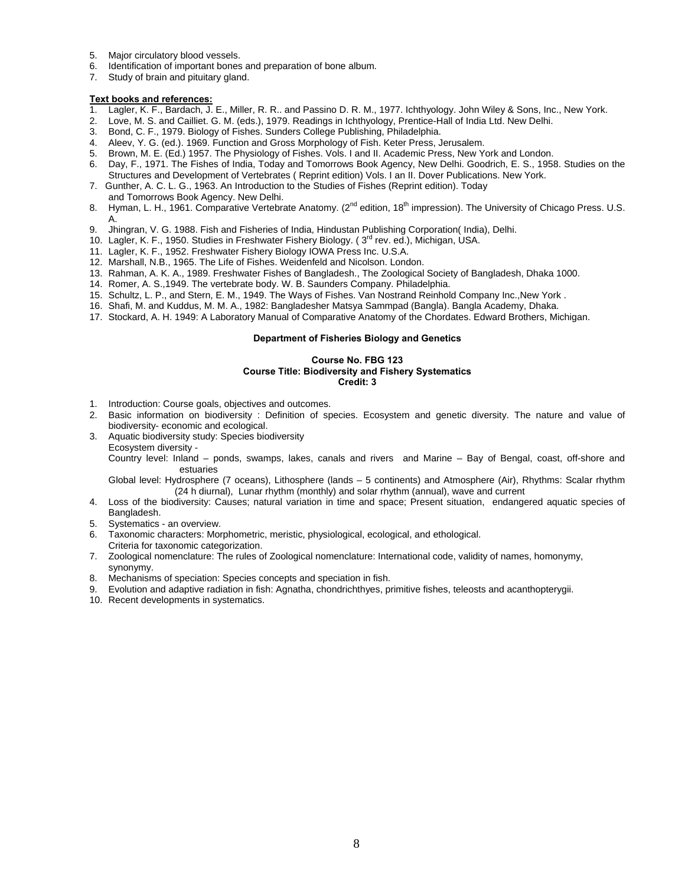- 5. Major circulatory blood vessels.
- 6. Identification of important bones and preparation of bone album.
- 7. Study of brain and pituitary gland.

- Lagler, K. F., Bardach, J. E., Miller, R. R.. and Passino D. R. M., 1977. Ichthyology. John Wiley & Sons, Inc., New York.
- 2. Love, M. S. and Cailliet. G. M. (eds.), 1979. Readings in Ichthyology, Prentice-Hall of India Ltd. New Delhi.
- 
- 3. Bond, C. F., 1979. Biology of Fishes. Sunders College Publishing, Philadelphia. 4. Aleev, Y. G. (ed.). 1969. Function and Gross Morphology of Fish. Keter Press, Jerusalem.
- 5. Brown, M. E. (Ed.) 1957. The Physiology of Fishes. Vols. I and II. Academic Press, New York and London.
- 6. Day, F., 1971. The Fishes of India, Today and Tomorrows Book Agency, New Delhi. Goodrich, E. S., 1958. Studies on the Structures and Development of Vertebrates ( Reprint edition) Vols. I an II. Dover Publications. New York.
- 7. Gunther, A. C. L. G., 1963. An Introduction to the Studies of Fishes (Reprint edition). Today and Tomorrows Book Agency. New Delhi.
- 8. Hyman, L. H., 1961. Comparative Vertebrate Anatomy. (2<sup>nd</sup> edition, 18<sup>th</sup> impression). The University of Chicago Press. U.S. A.
- 9. Jhingran, V. G. 1988. Fish and Fisheries of India, Hindustan Publishing Corporation( India), Delhi.
- 10. Lagler, K. F., 1950. Studies in Freshwater Fishery Biology. (3<sup>rd</sup> rev. ed.), Michigan, USA.
- 11. Lagler, K. F., 1952. Freshwater Fishery Biology IOWA Press Inc. U.S.A.
- 12. Marshall, N.B., 1965. The Life of Fishes. Weidenfeld and Nicolson. London.
- 13. Rahman, A. K. A., 1989. Freshwater Fishes of Bangladesh., The Zoological Society of Bangladesh, Dhaka 1000.
- 14. Romer, A. S.,1949. The vertebrate body. W. B. Saunders Company. Philadelphia.
- 15. Schultz, L. P., and Stern, E. M., 1949. The Ways of Fishes. Van Nostrand Reinhold Company Inc.,New York .
- 16. Shafi, M. and Kuddus, M. M. A., 1982: Bangladesher Matsya Sammpad (Bangla). Bangla Academy, Dhaka.
- 17. Stockard, A. H. 1949: A Laboratory Manual of Comparative Anatomy of the Chordates. Edward Brothers, Michigan.

# **Department of Fisheries Biology and Genetics**

#### **Course No. FBG 123**

# **Course Title: Biodiversity and Fishery Systematics**

**Credit: 3** 

- 1. Introduction: Course goals, objectives and outcomes.
- 2. Basic information on biodiversity : Definition of species. Ecosystem and genetic diversity. The nature and value of biodiversity- economic and ecological.
- 3. Aquatic biodiversity study: Species biodiversity Ecosystem diversity -

Country level: Inland – ponds, swamps, lakes, canals and rivers and Marine – Bay of Bengal, coast, off-shore and estuaries

Global level: Hydrosphere (7 oceans), Lithosphere (lands – 5 continents) and Atmosphere (Air), Rhythms: Scalar rhythm (24 h diurnal), Lunar rhythm (monthly) and solar rhythm (annual), wave and current

- 4. Loss of the biodiversity: Causes; natural variation in time and space; Present situation, endangered aquatic species of Bangladesh.
- 5. Systematics an overview.
- 6. Taxonomic characters: Morphometric, meristic, physiological, ecological, and ethological.
- Criteria for taxonomic categorization.
- 7. Zoological nomenclature: The rules of Zoological nomenclature: International code, validity of names, homonymy, synonymy.
- 8. Mechanisms of speciation: Species concepts and speciation in fish.
- 9. Evolution and adaptive radiation in fish: Agnatha, chondrichthyes, primitive fishes, teleosts and acanthopterygii.
- 10. Recent developments in systematics.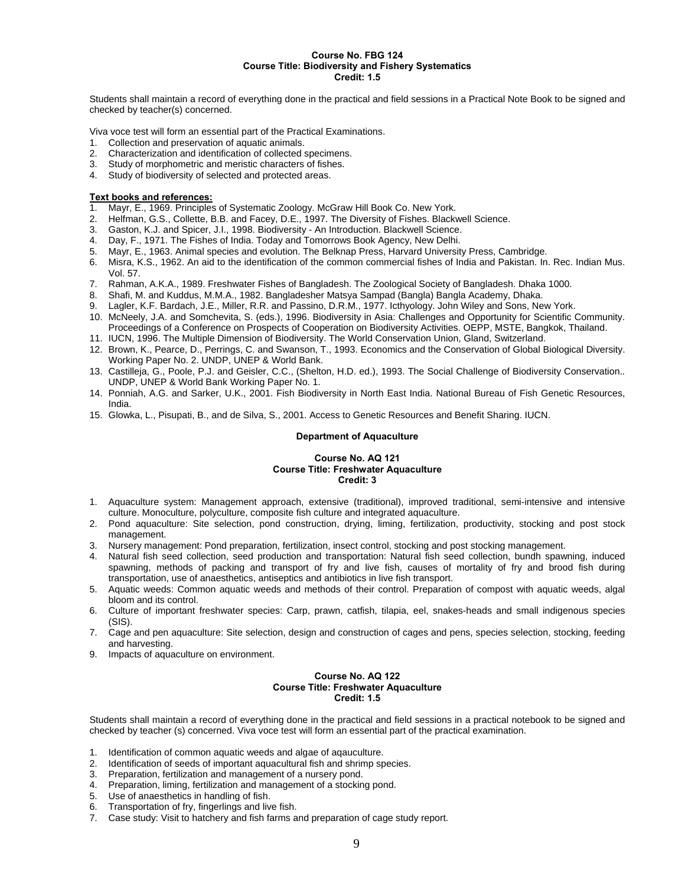#### **Course No. FBG 124 Course Title: Biodiversity and Fishery Systematics Credit: 1.5**

Students shall maintain a record of everything done in the practical and field sessions in a Practical Note Book to be signed and checked by teacher(s) concerned.

Viva voce test will form an essential part of the Practical Examinations.

- 1. Collection and preservation of aquatic animals.
- 2. Characterization and identification of collected specimens.
- 3. Study of morphometric and meristic characters of fishes.
- 4. Study of biodiversity of selected and protected areas.

## **Text books and references:**

- 1. Mayr, E., 1969. Principles of Systematic Zoology. McGraw Hill Book Co. New York.
- 2. Helfman, G.S., Collette, B.B. and Facey, D.E., 1997. The Diversity of Fishes. Blackwell Science.
- 3. Gaston, K.J. and Spicer, J.I., 1998. Biodiversity An Introduction. Blackwell Science.
- 4. Day, F., 1971. The Fishes of India. Today and Tomorrows Book Agency, New Delhi.
- 5. Mayr, E., 1963. Animal species and evolution. The Belknap Press, Harvard University Press, Cambridge.
- 6. Misra, K.S., 1962. An aid to the identification of the common commercial fishes of India and Pakistan. In. Rec. Indian Mus. Vol. 57.
- 7. Rahman, A.K.A., 1989. Freshwater Fishes of Bangladesh. The Zoological Society of Bangladesh. Dhaka 1000.
- 8. Shafi, M. and Kuddus, M.M.A., 1982. Bangladesher Matsya Sampad (Bangla) Bangla Academy, Dhaka.
- 9. Lagler, K.F. Bardach, J.E., Miller, R.R. and Passino, D.R.M., 1977. Icthyology. John Wiley and Sons, New York.
- 10. McNeely, J.A. and Somchevita, S. (eds.), 1996. Biodiversity in Asia: Challenges and Opportunity for Scientific Community. Proceedings of a Conference on Prospects of Cooperation on Biodiversity Activities. OEPP, MSTE, Bangkok, Thailand.
- 11. IUCN, 1996. The Multiple Dimension of Biodiversity. The World Conservation Union, Gland, Switzerland.
- 12. Brown, K., Pearce, D., Perrings, C. and Swanson, T., 1993. Economics and the Conservation of Global Biological Diversity. Working Paper No. 2. UNDP, UNEP & World Bank.
- 13. Castilleja, G., Poole, P.J. and Geisler, C.C., (Shelton, H.D. ed.), 1993. The Social Challenge of Biodiversity Conservation.*.*  UNDP, UNEP & World Bank Working Paper No. 1.
- 14. Ponniah, A.G. and Sarker, U.K., 2001. Fish Biodiversity in North East India. National Bureau of Fish Genetic Resources, India.
- 15. Glowka, L., Pisupati, B., and de Silva, S., 2001. Access to Genetic Resources and Benefit Sharing. IUCN.

#### **Department of Aquaculture**

#### **Course No. AQ 121 Course Title: Freshwater Aquaculture Credit: 3**

- 1. Aquaculture system: Management approach, extensive (traditional), improved traditional, semi-intensive and intensive culture. Monoculture, polyculture, composite fish culture and integrated aquaculture.
- 2. Pond aquaculture: Site selection, pond construction, drying, liming, fertilization, productivity, stocking and post stock management.
- 3. Nursery management: Pond preparation, fertilization, insect control, stocking and post stocking management.
- 4. Natural fish seed collection, seed production and transportation: Natural fish seed collection, bundh spawning, induced spawning, methods of packing and transport of fry and live fish, causes of mortality of fry and brood fish during transportation, use of anaesthetics, antiseptics and antibiotics in live fish transport.
- 5. Aquatic weeds: Common aquatic weeds and methods of their control. Preparation of compost with aquatic weeds, algal bloom and its control.
- 6. Culture of important freshwater species: Carp, prawn, catfish, tilapia, eel, snakes-heads and small indigenous species (SIS).
- 7. Cage and pen aquaculture: Site selection, design and construction of cages and pens, species selection, stocking, feeding and harvesting.
- 9. Impacts of aquaculture on environment.

#### **Course No. AQ 122 Course Title: Freshwater Aquaculture Credit: 1.5**

Students shall maintain a record of everything done in the practical and field sessions in a practical notebook to be signed and checked by teacher (s) concerned. Viva voce test will form an essential part of the practical examination.

- 1. Identification of common aquatic weeds and algae of aqauculture.
- 2. Identification of seeds of important aquacultural fish and shrimp species.<br>3. Preparation, fertilization and management of a nursery pond.
- Preparation, fertilization and management of a nursery pond.
- 4. Preparation, liming, fertilization and management of a stocking pond.
- 5. Use of anaesthetics in handling of fish.
- 6. Transportation of fry, fingerlings and live fish.
- 7. Case study: Visit to hatchery and fish farms and preparation of cage study report.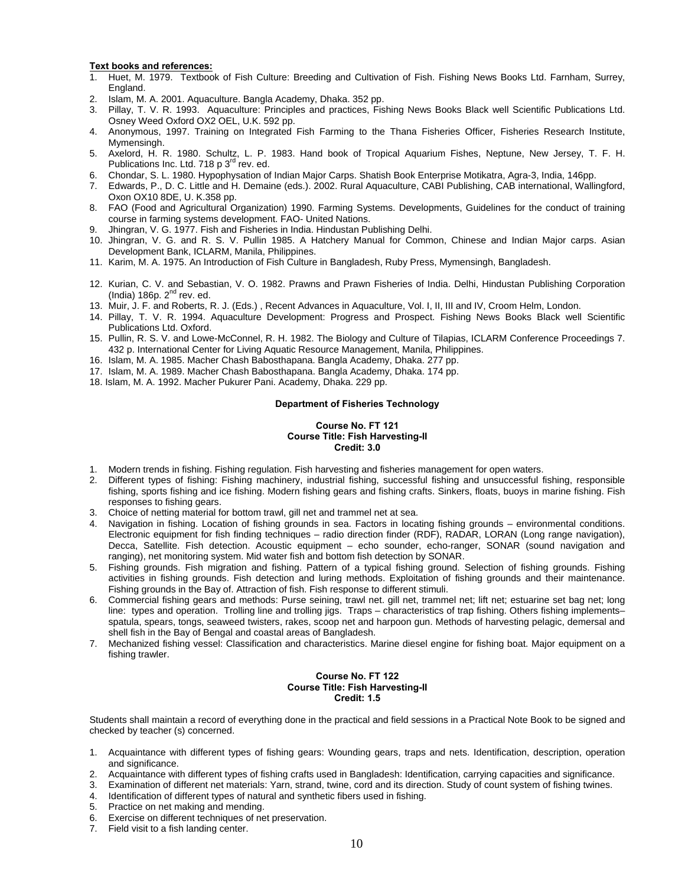- 1. Huet, M. 1979. Textbook of Fish Culture: Breeding and Cultivation of Fish. Fishing News Books Ltd. Farnham, Surrey, England.
- 2. Islam, M. A. 2001. Aquaculture. Bangla Academy, Dhaka. 352 pp.
- 3. Pillay, T. V. R. 1993. Aquaculture: Principles and practices, Fishing News Books Black well Scientific Publications Ltd. Osney Weed Oxford OX2 OEL, U.K. 592 pp.
- 4. Anonymous, 1997. Training on Integrated Fish Farming to the Thana Fisheries Officer, Fisheries Research Institute, Mymensingh.
- 5. Axelord, H. R. 1980. Schultz, L. P. 1983. Hand book of Tropical Aquarium Fishes, Neptune, New Jersey, T. F. H. Publications Inc. Ltd. 718 p 3<sup>rd</sup> rev. ed.
- 6. Chondar, S. L. 1980. Hypophysation of Indian Major Carps. Shatish Book Enterprise Motikatra, Agra-3, India, 146pp.
- 7. Edwards, P., D. C. Little and H. Demaine (eds.). 2002. Rural Aquaculture, CABI Publishing, CAB international, Wallingford, Oxon OX10 8DE, U. K.358 pp.
- 8. FAO (Food and Agricultural Organization) 1990. Farming Systems. Developments, Guidelines for the conduct of training course in farming systems development. FAO- United Nations.
- 9. Jhingran, V. G. 1977. Fish and Fisheries in India. Hindustan Publishing Delhi.
- 10. Jhingran, V. G. and R. S. V. Pullin 1985. A Hatchery Manual for Common, Chinese and Indian Major carps. Asian Development Bank, ICLARM, Manila, Philippines.
- 11. Karim, M. A. 1975. An Introduction of Fish Culture in Bangladesh, Ruby Press, Mymensingh, Bangladesh.
- 12. Kurian, C. V. and Sebastian, V. O. 1982. Prawns and Prawn Fisheries of India. Delhi, Hindustan Publishing Corporation  $($ India $)$  186p.  $2<sup>nd</sup>$  rev. ed.
- 13. Muir, J. F. and Roberts, R. J. (Eds.) , Recent Advances in Aquaculture, Vol. I, II, III and IV, Croom Helm, London.
- 14. Pillay, T. V. R. 1994. Aquaculture Development: Progress and Prospect. Fishing News Books Black well Scientific Publications Ltd. Oxford.
- 15. Pullin, R. S. V. and Lowe-McConnel, R. H. 1982. The Biology and Culture of Tilapias, ICLARM Conference Proceedings 7. 432 p. International Center for Living Aquatic Resource Management, Manila, Philippines.
- 16. Islam, M. A. 1985. Macher Chash Babosthapana. Bangla Academy, Dhaka. 277 pp.
- 17. Islam, M. A. 1989. Macher Chash Babosthapana. Bangla Academy, Dhaka. 174 pp.
- 18. Islam, M. A. 1992. Macher Pukurer Pani. Academy, Dhaka. 229 pp.

#### **Department of Fisheries Technology**

# **Course No. FT 121 Course Title: Fish Harvesting-II Credit: 3.0**

- 1. Modern trends in fishing. Fishing regulation. Fish harvesting and fisheries management for open waters.
- 2. Different types of fishing: Fishing machinery, industrial fishing, successful fishing and unsuccessful fishing, responsible fishing, sports fishing and ice fishing. Modern fishing gears and fishing crafts. Sinkers, floats, buoys in marine fishing. Fish responses to fishing gears.
- 3. Choice of netting material for bottom trawl, gill net and trammel net at sea.
- 4. Navigation in fishing. Location of fishing grounds in sea. Factors in locating fishing grounds environmental conditions. Electronic equipment for fish finding techniques – radio direction finder (RDF), RADAR, LORAN (Long range navigation), Decca, Satellite. Fish detection. Acoustic equipment – echo sounder, echo-ranger, SONAR (sound navigation and ranging), net monitoring system. Mid water fish and bottom fish detection by SONAR.
- 5. Fishing grounds. Fish migration and fishing. Pattern of a typical fishing ground. Selection of fishing grounds. Fishing activities in fishing grounds. Fish detection and luring methods. Exploitation of fishing grounds and their maintenance. Fishing grounds in the Bay of. Attraction of fish. Fish response to different stimuli.
- 6. Commercial fishing gears and methods: Purse seining, trawl net. gill net, trammel net; lift net; estuarine set bag net; long line: types and operation. Trolling line and trolling jigs. Traps – characteristics of trap fishing. Others fishing implements– spatula, spears, tongs, seaweed twisters, rakes, scoop net and harpoon gun. Methods of harvesting pelagic, demersal and shell fish in the Bay of Bengal and coastal areas of Bangladesh.
- 7. Mechanized fishing vessel: Classification and characteristics. Marine diesel engine for fishing boat. Major equipment on a fishing trawler.

#### **Course No. FT 122 Course Title: Fish Harvesting-II Credit: 1.5**

Students shall maintain a record of everything done in the practical and field sessions in a Practical Note Book to be signed and checked by teacher (s) concerned.

- 1. Acquaintance with different types of fishing gears: Wounding gears, traps and nets. Identification, description, operation and significance.
- 2. Acquaintance with different types of fishing crafts used in Bangladesh: Identification, carrying capacities and significance.
- 3. Examination of different net materials: Yarn, strand, twine, cord and its direction. Study of count system of fishing twines.
- 4. Identification of different types of natural and synthetic fibers used in fishing.
- 5. Practice on net making and mending.
- 6. Exercise on different techniques of net preservation.
- 7. Field visit to a fish landing center.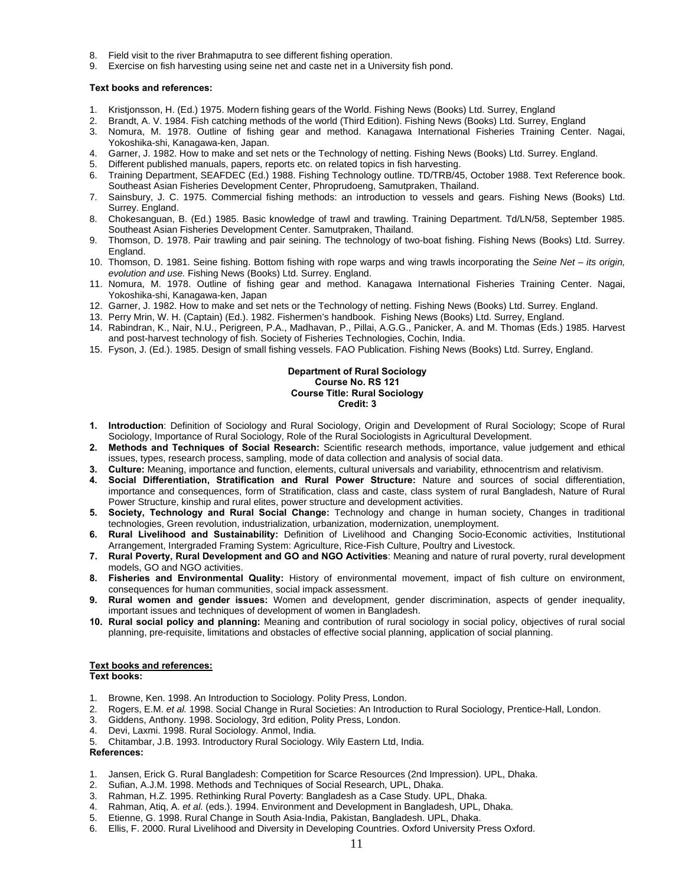- 8. Field visit to the river Brahmaputra to see different fishing operation.
- 9. Exercise on fish harvesting using seine net and caste net in a University fish pond.

- 1. Kristjonsson, H. (Ed.) 1975. Modern fishing gears of the World. Fishing News (Books) Ltd. Surrey, England
- 2. Brandt, A. V. 1984. Fish catching methods of the world (Third Edition). Fishing News (Books) Ltd. Surrey, England
- 3. Nomura, M. 1978. Outline of fishing gear and method. Kanagawa International Fisheries Training Center. Nagai, Yokoshika-shi, Kanagawa-ken, Japan.
- 4. Garner, J. 1982. How to make and set nets or the Technology of netting. Fishing News (Books) Ltd. Surrey. England.
- 5. Different published manuals, papers, reports etc. on related topics in fish harvesting.
- 6. Training Department, SEAFDEC (Ed.) 1988. Fishing Technology outline. TD/TRB/45, October 1988. Text Reference book. Southeast Asian Fisheries Development Center, Phroprudoeng, Samutpraken, Thailand.
- 7. Sainsbury, J. C. 1975. Commercial fishing methods: an introduction to vessels and gears. Fishing News (Books) Ltd. Surrey. England.
- 8. Chokesanguan, B. (Ed.) 1985. Basic knowledge of trawl and trawling. Training Department. Td/LN/58, September 1985. Southeast Asian Fisheries Development Center. Samutpraken, Thailand.
- 9. Thomson, D. 1978. Pair trawling and pair seining. The technology of two-boat fishing. Fishing News (Books) Ltd. Surrey. England.
- 10. Thomson, D. 1981. Seine fishing. Bottom fishing with rope warps and wing trawls incorporating the *Seine Net its origin, evolution and use.* Fishing News (Books) Ltd. Surrey. England.
- 11. Nomura, M. 1978. Outline of fishing gear and method. Kanagawa International Fisheries Training Center. Nagai, Yokoshika-shi, Kanagawa-ken, Japan
- 12. Garner, J. 1982. How to make and set nets or the Technology of netting. Fishing News (Books) Ltd. Surrey. England.
- 13. Perry Mrin, W. H. (Captain) (Ed.). 1982. Fishermen's handbook. Fishing News (Books) Ltd. Surrey, England.
- 14. Rabindran, K., Nair, N.U., Perigreen, P.A., Madhavan, P., Pillai, A.G.G., Panicker, A. and M. Thomas (Eds.) 1985. Harvest and post-harvest technology of fish. Society of Fisheries Technologies, Cochin, India.
- 15. Fyson, J. (Ed.). 1985. Design of small fishing vessels. FAO Publication. Fishing News (Books) Ltd. Surrey, England.

**Department of Rural Sociology Course No. RS 121 Course Title: Rural Sociology Credit: 3** 

- **1. Introduction**: Definition of Sociology and Rural Sociology, Origin and Development of Rural Sociology; Scope of Rural Sociology, Importance of Rural Sociology, Role of the Rural Sociologists in Agricultural Development.
- **2. Methods and Techniques of Social Research:** Scientific research methods, importance, value judgement and ethical issues, types, research process, sampling, mode of data collection and analysis of social data.
- **3. Culture:** Meaning, importance and function, elements, cultural universals and variability, ethnocentrism and relativism.
- **4. Social Differentiation, Stratification and Rural Power Structure:** Nature and sources of social differentiation, importance and consequences, form of Stratification, class and caste, class system of rural Bangladesh, Nature of Rural Power Structure, kinship and rural elites, power structure and development activities.
- **5. Society, Technology and Rural Social Change:** Technology and change in human society, Changes in traditional technologies, Green revolution, industrialization, urbanization, modernization, unemployment.
- **6. Rural Livelihood and Sustainability:** Definition of Livelihood and Changing Socio-Economic activities, Institutional Arrangement, Intergraded Framing System: Agriculture, Rice-Fish Culture, Poultry and Livestock.
- **7. Rural Poverty, Rural Development and GO and NGO Activities**: Meaning and nature of rural poverty, rural development models, GO and NGO activities.
- **8. Fisheries and Environmental Quality:** History of environmental movement, impact of fish culture on environment, consequences for human communities, social impack assessment.
- **9. Rural women and gender issues:** Women and development, gender discrimination, aspects of gender inequality, important issues and techniques of development of women in Bangladesh.
- **10. Rural social policy and planning:** Meaning and contribution of rural sociology in social policy, objectives of rural social planning, pre-requisite, limitations and obstacles of effective social planning, application of social planning.

# **Text books and references:**

**Text books:** 

- 1. Browne, Ken. 1998. An Introduction to Sociology. Polity Press, London.
- 2. Rogers, E.M. *et al.* 1998. Social Change in Rural Societies: An Introduction to Rural Sociology, Prentice-Hall, London.
- 3. Giddens, Anthony. 1998. Sociology, 3rd edition, Polity Press, London.
- 4. Devi, Laxmi. 1998. Rural Sociology. Anmol, India.
- 5. Chitambar, J.B. 1993. Introductory Rural Sociology. Wily Eastern Ltd, India.
- **References:**
- 1. Jansen, Erick G. Rural Bangladesh: Competition for Scarce Resources (2nd Impression). UPL, Dhaka.
- 2. Sufian, A.J.M. 1998. Methods and Techniques of Social Research, UPL, Dhaka.
- 3. Rahman, H.Z. 1995. Rethinking Rural Poverty: Bangladesh as a Case Study. UPL, Dhaka.
- 4. Rahman, Atiq, A. *et al.* (eds.). 1994. Environment and Development in Bangladesh, UPL, Dhaka.
- 5. Etienne, G. 1998. Rural Change in South Asia-India, Pakistan, Bangladesh. UPL, Dhaka.
- 6. Ellis, F. 2000. Rural Livelihood and Diversity in Developing Countries. Oxford University Press Oxford.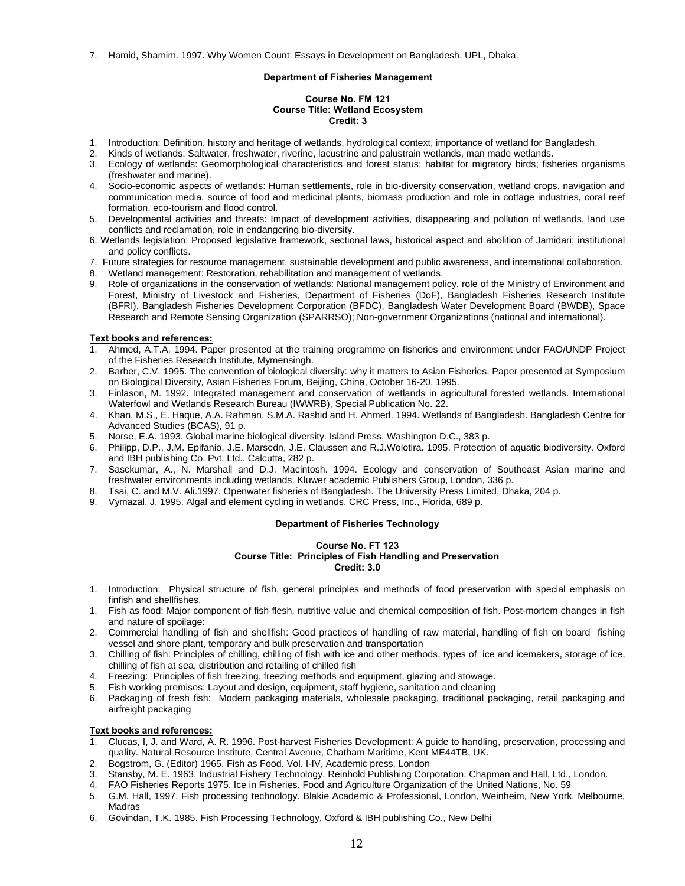7. Hamid, Shamim. 1997. Why Women Count: Essays in Development on Bangladesh. UPL, Dhaka.

# **Department of Fisheries Management**

# **Course No. FM 121 Course Title: Wetland Ecosystem Credit: 3**

- 1. Introduction: Definition, history and heritage of wetlands, hydrological context, importance of wetland for Bangladesh.
- 2. Kinds of wetlands: Saltwater, freshwater, riverine, lacustrine and palustrain wetlands, man made wetlands.
- 3. Ecology of wetlands: Geomorphological characteristics and forest status; habitat for migratory birds; fisheries organisms (freshwater and marine).
- 4. Socio-economic aspects of wetlands: Human settlements, role in bio-diversity conservation, wetland crops, navigation and communication media, source of food and medicinal plants, biomass production and role in cottage industries, coral reef formation, eco-tourism and flood control.
- 5. Developmental activities and threats: Impact of development activities, disappearing and pollution of wetlands, land use conflicts and reclamation, role in endangering bio-diversity.
- 6. Wetlands legislation: Proposed legislative framework, sectional laws, historical aspect and abolition of Jamidari; institutional and policy conflicts.
- 7. Future strategies for resource management, sustainable development and public awareness, and international collaboration.
- 8. Wetland management: Restoration, rehabilitation and management of wetlands.
- 9. Role of organizations in the conservation of wetlands: National management policy, role of the Ministry of Environment and Forest, Ministry of Livestock and Fisheries, Department of Fisheries (DoF), Bangladesh Fisheries Research Institute (BFRI), Bangladesh Fisheries Development Corporation (BFDC), Bangladesh Water Development Board (BWDB), Space Research and Remote Sensing Organization (SPARRSO); Non-government Organizations (national and international).

# **Text books and references:**

- 1. Ahmed, A.T.A. 1994. Paper presented at the training programme on fisheries and environment under FAO/UNDP Project of the Fisheries Research Institute, Mymensingh.
- 2. Barber, C.V. 1995. The convention of biological diversity: why it matters to Asian Fisheries. Paper presented at Symposium on Biological Diversity, Asian Fisheries Forum, Beijing, China, October 16-20, 1995.
- 3. Finlason, M. 1992. Integrated management and conservation of wetlands in agricultural forested wetlands. International Waterfowl and Wetlands Research Bureau (IWWRB), Special Publication No. 22.
- 4. Khan, M.S., E. Haque, A.A. Rahman, S.M.A. Rashid and H. Ahmed. 1994. Wetlands of Bangladesh. Bangladesh Centre for Advanced Studies (BCAS), 91 p.
- 5. Norse, E.A. 1993. Global marine biological diversity. Island Press, Washington D.C., 383 p.
- 6. Philipp, D.P., J.M. Epifanio, J.E. Marsedn, J.E. Claussen and R.J.Wolotira. 1995. Protection of aquatic biodiversity. Oxford and IBH publishing Co. Pvt. Ltd., Calcutta, 282 p.
- 7. Sasckumar, A., N. Marshall and D.J. Macintosh. 1994. Ecology and conservation of Southeast Asian marine and freshwater environments including wetlands. Kluwer academic Publishers Group, London, 336 p.
- 8. Tsai, C. and M.V. Ali.1997. Openwater fisheries of Bangladesh. The University Press Limited, Dhaka, 204 p.
- 9. Vymazal, J. 1995. Algal and element cycling in wetlands. CRC Press, Inc., Florida, 689 p.

# **Department of Fisheries Technology**

# **Course No. FT 123 Course Title: Principles of Fish Handling and Preservation Credit: 3.0**

- 1. Introduction: Physical structure of fish, general principles and methods of food preservation with special emphasis on finfish and shellfishes.
- 1. Fish as food: Major component of fish flesh, nutritive value and chemical composition of fish. Post-mortem changes in fish and nature of spoilage:
- 2. Commercial handling of fish and shellfish: Good practices of handling of raw material, handling of fish on board fishing vessel and shore plant, temporary and bulk preservation and transportation
- 3. Chilling of fish: Principles of chilling, chilling of fish with ice and other methods, types of ice and icemakers, storage of ice, chilling of fish at sea, distribution and retailing of chilled fish
- 4. Freezing: Principles of fish freezing, freezing methods and equipment, glazing and stowage.
- 5. Fish working premises: Layout and design, equipment, staff hygiene, sanitation and cleaning
- 6. Packaging of fresh fish: Modern packaging materials, wholesale packaging, traditional packaging, retail packaging and airfreight packaging

- 1. Clucas, I, J. and Ward, A. R. 1996. Post-harvest Fisheries Development: A guide to handling, preservation, processing and quality. Natural Resource Institute, Central Avenue, Chatham Maritime, Kent ME44TB, UK.
- 
- 2. Bogstrom, G. (Editor) 1965. Fish as Food. Vol. I-IV, Academic press, London Stansby, M. E. 1963. Industrial Fishery Technology. Reinhold Publishing Corporation. Chapman and Hall, Ltd., London.
- 4. FAO Fisheries Reports 1975. Ice in Fisheries. Food and Agriculture Organization of the United Nations, No. 59
- 5. G.M. Hall, 1997. Fish processing technology. Blakie Academic & Professional, London, Weinheim, New York, Melbourne, Madras
- 6. Govindan, T.K. 1985. Fish Processing Technology, Oxford & IBH publishing Co., New Delhi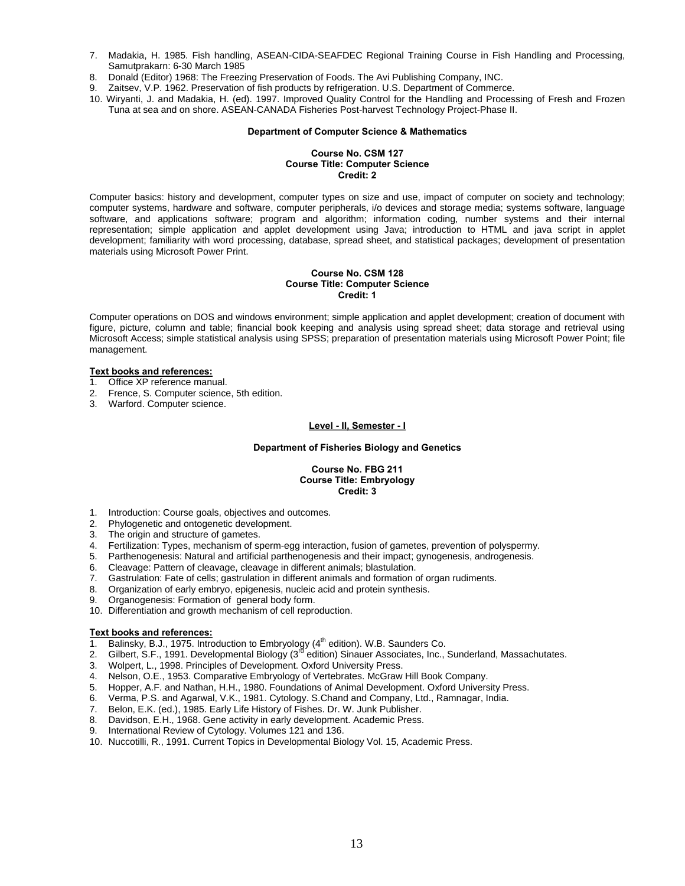- 7. Madakia, H. 1985. Fish handling, ASEAN-CIDA-SEAFDEC Regional Training Course in Fish Handling and Processing, Samutprakarn: 6-30 March 1985
- 8. Donald (Editor) 1968: The Freezing Preservation of Foods. The Avi Publishing Company, INC.
- Zaitsev, V.P. 1962. Preservation of fish products by refrigeration. U.S. Department of Commerce.
- 10. Wiryanti, J. and Madakia, H. (ed). 1997. Improved Quality Control for the Handling and Processing of Fresh and Frozen Tuna at sea and on shore. ASEAN-CANADA Fisheries Post-harvest Technology Project-Phase II.

#### **Department of Computer Science & Mathematics**

# **Course No. CSM 127 Course Title: Computer Science Credit: 2**

Computer basics: history and development, computer types on size and use, impact of computer on society and technology; computer systems, hardware and software, computer peripherals, i/o devices and storage media; systems software, language software, and applications software; program and algorithm; information coding, number systems and their internal representation; simple application and applet development using Java; introduction to HTML and java script in applet development; familiarity with word processing, database, spread sheet, and statistical packages; development of presentation materials using Microsoft Power Print.

#### **Course No. CSM 128 Course Title: Computer Science Credit: 1**

Computer operations on DOS and windows environment; simple application and applet development; creation of document with figure, picture, column and table; financial book keeping and analysis using spread sheet; data storage and retrieval using Microsoft Access; simple statistical analysis using SPSS; preparation of presentation materials using Microsoft Power Point; file management.

#### **Text books and references:**

- 1. Office XP reference manual.
- 2. Frence, S. Computer science, 5th edition.
- 3. Warford. Computer science.

# **Level - II, Semester - I**

## **Department of Fisheries Biology and Genetics**

## **Course No. FBG 211 Course Title: Embryology Credit: 3**

- 1. Introduction: Course goals, objectives and outcomes.
- 2. Phylogenetic and ontogenetic development.
- 3. The origin and structure of gametes.
- 
- 4. Fertilization: Types, mechanism of sperm-egg interaction, fusion of gametes, prevention of polyspermy. 5. Parthenogenesis: Natural and artificial parthenogenesis and their impact; gynogenesis, androgenesis.
- 6. Cleavage: Pattern of cleavage, cleavage in different animals; blastulation.
- 7. Gastrulation: Fate of cells; gastrulation in different animals and formation of organ rudiments.
- 8. Organization of early embryo, epigenesis, nucleic acid and protein synthesis.
- 9. Organogenesis: Formation of general body form.
- 10. Differentiation and growth mechanism of cell reproduction.

- 1. Balinsky, B.J., 1975. Introduction to Embryology (4<sup>th</sup> edition). W.B. Saunders Co.
- 2. Gilbert, S.F., 1991. Developmental Biology (3<sup>rd ed</sup>ition) Sinauer Associates, Inc., Sunderland, Massachutates.
- 3. Wolpert, L., 1998. Principles of Development. Oxford University Press.
- 4. Nelson, O.E., 1953. Comparative Embryology of Vertebrates. McGraw Hill Book Company.
- 5. Hopper, A.F. and Nathan, H.H., 1980. Foundations of Animal Development. Oxford University Press.
- 6. Verma, P.S. and Agarwal, V.K., 1981. Cytology. S.Chand and Company, Ltd., Ramnagar, India.
- Belon, E.K. (ed.), 1985. Early Life History of Fishes. Dr. W. Junk Publisher.
- 8. Davidson, E.H., 1968. Gene activity in early development. Academic Press.<br>9. International Review of Cytology. Volumes 121 and 136.
- International Review of Cytology. Volumes 121 and 136.
- 10. Nuccotilli, R., 1991. Current Topics in Developmental Biology Vol. 15, Academic Press.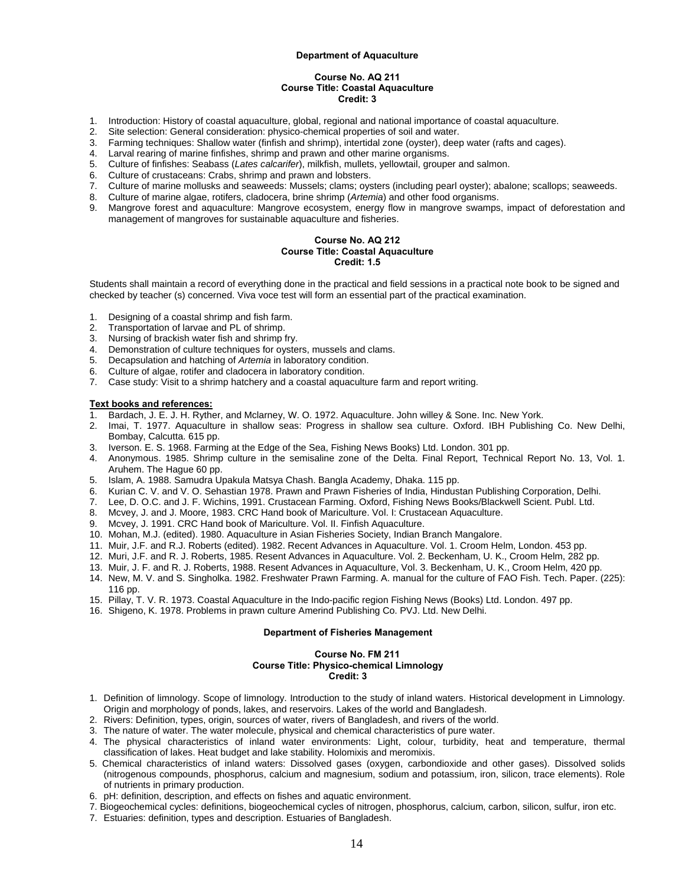#### **Department of Aquaculture**

### **Course No. AQ 211 Course Title: Coastal Aquaculture Credit: 3**

- 1. Introduction: History of coastal aquaculture, global, regional and national importance of coastal aquaculture.
- 2. Site selection: General consideration: physico-chemical properties of soil and water.
- 3. Farming techniques: Shallow water (finfish and shrimp), intertidal zone (oyster), deep water (rafts and cages).
- 4. Larval rearing of marine finfishes, shrimp and prawn and other marine organisms.
- 5. Culture of finfishes: Seabass (*Lates calcarifer*), milkfish, mullets, yellowtail, grouper and salmon.
- Culture of crustaceans: Crabs, shrimp and prawn and lobsters.
- 7. Culture of marine mollusks and seaweeds: Mussels; clams; oysters (including pearl oyster); abalone; scallops; seaweeds.
- 8. Culture of marine algae, rotifers, cladocera, brine shrimp (*Artemia*) and other food organisms.
- 9. Mangrove forest and aquaculture: Mangrove ecosystem, energy flow in mangrove swamps, impact of deforestation and management of mangroves for sustainable aquaculture and fisheries.

#### **Course No. AQ 212 Course Title: Coastal Aquaculture Credit: 1.5**

Students shall maintain a record of everything done in the practical and field sessions in a practical note book to be signed and checked by teacher (s) concerned. Viva voce test will form an essential part of the practical examination.

- 1. Designing of a coastal shrimp and fish farm.
- 2. Transportation of larvae and PL of shrimp.
- 3. Nursing of brackish water fish and shrimp fry.
- 4. Demonstration of culture techniques for oysters, mussels and clams.
- 5. Decapsulation and hatching of *Artemia* in laboratory condition.
- 6. Culture of algae, rotifer and cladocera in laboratory condition.<br>6. Case study: Visit to a shrimp hatchery and a coastal aquacultu
- 7. Case study: Visit to a shrimp hatchery and a coastal aquaculture farm and report writing.

#### **Text books and references:**

- 1. Bardach, J. E. J. H. Ryther, and Mclarney, W. O. 1972. Aquaculture. John willey & Sone. Inc. New York.
- 2. Imai, T. 1977. Aquaculture in shallow seas: Progress in shallow sea culture. Oxford. IBH Publishing Co. New Delhi, Bombay, Calcutta. 615 pp.
- 3. Iverson. E. S. 1968. Farming at the Edge of the Sea, Fishing News Books) Ltd. London. 301 pp.
- 4. Anonymous. 1985. Shrimp culture in the semisaline zone of the Delta. Final Report, Technical Report No. 13, Vol. 1. Aruhem. The Hague 60 pp.
- 
- 5. Islam, A. 1988. Samudra Upakula Matsya Chash. Bangla Academy, Dhaka. 115 pp.<br>6. Kurian C. V. and V. O. Sehastian 1978. Prawn and Prawn Fisheries of India, Hindust 6. Kurian C. V. and V. O. Sehastian 1978. Prawn and Prawn Fisheries of India, Hindustan Publishing Corporation, Delhi.
- 7. Lee, D. O.C. and J. F. Wichins, 1991. Crustacean Farming. Oxford, Fishing News Books/Blackwell Scient. Publ. Ltd.<br>8. Mcvey, J. and J. Moore, 1983. CRC Hand book of Mariculture. Vol. I: Crustacean Aguaculture.
- 8. Mcvey, J. and J. Moore, 1983. CRC Hand book of Mariculture. Vol. I: Crustacean Aquaculture.
- 9. Mcvey, J. 1991. CRC Hand book of Mariculture. Vol. II. Finfish Aquaculture.
- 10. Mohan, M.J. (edited). 1980. Aquaculture in Asian Fisheries Society, Indian Branch Mangalore.
- 11. Muir, J.F. and R.J. Roberts (edited). 1982. Recent Advances in Aquaculture. Vol. 1. Croom Helm, London. 453 pp.
- 12. Muri, J.F. and R. J. Roberts, 1985. Resent Advances in Aquaculture. Vol. 2. Beckenham, U. K., Croom Helm, 282 pp.
- 13. Muir, J. F. and R. J. Roberts, 1988. Resent Advances in Aquaculture, Vol. 3. Beckenham, U. K., Croom Helm, 420 pp.
- 14. New, M. V. and S. Singholka. 1982. Freshwater Prawn Farming. A. manual for the culture of FAO Fish. Tech. Paper. (225): 116 pp.
- 15. Pillay, T. V. R. 1973. Coastal Aquaculture in the Indo-pacific region Fishing News (Books) Ltd. London. 497 pp.
- 16. Shigeno, K. 1978. Problems in prawn culture Amerind Publishing Co. PVJ. Ltd. New Delhi.

# **Department of Fisheries Management**

# **Course No. FM 211 Course Title: Physico-chemical Limnology Credit: 3**

- 1. Definition of limnology. Scope of limnology. Introduction to the study of inland waters. Historical development in Limnology. Origin and morphology of ponds, lakes, and reservoirs. Lakes of the world and Bangladesh.
- 2. Rivers: Definition, types, origin, sources of water, rivers of Bangladesh, and rivers of the world.
- 3. The nature of water. The water molecule, physical and chemical characteristics of pure water.
- 4. The physical characteristics of inland water environments: Light, colour, turbidity, heat and temperature, thermal classification of lakes. Heat budget and lake stability. Holomixis and meromixis.
- 5. Chemical characteristics of inland waters: Dissolved gases (oxygen, carbondioxide and other gases). Dissolved solids (nitrogenous compounds, phosphorus, calcium and magnesium, sodium and potassium, iron, silicon, trace elements). Role of nutrients in primary production.
- 6. pH: definition, description, and effects on fishes and aquatic environment.
- 7. Biogeochemical cycles: definitions, biogeochemical cycles of nitrogen, phosphorus, calcium, carbon, silicon, sulfur, iron etc.
- 7. Estuaries: definition, types and description. Estuaries of Bangladesh.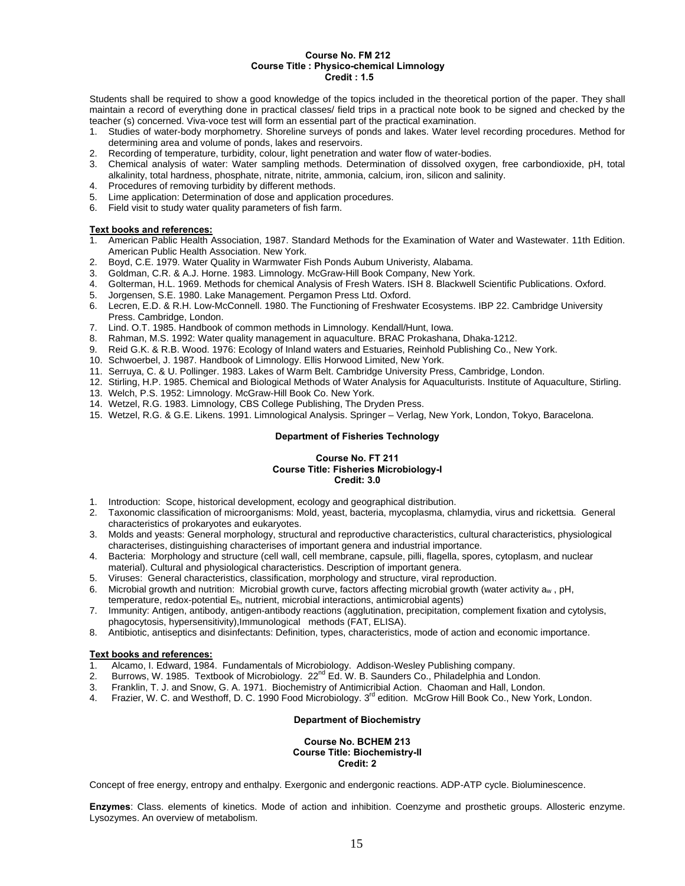#### **Course No. FM 212 Course Title : Physico-chemical Limnology Credit : 1.5**

Students shall be required to show a good knowledge of the topics included in the theoretical portion of the paper. They shall maintain a record of everything done in practical classes/ field trips in a practical note book to be signed and checked by the teacher (s) concerned. Viva-voce test will form an essential part of the practical examination.

- 1. Studies of water-body morphometry. Shoreline surveys of ponds and lakes. Water level recording procedures. Method for determining area and volume of ponds, lakes and reservoirs.
- 2. Recording of temperature, turbidity, colour, light penetration and water flow of water-bodies.
- 3. Chemical analysis of water: Water sampling methods. Determination of dissolved oxygen, free carbondioxide, pH, total alkalinity, total hardness, phosphate, nitrate, nitrite, ammonia, calcium, iron, silicon and salinity.
- Procedures of removing turbidity by different methods.
- 5. Lime application: Determination of dose and application procedures.
- 6. Field visit to study water quality parameters of fish farm.

#### **Text books and references:**

- 1. American Pablic Health Association, 1987. Standard Methods for the Examination of Water and Wastewater. 11th Edition. American Public Health Association. New York.
- 2. Boyd, C.E. 1979. Water Quality in Warmwater Fish Ponds Aubum Univeristy, Alabama.
- 
- 3. Goldman, C.R. & A.J. Horne. 1983. Limnology. McGraw-Hill Book Company, New York. 4. Golterman, H.L. 1969. Methods for chemical Analysis of Fresh Waters. ISH 8. Blackwell Scientific Publications. Oxford.
- 5. Jorgensen, S.E. 1980. Lake Management. Pergamon Press Ltd. Oxford.
- 6. Lecren, E.D. & R.H. Low-McConnell. 1980. The Functioning of Freshwater Ecosystems. IBP 22. Cambridge University Press. Cambridge, London.
- 7. Lind. O.T. 1985. Handbook of common methods in Limnology. Kendall/Hunt, Iowa.
- 8. Rahman, M.S. 1992: Water quality management in aquaculture. BRAC Prokashana, Dhaka-1212.
- 9. Reid G.K. & R.B. Wood. 1976: Ecology of Inland waters and Estuaries, Reinhold Publishing Co., New York.
- 10. Schwoerbel, J. 1987. Handbook of Limnology. Ellis Horwood Limited, New York.
- 11. Serruya, C. & U. Pollinger. 1983. Lakes of Warm Belt. Cambridge University Press, Cambridge, London.
- 12. Stirling, H.P. 1985. Chemical and Biological Methods of Water Analysis for Aquaculturists. Institute of Aquaculture, Stirling.
- 13. Welch, P.S. 1952: Limnology. McGraw-Hill Book Co. New York.
- 14. Wetzel, R.G. 1983. Limnology, CBS College Publishing, The Dryden Press.
- 15. Wetzel, R.G. & G.E. Likens. 1991. Limnological Analysis. Springer Verlag, New York, London, Tokyo, Baracelona.

# **Department of Fisheries Technology**

#### **Course No. FT 211 Course Title: Fisheries Microbiology-I Credit: 3.0**

- 1. Introduction: Scope, historical development, ecology and geographical distribution.
- 2. Taxonomic classification of microorganisms: Mold, yeast, bacteria, mycoplasma, chlamydia, virus and rickettsia. General characteristics of prokaryotes and eukaryotes.
- 3. Molds and yeasts: General morphology, structural and reproductive characteristics, cultural characteristics, physiological characterises, distinguishing characterises of important genera and industrial importance.
- 4. Bacteria: Morphology and structure (cell wall, cell membrane, capsule, pilli, flagella, spores, cytoplasm, and nuclear material). Cultural and physiological characteristics. Description of important genera.
- 5. Viruses: General characteristics, classification, morphology and structure, viral reproduction.
- 6. Microbial growth and nutrition: Microbial growth curve, factors affecting microbial growth (water activity  $a_w$ , pH,
- temperature, redox-potential Eh, nutrient, microbial interactions, antimicrobial agents)
- 7. Immunity: Antigen, antibody, antigen-antibody reactions (agglutination, precipitation, complement fixation and cytolysis, phagocytosis, hypersensitivity),Immunological methods (FAT, ELISA).
- 8. Antibiotic, antiseptics and disinfectants: Definition, types, characteristics, mode of action and economic importance.

- **Text books and references:** Alcamo, I. Edward, 1984. Fundamentals of Microbiology. Addison-Wesley Publishing company.
- 2. Burrows, W. 1985. Textbook of Microbiology.  $22^{nd}$  Ed. W. B. Saunders Co., Philadelphia and London.
- 3. Franklin, T. J. and Snow, G. A. 1971. Biochemistry of Antimicribial Action. Chaoman and Hall, London.
- 4. Frazier, W. C. and Westhoff, D. C. 1990 Food Microbiology. 3<sup>rd</sup> edition. McGrow Hill Book Co., New York, London.

# **Department of Biochemistry**

#### **Course No. BCHEM 213 Course Title: Biochemistry-II Credit: 2**

Concept of free energy, entropy and enthalpy. Exergonic and endergonic reactions. ADP-ATP cycle. Bioluminescence.

**Enzymes**: Class. elements of kinetics. Mode of action and inhibition. Coenzyme and prosthetic groups. Allosteric enzyme. Lysozymes. An overview of metabolism.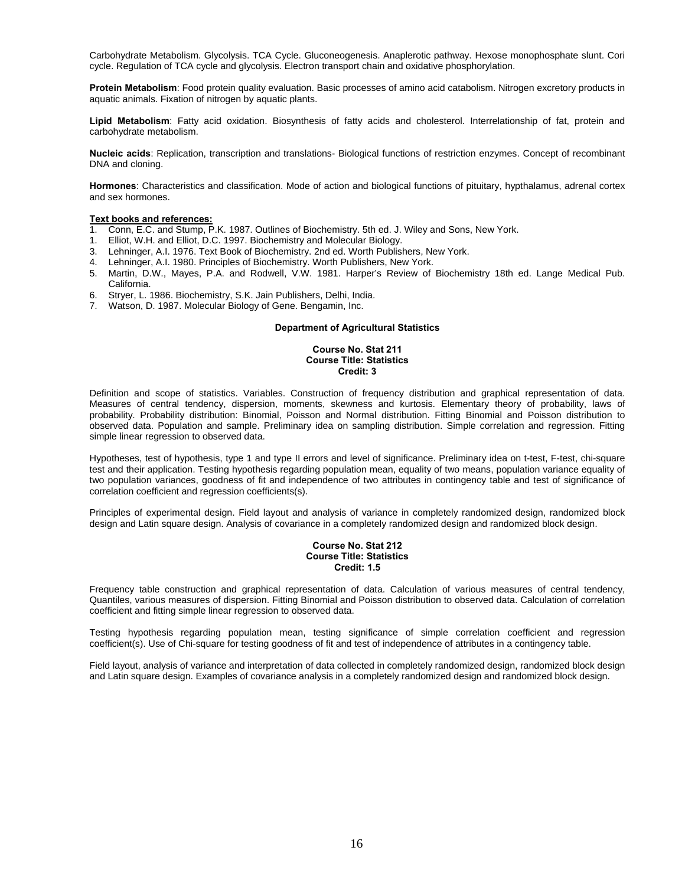Carbohydrate Metabolism. Glycolysis. TCA Cycle. Gluconeogenesis. Anaplerotic pathway. Hexose monophosphate slunt. Cori cycle. Regulation of TCA cycle and glycolysis. Electron transport chain and oxidative phosphorylation.

**Protein Metabolism**: Food protein quality evaluation. Basic processes of amino acid catabolism. Nitrogen excretory products in aquatic animals. Fixation of nitrogen by aquatic plants.

**Lipid Metabolism**: Fatty acid oxidation. Biosynthesis of fatty acids and cholesterol. Interrelationship of fat, protein and carbohydrate metabolism.

**Nucleic acids**: Replication, transcription and translations- Biological functions of restriction enzymes. Concept of recombinant DNA and cloning.

**Hormones**: Characteristics and classification. Mode of action and biological functions of pituitary, hypthalamus, adrenal cortex and sex hormones.

#### **Text books and references:**

- 1. Conn, E.C. and Stump, P.K. 1987. Outlines of Biochemistry. 5th ed. J. Wiley and Sons, New York.<br>1. Elliot, W.H. and Elliot, D.C. 1997. Biochemistry and Molecular Biology.
- 1. Elliot, W.H. and Elliot, D.C. 1997. Biochemistry and Molecular Biology.
- 3. Lehninger, A.I. 1976. Text Book of Biochemistry. 2nd ed. Worth Publishers, New York.
- 4. Lehninger, A.I. 1980. Principles of Biochemistry. Worth Publishers, New York.
- 5. Martin, D.W., Mayes, P.A. and Rodwell, V.W. 1981. Harper's Review of Biochemistry 18th ed. Lange Medical Pub. California.
- 6. Stryer, L. 1986. Biochemistry, S.K. Jain Publishers, Delhi, India.
- 7. Watson, D. 1987. Molecular Biology of Gene. Bengamin, Inc.

#### **Department of Agricultural Statistics**

# **Course No. Stat 211 Course Title: Statistics Credit: 3**

Definition and scope of statistics. Variables. Construction of frequency distribution and graphical representation of data. Measures of central tendency, dispersion, moments, skewness and kurtosis. Elementary theory of probability, laws of probability. Probability distribution: Binomial, Poisson and Normal distribution. Fitting Binomial and Poisson distribution to observed data. Population and sample. Preliminary idea on sampling distribution. Simple correlation and regression. Fitting simple linear regression to observed data.

Hypotheses, test of hypothesis, type 1 and type II errors and level of significance. Preliminary idea on t-test, F-test, chi-square test and their application. Testing hypothesis regarding population mean, equality of two means, population variance equality of two population variances, goodness of fit and independence of two attributes in contingency table and test of significance of correlation coefficient and regression coefficients(s).

Principles of experimental design. Field layout and analysis of variance in completely randomized design, randomized block design and Latin square design. Analysis of covariance in a completely randomized design and randomized block design.

#### **Course No. Stat 212 Course Title: Statistics Credit: 1.5**

Frequency table construction and graphical representation of data. Calculation of various measures of central tendency, Quantiles, various measures of dispersion. Fitting Binomial and Poisson distribution to observed data. Calculation of correlation coefficient and fitting simple linear regression to observed data.

Testing hypothesis regarding population mean, testing significance of simple correlation coefficient and regression coefficient(s). Use of Chi-square for testing goodness of fit and test of independence of attributes in a contingency table.

Field layout, analysis of variance and interpretation of data collected in completely randomized design, randomized block design and Latin square design. Examples of covariance analysis in a completely randomized design and randomized block design.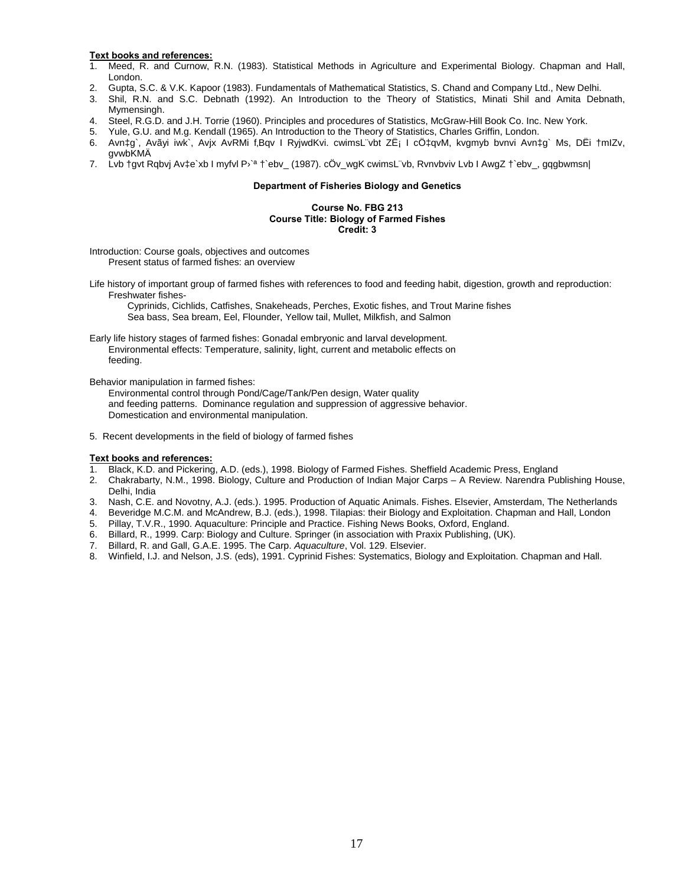- 1. Meed, R. and Curnow, R.N. (1983). Statistical Methods in Agriculture and Experimental Biology. Chapman and Hall, London.
- 2. Gupta, S.C. & V.K. Kapoor (1983). Fundamentals of Mathematical Statistics, S. Chand and Company Ltd., New Delhi.
- 3. Shil, R.N. and S.C. Debnath (1992). An Introduction to the Theory of Statistics, Minati Shil and Amita Debnath, Mymensingh.
- 4. Steel, R.G.D. and J.H. Torrie (1960). Principles and procedures of Statistics, McGraw-Hill Book Co. Inc. New York.
- 5. Yule, G.U. and M.g. Kendall (1965). An Introduction to the Theory of Statistics, Charles Griffin, London.
- 6. Avn‡g`, Avãyi iwk`, Avjx AvRMi f'Bqv I RyjwdKvi. cwimsL¨vbt ZË¡ I cÖ‡qvM, kvgmyb bvnvi Avn‡g` Ms, DËi †mIZv, gvwbKMÄ
- 7. Lvb †gvt Rqbvj Av‡e`xb I myfvl P›`ª †`ebv\_ (1987). cÖv\_wgK cwimsL¨vb, Rvnvbviv Lvb I AwgZ †`ebv\_, gqgbwmsn|

#### **Department of Fisheries Biology and Genetics**

# **Course No. FBG 213 Course Title: Biology of Farmed Fishes Credit: 3**

Introduction: Course goals, objectives and outcomes Present status of farmed fishes: an overview

Life history of important group of farmed fishes with references to food and feeding habit, digestion, growth and reproduction: Freshwater fishes-

Cyprinids, Cichlids, Catfishes, Snakeheads, Perches, Exotic fishes, and Trout Marine fishes Sea bass, Sea bream, Eel, Flounder, Yellow tail, Mullet, Milkfish, and Salmon

Early life history stages of farmed fishes: Gonadal embryonic and larval development. Environmental effects: Temperature, salinity, light, current and metabolic effects on feeding.

Behavior manipulation in farmed fishes:

- Environmental control through Pond/Cage/Tank/Pen design, Water quality and feeding patterns. Dominance regulation and suppression of aggressive behavior. Domestication and environmental manipulation.
- 5. Recent developments in the field of biology of farmed fishes

#### **Text books and references:**

1. Black, K.D. and Pickering, A.D. (eds.), 1998. Biology of Farmed Fishes. Sheffield Academic Press, England

- 2. Chakrabarty, N.M., 1998. Biology, Culture and Production of Indian Major Carps A Review. Narendra Publishing House, Delhi, India
- 3. Nash, C.E. and Novotny, A.J. (eds.). 1995. Production of Aquatic Animals. Fishes. Elsevier, Amsterdam, The Netherlands
- 4. Beveridge M.C.M. and McAndrew, B.J. (eds.), 1998. Tilapias: their Biology and Exploitation. Chapman and Hall, London
- 5. Pillay, T.V.R., 1990. Aquaculture: Principle and Practice. Fishing News Books, Oxford, England.
- 6. Billard, R., 1999. Carp: Biology and Culture. Springer (in association with Praxix Publishing, (UK).
- 7. Billard, R. and Gall, G.A.E. 1995. The Carp. *Aquaculture*, Vol. 129. Elsevier.
- 8. Winfield, I.J. and Nelson, J.S. (eds), 1991. Cyprinid Fishes: Systematics, Biology and Exploitation. Chapman and Hall.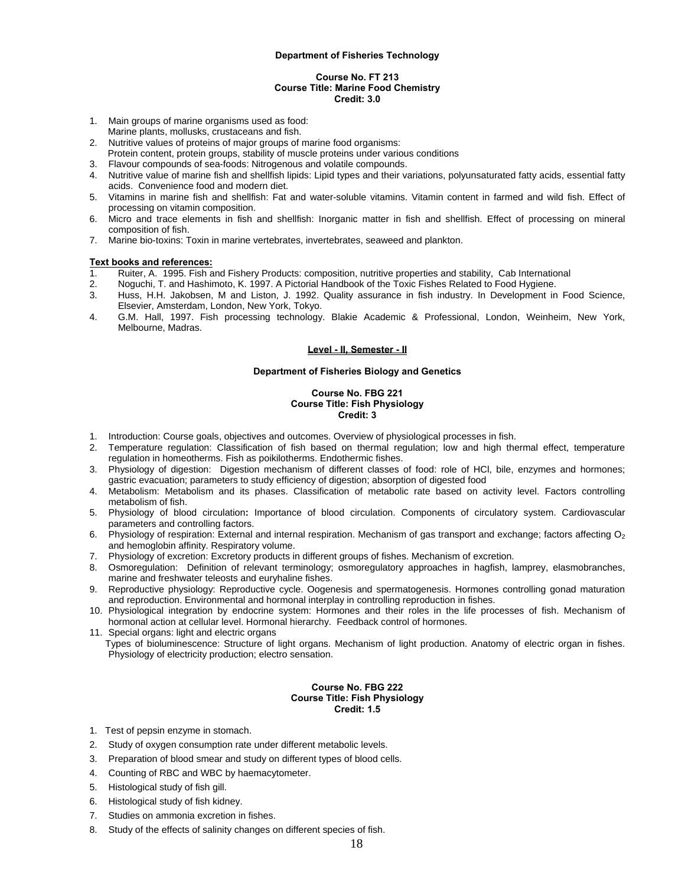#### **Course No. FT 213 Course Title: Marine Food Chemistry Credit: 3.0**

- 1. Main groups of marine organisms used as food:
- Marine plants, mollusks, crustaceans and fish.
- 2. Nutritive values of proteins of major groups of marine food organisms:
- Protein content, protein groups, stability of muscle proteins under various conditions
- 3. Flavour compounds of sea-foods: Nitrogenous and volatile compounds.
- 4. Nutritive value of marine fish and shellfish lipids: Lipid types and their variations, polyunsaturated fatty acids, essential fatty acids. Convenience food and modern diet.
- 5. Vitamins in marine fish and shellfish: Fat and water-soluble vitamins. Vitamin content in farmed and wild fish. Effect of processing on vitamin composition.
- 6. Micro and trace elements in fish and shellfish: Inorganic matter in fish and shellfish. Effect of processing on mineral composition of fish.
- 7. Marine bio-toxins: Toxin in marine vertebrates, invertebrates, seaweed and plankton.

#### **Text books and references:**

- 1. Ruiter, A. 1995. Fish and Fishery Products: composition, nutritive properties and stability, Cab International
- 2. Noguchi, T. and Hashimoto, K. 1997. A Pictorial Handbook of the Toxic Fishes Related to Food Hygiene.
- 3. Huss, H.H. Jakobsen, M and Liston, J. 1992. Quality assurance in fish industry. In Development in Food Science, Elsevier, Amsterdam, London, New York, Tokyo.
- 4. G.M. Hall, 1997. Fish processing technology. Blakie Academic & Professional, London, Weinheim, New York, Melbourne, Madras.

#### **Level - II, Semester - II**

#### **Department of Fisheries Biology and Genetics**

## **Course No. FBG 221 Course Title: Fish Physiology Credit: 3**

- 1. Introduction: Course goals, objectives and outcomes. Overview of physiological processes in fish.
- 2. Temperature regulation: Classification of fish based on thermal regulation; low and high thermal effect, temperature regulation in homeotherms. Fish as poikilotherms. Endothermic fishes.
- 3. Physiology of digestion:Digestion mechanism of different classes of food: role of HCl, bile, enzymes and hormones; gastric evacuation; parameters to study efficiency of digestion; absorption of digested food
- 4. Metabolism: Metabolism and its phases. Classification of metabolic rate based on activity level. Factors controlling metabolism of fish.
- 5. Physiology of blood circulation**:** Importance of blood circulation. Components of circulatory system. Cardiovascular parameters and controlling factors.
- 6. Physiology of respiration: External and internal respiration. Mechanism of gas transport and exchange; factors affecting  $O<sub>2</sub>$ and hemoglobin affinity. Respiratory volume.
- 7. Physiology of excretion: Excretory products in different groups of fishes. Mechanism of excretion.
- 8. Osmoregulation:Definition of relevant terminology; osmoregulatory approaches in hagfish, lamprey, elasmobranches, marine and freshwater teleosts and euryhaline fishes.
- 9. Reproductive physiology: Reproductive cycle. Oogenesis and spermatogenesis. Hormones controlling gonad maturation and reproduction. Environmental and hormonal interplay in controlling reproduction in fishes.
- 10. Physiological integration by endocrine system: Hormones and their roles in the life processes of fish. Mechanism of hormonal action at cellular level. Hormonal hierarchy. Feedback control of hormones.
- 11. Special organs: light and electric organs
- Types of bioluminescence: Structure of light organs. Mechanism of light production. Anatomy of electric organ in fishes. Physiology of electricity production; electro sensation.

#### **Course No. FBG 222 Course Title: Fish Physiology Credit: 1.5**

- 1. Test of pepsin enzyme in stomach.
- 2. Study of oxygen consumption rate under different metabolic levels.
- 3. Preparation of blood smear and study on different types of blood cells.
- 4. Counting of RBC and WBC by haemacytometer.
- 5. Histological study of fish gill.
- 6. Histological study of fish kidney.
- 7. Studies on ammonia excretion in fishes.
- 8. Study of the effects of salinity changes on different species of fish.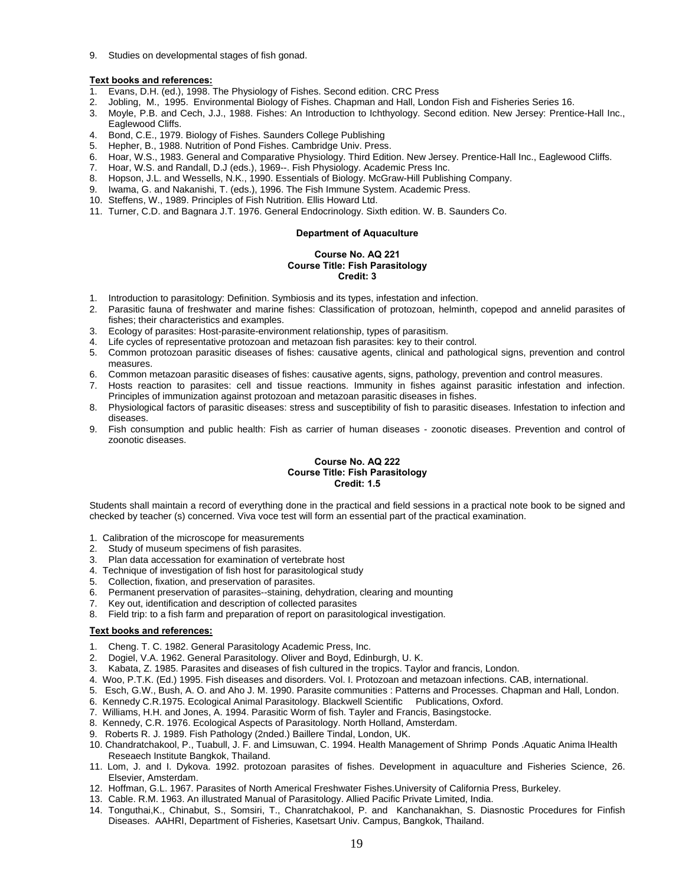9. Studies on developmental stages of fish gonad.

# **Text books and references:**

- 1. Evans, D.H. (ed.), 1998. The Physiology of Fishes. Second edition. CRC Press
- 2. Jobling, M., 1995. Environmental Biology of Fishes. Chapman and Hall, London Fish and Fisheries Series 16.
- 3. Moyle, P.B. and Cech, J.J., 1988. Fishes: An Introduction to Ichthyology. Second edition. New Jersey: Prentice-Hall Inc., Eaglewood Cliffs.
- 4. Bond, C.E., 1979. Biology of Fishes. Saunders College Publishing
- 5. Hepher, B., 1988. Nutrition of Pond Fishes. Cambridge Univ. Press.
- 6. Hoar, W.S., 1983. General and Comparative Physiology. Third Edition. New Jersey. Prentice-Hall Inc., Eaglewood Cliffs.
- 7. Hoar, W.S. and Randall, D.J (eds.), 1969--. Fish Physiology. Academic Press Inc.
- 8. Hopson, J.L. and Wessells, N.K., 1990. Essentials of Biology. McGraw-Hill Publishing Company.
- 9. Iwama, G. and Nakanishi, T. (eds.), 1996. The Fish Immune System. Academic Press.
- 10. Steffens, W., 1989. Principles of Fish Nutrition. Ellis Howard Ltd.
- 11. Turner, C.D. and Bagnara J.T. 1976. General Endocrinology. Sixth edition. W. B. Saunders Co.

# **Department of Aquaculture**

#### **Course No. AQ 221 Course Title: Fish Parasitology Credit: 3**

- 1. Introduction to parasitology: Definition. Symbiosis and its types, infestation and infection.
- 2. Parasitic fauna of freshwater and marine fishes: Classification of protozoan, helminth, copepod and annelid parasites of fishes; their characteristics and examples.
- 3. Ecology of parasites: Host-parasite-environment relationship, types of parasitism.
- Life cycles of representative protozoan and metazoan fish parasites: key to their control.
- 5. Common protozoan parasitic diseases of fishes: causative agents, clinical and pathological signs, prevention and control measures.
- 6. Common metazoan parasitic diseases of fishes: causative agents, signs, pathology, prevention and control measures.
- 7. Hosts reaction to parasites: cell and tissue reactions. Immunity in fishes against parasitic infestation and infection. Principles of immunization against protozoan and metazoan parasitic diseases in fishes.
- 8. Physiological factors of parasitic diseases: stress and susceptibility of fish to parasitic diseases. Infestation to infection and diseases.
- 9. Fish consumption and public health: Fish as carrier of human diseases zoonotic diseases. Prevention and control of zoonotic diseases.

# **Course No. AQ 222 Course Title: Fish Parasitology Credit: 1.5**

Students shall maintain a record of everything done in the practical and field sessions in a practical note book to be signed and checked by teacher (s) concerned. Viva voce test will form an essential part of the practical examination.

- 1. Calibration of the microscope for measurements
- 2. Study of museum specimens of fish parasites.
- Plan data accessation for examination of vertebrate host
- 4. Technique of investigation of fish host for parasitological study
- 5. Collection, fixation, and preservation of parasites.
- 6. Permanent preservation of parasites--staining, dehydration, clearing and mounting
- 7. Key out, identification and description of collected parasites
- 8. Field trip: to a fish farm and preparation of report on parasitological investigation.

- 1. Cheng. T. C. 1982. General Parasitology Academic Press, Inc.
- 2. Dogiel, V.A. 1962. General Parasitology. Oliver and Boyd, Edinburgh, U. K.
- 3. Kabata, Z. 1985. Parasites and diseases of fish cultured in the tropics. Taylor and francis, London.
- 4. Woo, P.T.K. (Ed.) 1995. Fish diseases and disorders. Vol. I. Protozoan and metazoan infections. CAB, international.
- 5. Esch, G.W., Bush, A. O. and Aho J. M. 1990. Parasite communities : Patterns and Processes. Chapman and Hall, London.
- 6. Kennedy C.R.1975. Ecological Animal Parasitology. Blackwell Scientific Publications, Oxford.
- 7. Williams, H.H. and Jones, A. 1994. Parasitic Worm of fish. Tayler and Francis, Basingstocke.
- 8. Kennedy, C.R. 1976. Ecological Aspects of Parasitology. North Holland, Amsterdam.
- 9. Roberts R. J. 1989. Fish Pathology (2nded.) Baillere Tindal, London, UK.
- 10. Chandratchakool, P., Tuabull, J. F. and Limsuwan, C. 1994. Health Management of Shrimp Ponds .Aquatic Anima lHealth Reseaech Institute Bangkok, Thailand.
- 11. Lom, J. and I. Dykova. 1992. protozoan parasites of fishes. Development in aquaculture and Fisheries Science, 26. Elsevier, Amsterdam.
- 12. Hoffman, G.L. 1967. Parasites of North Americal Freshwater Fishes.University of California Press, Burkeley.
- 13. Cable. R.M. 1963. An illustrated Manual of Parasitology. Allied Pacific Private Limited, India.
- 14. Tonguthai,K., Chinabut, S., Somsiri, T., Chanratchakool, P. and Kanchanakhan, S. Diasnostic Procedures for Finfish Diseases. AAHRI, Department of Fisheries, Kasetsart Univ. Campus, Bangkok, Thailand.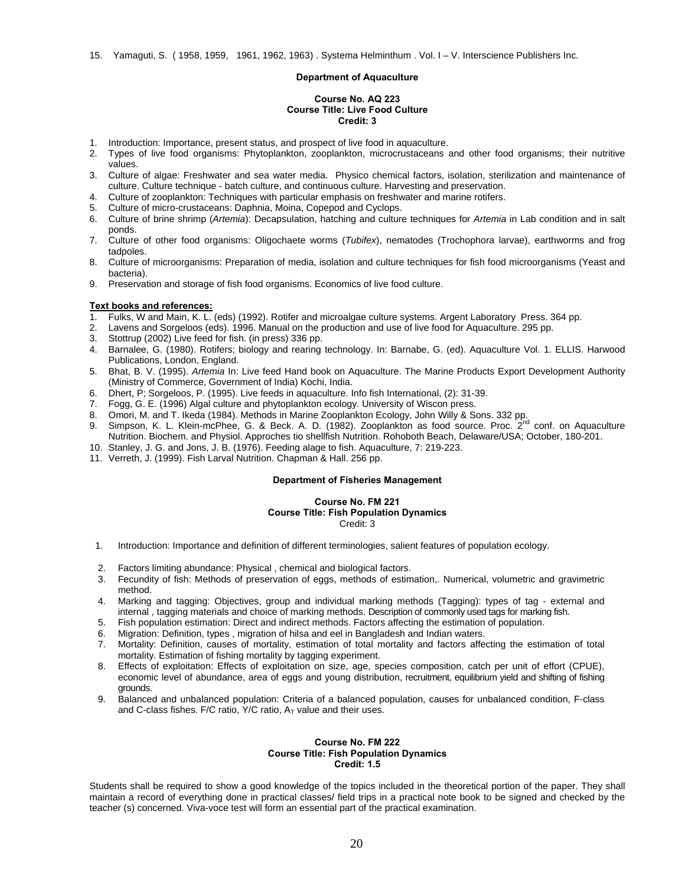#### **Department of Aquaculture**

#### **Course No. AQ 223 Course Title: Live Food Culture Credit: 3**

- 1. Introduction: Importance, present status, and prospect of live food in aquaculture.
- 2. Types of live food organisms: Phytoplankton, zooplankton, microcrustaceans and other food organisms; their nutritive values.
- 3. Culture of algae: Freshwater and sea water media. Physico chemical factors, isolation, sterilization and maintenance of culture. Culture technique - batch culture, and continuous culture. Harvesting and preservation.
- 4. Culture of zooplankton: Techniques with particular emphasis on freshwater and marine rotifers.
- 5. Culture of micro-crustaceans: Daphnia, Moina, Copepod and Cyclops.
- 6. Culture of brine shrimp (*Artemia*): Decapsulation, hatching and culture techniques for *Artemia* in Lab condition and in salt ponds.
- 7. Culture of other food organisms: Oligochaete worms (*Tubifex*), nematodes (Trochophora larvae), earthworms and frog tadpoles.
- 8. Culture of microorganisms: Preparation of media, isolation and culture techniques for fish food microorganisms (Yeast and bacteria).
- 9. Preservation and storage of fish food organisms. Economics of live food culture.

#### **Text books and references:**

- 1. Fulks, W and Main, K. L. (eds) (1992). Rotifer and microalgae culture systems. Argent Laboratory Press. 364 pp.
- 2. Lavens and Sorgeloos (eds). 1996. Manual on the production and use of live food for Aquaculture. 295 pp.
- 3. Stottrup (2002) Live feed for fish. (in press) 336 pp.
- 4. Barnalee, G. (1980). Rotifers; biology and rearing technology. In: Barnabe, G. (ed). Aquaculture Vol. 1. ELLIS. Harwood Publications, London, England.
- 5. Bhat, B. V. (1995). *Artemia* In: Live feed Hand book on Aquaculture. The Marine Products Export Development Authority (Ministry of Commerce, Government of India) Kochi, India.
- 6. Dhert, P; Sorgeloos, P. (1995). Live feeds in aquaculture. Info fish International, (2): 31-39.
- 7. Fogg, G. E. (1996) Algal culture and phytoplankton ecology. University of Wiscon press.
- 8. Omori, M. and T. Ikeda (1984). Methods in Marine Zooplankton Ecology, John Willy & Sons. 332 pp.
- 9. Simpson, K. L. Klein-mcPhee, G. & Beck. A. D. (1982). Zooplankton as food source. Proc. 2<sup>nd</sup> conf. on Aquaculture Nutrition. Biochem. and Physiol. Approches tio shellfish Nutrition. Rohoboth Beach, Delaware/USA; October, 180-201.
- 10. Stanley, J. G. and Jons, J. B. (1976). Feeding alage to fish. Aquaculture, 7: 219-223.
- 11. Verreth, J. (1999). Fish Larval Nutrition. Chapman & Hall. 256 pp.

# **Department of Fisheries Management**

# **Course No. FM 221 Course Title: Fish Population Dynamics**  Credit: 3

- 1. Introduction: Importance and definition of different terminologies, salient features of population ecology.
- 2. Factors limiting abundance: Physical , chemical and biological factors.
- 3. Fecundity of fish: Methods of preservation of eggs, methods of estimation,. Numerical, volumetric and gravimetric method.
- 4. Marking and tagging: Objectives, group and individual marking methods (Tagging): types of tag external and internal , tagging materials and choice of marking methods. Description of commonly used tags for marking fish.
- 5. Fish population estimation: Direct and indirect methods. Factors affecting the estimation of population.
- 6. Migration: Definition, types , migration of hilsa and eel in Bangladesh and Indian waters.
- 7. Mortality: Definition, causes of mortality, estimation of total mortality and factors affecting the estimation of total mortality. Estimation of fishing mortality by tagging experiment.
- 8. Effects of exploitation: Effects of exploitation on size, age, species composition, catch per unit of effort (CPUE), economic level of abundance, area of eggs and young distribution, recruitment, equilibrium yield and shifting of fishing grounds.
- 9. Balanced and unbalanced population: Criteria of a balanced population, causes for unbalanced condition, F-class and C-class fishes. F/C ratio, Y/C ratio,  $A_T$  value and their uses.

#### **Course No. FM 222 Course Title: Fish Population Dynamics Credit: 1.5**

Students shall be required to show a good knowledge of the topics included in the theoretical portion of the paper. They shall maintain a record of everything done in practical classes/ field trips in a practical note book to be signed and checked by the teacher (s) concerned. Viva-voce test will form an essential part of the practical examination.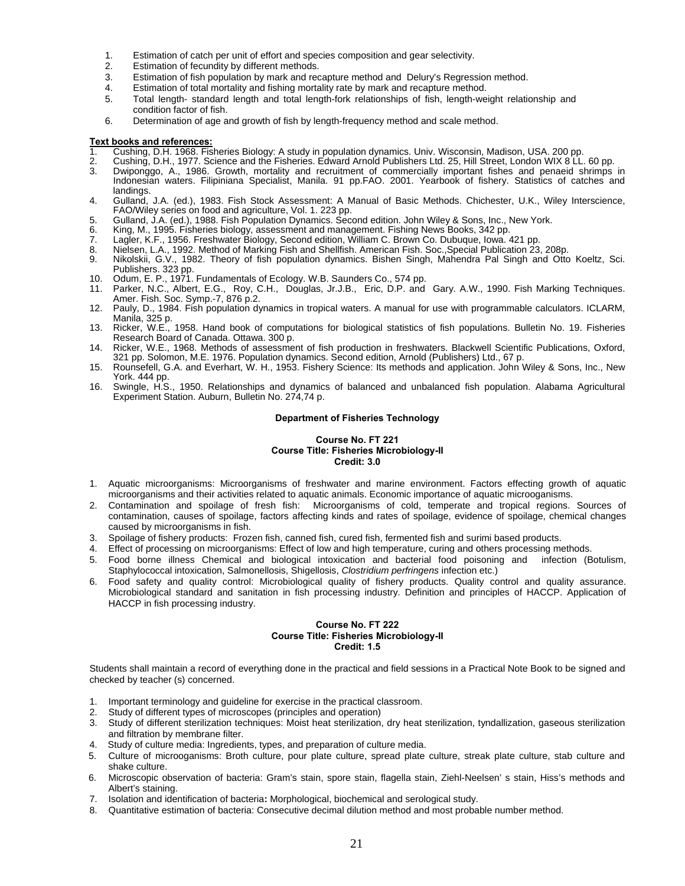- 1. Estimation of catch per unit of effort and species composition and gear selectivity.
- 2. Estimation of fecundity by different methods.
- 3. Estimation of fish population by mark and recapture method and Delury's Regression method.
- 4. Estimation of total mortality and fishing mortality rate by mark and recapture method.<br>5. Total length- standard length and total length-fork relationships of fish, length-we
- 5. Total length- standard length and total length-fork relationships of fish, length-weight relationship and condition factor of fish.
- 6. Determination of age and growth of fish by length-frequency method and scale method.

- 1. Cushing, D.H. 1968. Fisheries Biology: A study in population dynamics. Univ. Wisconsin, Madison, USA. 200 pp.
- 2. Cushing, D.H., 1977. Science and the Fisheries. Edward Arnold Publishers Ltd. 25, Hill Street, London WIX 8 LL. 60 pp.
- 3. Dwiponggo, A., 1986. Growth, mortality and recruitment of commercially important fishes and penaeid shrimps in Indonesian waters. Filipiniana Specialist, Manila. 91 pp.FAO. 2001. Yearbook of fishery. Statistics of catches and landings.
- 4. Gulland, J.A. (ed.), 1983. Fish Stock Assessment: A Manual of Basic Methods. Chichester, U.K., Wiley Interscience, FAO/Wiley series on food and agriculture, Vol. 1. 223 pp.
- 5. Gulland, J.A. (ed.), 1988. Fish Population Dynamics. Second edition. John Wiley & Sons, Inc., New York.
- 6. King, M., 1995. Fisheries biology, assessment and management. Fishing News Books, 342 pp.
- Lagler, K.F., 1956. Freshwater Biology, Second edition, William C. Brown Co. Dubuque, Iowa. 421 pp.
- 8. Nielsen, L.A., 1992. Method of Marking Fish and Shellfish. American Fish. Soc.,Special Publication 23, 208p.
- 9. Nikolskii, G.V., 1982. Theory of fish population dynamics. Bishen Singh, Mahendra Pal Singh and Otto Koeltz, Sci. Publishers. 323 pp.
- 10. Odum, E. P., 1971. Fundamentals of Ecology. W.B. Saunders Co., 574 pp.
- 11. Parker, N.C., Albert, E.G., Roy, C.H., Douglas, Jr.J.B., Eric, D.P. and Gary. A.W., 1990. Fish Marking Techniques. Amer. Fish. Soc. Symp.-7, 876 p.2.
- 12. Pauly, D., 1984. Fish population dynamics in tropical waters. A manual for use with programmable calculators. ICLARM, Manila, 325 p.
- 13. Ricker, W.E., 1958. Hand book of computations for biological statistics of fish populations. Bulletin No. 19. Fisheries Research Board of Canada. Ottawa. 300 p.
- 14. Ricker, W.E., 1968. Methods of assessment of fish production in freshwaters. Blackwell Scientific Publications, Oxford, 321 pp. Solomon, M.E. 1976. Population dynamics. Second edition, Arnold (Publishers) Ltd., 67 p.
- 15. Rounsefell, G.A. and Everhart, W. H., 1953. Fishery Science: Its methods and application. John Wiley & Sons, Inc., New York. 444 pp.
- 16. Swingle, H.S., 1950. Relationships and dynamics of balanced and unbalanced fish population. Alabama Agricultural Experiment Station. Auburn, Bulletin No. 274,74 p.

# **Department of Fisheries Technology**

#### **Course No. FT 221 Course Title: Fisheries Microbiology-II Credit: 3.0**

- 1. Aquatic microorganisms: Microorganisms of freshwater and marine environment. Factors effecting growth of aquatic microorganisms and their activities related to aquatic animals. Economic importance of aquatic microoganisms.
- 2. Contamination and spoilage of fresh fish: Microorganisms of cold, temperate and tropical regions. Sources of contamination, causes of spoilage, factors affecting kinds and rates of spoilage, evidence of spoilage, chemical changes caused by microorganisms in fish.
- 3. Spoilage of fishery products: Frozen fish, canned fish, cured fish, fermented fish and surimi based products.
- 4. Effect of processing on microorganisms: Effect of low and high temperature, curing and others processing methods.
- 5. Food borne illness Chemical and biological intoxication and bacterial food poisoning and infection (Botulism, Staphylococcal intoxication, Salmonellosis, Shigellosis, *Clostridium perfringens* infection etc.)
- 6. Food safety and quality control: Microbiological quality of fishery products. Quality control and quality assurance. Microbiological standard and sanitation in fish processing industry. Definition and principles of HACCP. Application of HACCP in fish processing industry.

#### **Course No. FT 222 Course Title: Fisheries Microbiology-II Credit: 1.5**

Students shall maintain a record of everything done in the practical and field sessions in a Practical Note Book to be signed and checked by teacher (s) concerned.

- 1. Important terminology and guideline for exercise in the practical classroom.
- 2. Study of different types of microscopes (principles and operation)
- 3. Study of different sterilization techniques: Moist heat sterilization, dry heat sterilization, tyndallization, gaseous sterilization and filtration by membrane filter.
- 4. Study of culture media: Ingredients, types, and preparation of culture media.
- 5. Culture of microoganisms: Broth culture, pour plate culture, spread plate culture, streak plate culture, stab culture and shake culture.
- 6. Microscopic observation of bacteria: Gram's stain, spore stain, flagella stain, Ziehl-Neelsen' s stain, Hiss's methods and Albert's staining.
- 7. Isolation and identification of bacteria**:** Morphological, biochemical and serological study.
- 8. Quantitative estimation of bacteria: Consecutive decimal dilution method and most probable number method.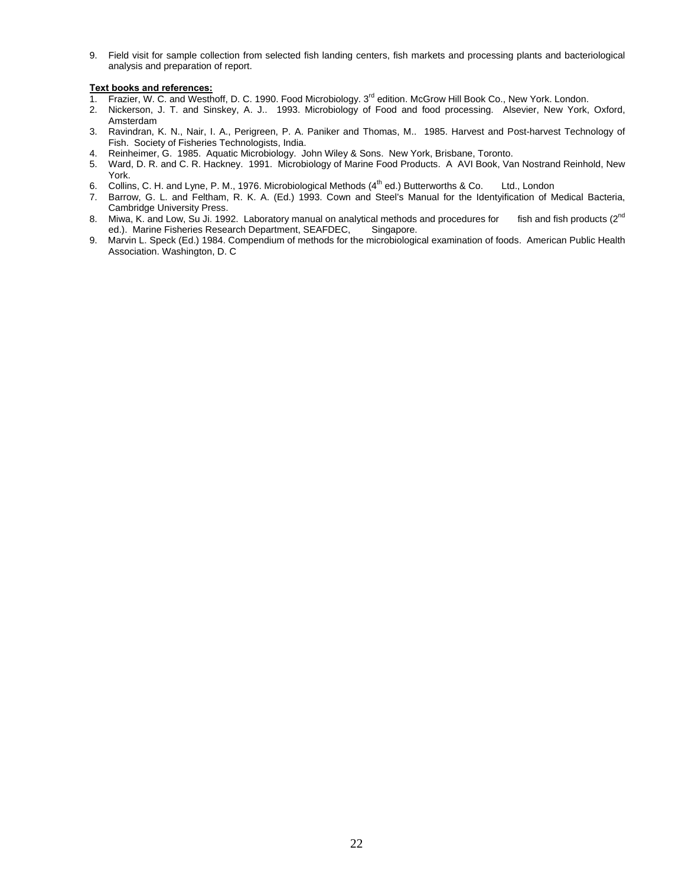9. Field visit for sample collection from selected fish landing centers, fish markets and processing plants and bacteriological analysis and preparation of report.

- 1. Frazier, W. C. and Westhoff, D. C. 1990. Food Microbiology. 3<sup>rd</sup> edition. McGrow Hill Book Co., New York. London.
- 2. Nickerson, J. T. and Sinskey, A. J.. 1993. Microbiology of Food and food processing. Alsevier, New York, Oxford, Amsterdam
- 3. Ravindran, K. N., Nair, I. A., Perigreen, P. A. Paniker and Thomas, M.. 1985. Harvest and Post-harvest Technology of Fish. Society of Fisheries Technologists, India.
- 4. Reinheimer, G. 1985. Aquatic Microbiology. John Wiley & Sons. New York, Brisbane, Toronto.
- 5. Ward, D. R. and C. R. Hackney. 1991. Microbiology of Marine Food Products. A AVI Book, Van Nostrand Reinhold, New York.
- 6. Collins, C. H. and Lyne, P. M., 1976. Microbiological Methods (4th ed.) Butterworths & Co. Ltd., London
- 7. Barrow, G. L. and Feltham, R. K. A. (Ed.) 1993. Cown and Steel's Manual for the Identyification of Medical Bacteria, Cambridge University Press.
- 8. Miwa, K. and Low, Su Ji. 1992. Laboratory manual on analytical methods and procedures for fish and fish products (2<sup>nd</sup>) ed.). Marine Fisheries Research Department, SEAFDEC, Singapore.
- 9. Marvin L. Speck (Ed.) 1984. Compendium of methods for the microbiological examination of foods. American Public Health Association. Washington, D. C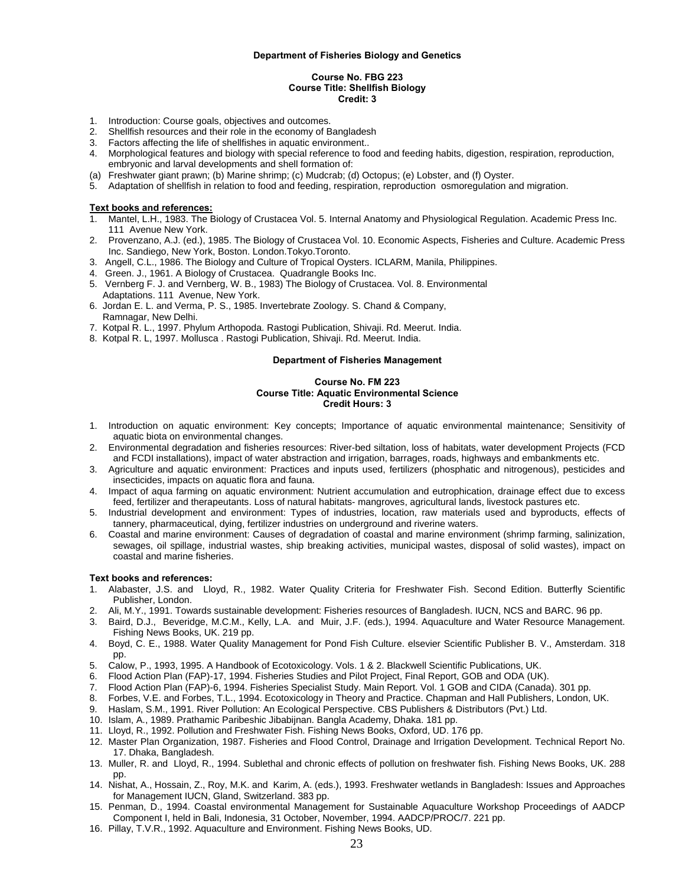#### **Department of Fisheries Biology and Genetics**

#### **Course No. FBG 223 Course Title: Shellfish Biology Credit: 3**

- 1. Introduction: Course goals, objectives and outcomes.
- 2. Shellfish resources and their role in the economy of Bangladesh
- 3. Factors affecting the life of shellfishes in aquatic environment..
- 4. Morphological features and biology with special reference to food and feeding habits, digestion, respiration, reproduction, embryonic and larval developments and shell formation of:
- (a) Freshwater giant prawn; (b) Marine shrimp; (c) Mudcrab; (d) Octopus; (e) Lobster, and (f) Oyster.
- 5. Adaptation of shellfish in relation to food and feeding, respiration, reproduction osmoregulation and migration.

#### **Text books and references:**

- 1. Mantel, L.H., 1983. The Biology of Crustacea Vol. 5. Internal Anatomy and Physiological Regulation. Academic Press Inc. 111 Avenue New York.
- 2. Provenzano, A.J. (ed.), 1985. The Biology of Crustacea Vol. 10. Economic Aspects, Fisheries and Culture. Academic Press Inc. Sandiego, New York, Boston. London.Tokyo.Toronto.
- 3. Angell, C.L., 1986. The Biology and Culture of Tropical Oysters. ICLARM, Manila, Philippines.
- 4. Green. J., 1961. A Biology of Crustacea. Quadrangle Books Inc.
- 5. Vernberg F. J. and Vernberg, W. B., 1983) The Biology of Crustacea. Vol. 8. Environmental Adaptations. 111 Avenue, New York.
- 6. Jordan E. L. and Verma, P. S., 1985. Invertebrate Zoology. S. Chand & Company, Ramnagar, New Delhi.
- 7. Kotpal R. L., 1997. Phylum Arthopoda. Rastogi Publication, Shivaji. Rd. Meerut. India.
- 8. Kotpal R. L, 1997. Mollusca . Rastogi Publication, Shivaji. Rd. Meerut. India.

#### **Department of Fisheries Management**

#### **Course No. FM 223 Course Title: Aquatic Environmental Science Credit Hours: 3**

- 1. Introduction on aquatic environment: Key concepts; Importance of aquatic environmental maintenance; Sensitivity of aquatic biota on environmental changes.
- 2. Environmental degradation and fisheries resources: River-bed siltation, loss of habitats, water development Projects (FCD and FCDI installations), impact of water abstraction and irrigation, barrages, roads, highways and embankments etc.
- 3. Agriculture and aquatic environment: Practices and inputs used, fertilizers (phosphatic and nitrogenous), pesticides and insecticides, impacts on aquatic flora and fauna.
- 4. Impact of aqua farming on aquatic environment: Nutrient accumulation and eutrophication, drainage effect due to excess feed, fertilizer and therapeutants. Loss of natural habitats- mangroves, agricultural lands, livestock pastures etc.
- 5. Industrial development and environment: Types of industries, location, raw materials used and byproducts, effects of tannery, pharmaceutical, dying, fertilizer industries on underground and riverine waters.
- 6. Coastal and marine environment: Causes of degradation of coastal and marine environment (shrimp farming, salinization, sewages, oil spillage, industrial wastes, ship breaking activities, municipal wastes, disposal of solid wastes), impact on coastal and marine fisheries.

- 1. Alabaster, J.S. and Lloyd, R., 1982. Water Quality Criteria for Freshwater Fish. Second Edition. Butterfly Scientific Publisher, London.
- 2. Ali, M.Y., 1991. Towards sustainable development: Fisheries resources of Bangladesh. IUCN, NCS and BARC. 96 pp.
- 3. Baird, D.J., Beveridge, M.C.M., Kelly, L.A. and Muir, J.F. (eds.), 1994. Aquaculture and Water Resource Management. Fishing News Books, UK. 219 pp.
- 4. Boyd, C. E., 1988. Water Quality Management for Pond Fish Culture. elsevier Scientific Publisher B. V., Amsterdam. 318 pp.
- 5. Calow, P., 1993, 1995. A Handbook of Ecotoxicology. Vols. 1 & 2. Blackwell Scientific Publications, UK.
- 6. Flood Action Plan (FAP)-17, 1994. Fisheries Studies and Pilot Project, Final Report, GOB and ODA (UK).
- 7. Flood Action Plan (FAP)-6, 1994. Fisheries Specialist Study. Main Report. Vol. 1 GOB and CIDA (Canada). 301 pp.
- 8. Forbes, V.E. and Forbes, T.L., 1994. Ecotoxicology in Theory and Practice. Chapman and Hall Publishers, London, UK.
- 9. Haslam, S.M., 1991. River Pollution: An Ecological Perspective. CBS Publishers & Distributors (Pvt.) Ltd.
- 10. Islam, A., 1989. Prathamic Paribeshic Jibabijnan. Bangla Academy, Dhaka. 181 pp.
- 11. Lloyd, R., 1992. Pollution and Freshwater Fish. Fishing News Books, Oxford, UD. 176 pp.
- 12. Master Plan Organization, 1987. Fisheries and Flood Control, Drainage and Irrigation Development. Technical Report No. 17. Dhaka, Bangladesh.
- 13. Muller, R. and Lloyd, R., 1994. Sublethal and chronic effects of pollution on freshwater fish. Fishing News Books, UK. 288 pp.
- 14. Nishat, A., Hossain, Z., Roy, M.K. and Karim, A. (eds.), 1993. Freshwater wetlands in Bangladesh: Issues and Approaches for Management IUCN, Gland, Switzerland. 383 pp.
- 15. Penman, D., 1994. Coastal environmental Management for Sustainable Aquaculture Workshop Proceedings of AADCP Component I, held in Bali, Indonesia, 31 October, November, 1994. AADCP/PROC/7. 221 pp.
- 16. Pillay, T.V.R., 1992. Aquaculture and Environment. Fishing News Books, UD.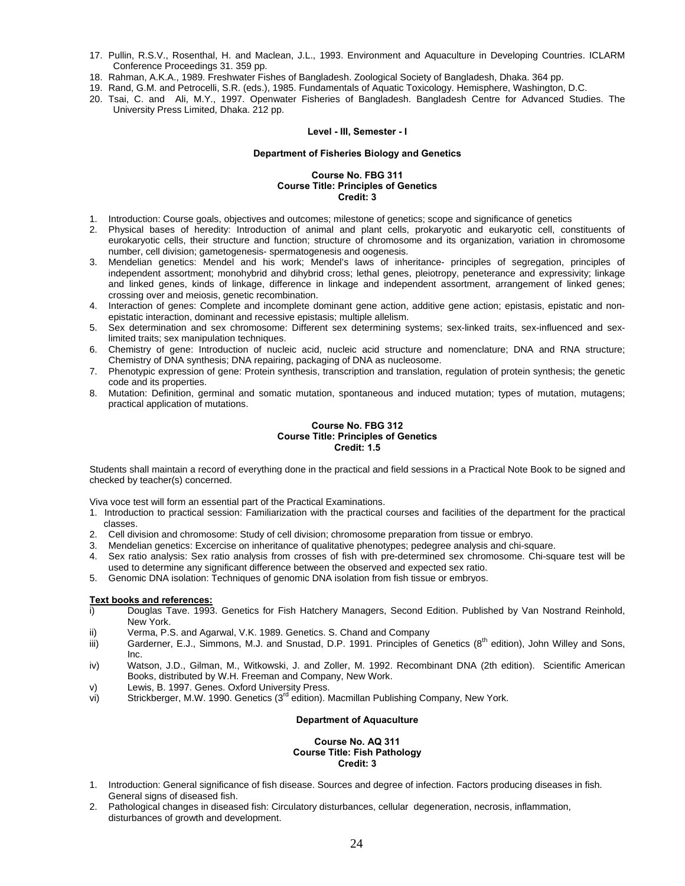- 17. Pullin, R.S.V., Rosenthal, H. and Maclean, J.L., 1993. Environment and Aquaculture in Developing Countries. ICLARM Conference Proceedings 31. 359 pp.
- 18. Rahman, A.K.A., 1989. Freshwater Fishes of Bangladesh. Zoological Society of Bangladesh, Dhaka. 364 pp.
- 19. Rand, G.M. and Petrocelli, S.R. (eds.), 1985. Fundamentals of Aquatic Toxicology. Hemisphere, Washington, D.C.
- 20. Tsai, C. and Ali, M.Y., 1997. Openwater Fisheries of Bangladesh. Bangladesh Centre for Advanced Studies. The University Press Limited, Dhaka. 212 pp.

#### **Level - III, Semester - I**

# **Department of Fisheries Biology and Genetics**

# **Course No. FBG 311 Course Title: Principles of Genetics Credit: 3**

- 1. Introduction: Course goals, objectives and outcomes; milestone of genetics; scope and significance of genetics
- 2. Physical bases of heredity: Introduction of animal and plant cells, prokaryotic and eukaryotic cell, constituents of eurokaryotic cells, their structure and function; structure of chromosome and its organization, variation in chromosome number, cell division; gametogenesis- spermatogenesis and oogenesis.
- 3. Mendelian genetics: Mendel and his work; Mendel's laws of inheritance- principles of segregation, principles of independent assortment; monohybrid and dihybrid cross; lethal genes, pleiotropy, peneterance and expressivity; linkage and linked genes, kinds of linkage, difference in linkage and independent assortment, arrangement of linked genes; crossing over and meiosis, genetic recombination.
- 4. Interaction of genes: Complete and incomplete dominant gene action, additive gene action; epistasis, epistatic and nonepistatic interaction, dominant and recessive epistasis; multiple allelism.
- 5. Sex determination and sex chromosome: Different sex determining systems; sex-linked traits, sex-influenced and sexlimited traits; sex manipulation techniques.
- 6. Chemistry of gene: Introduction of nucleic acid, nucleic acid structure and nomenclature; DNA and RNA structure; Chemistry of DNA synthesis; DNA repairing, packaging of DNA as nucleosome.
- 7. Phenotypic expression of gene: Protein synthesis, transcription and translation, regulation of protein synthesis; the genetic code and its properties.
- 8. Mutation: Definition, germinal and somatic mutation, spontaneous and induced mutation; types of mutation, mutagens; practical application of mutations.

# **Course No. FBG 312 Course Title: Principles of Genetics Credit: 1.5**

Students shall maintain a record of everything done in the practical and field sessions in a Practical Note Book to be signed and checked by teacher(s) concerned.

Viva voce test will form an essential part of the Practical Examinations.

- 1. Introduction to practical session: Familiarization with the practical courses and facilities of the department for the practical classes.
- 2. Cell division and chromosome: Study of cell division; chromosome preparation from tissue or embryo.
- 3. Mendelian genetics: Excercise on inheritance of qualitative phenotypes; pedegree analysis and chi-square.
- 4. Sex ratio analysis: Sex ratio analysis from crosses of fish with pre-determined sex chromosome. Chi-square test will be used to determine any significant difference between the observed and expected sex ratio.
- 5. Genomic DNA isolation: Techniques of genomic DNA isolation from fish tissue or embryos.

# **Text books and references:**

- i) Douglas Tave. 1993. Genetics for Fish Hatchery Managers, Second Edition. Published by Van Nostrand Reinhold, New York.
- ii) Verma, P.S. and Agarwal, V.K. 1989. Genetics. S. Chand and Company
- iii) Garderner, E.J., Simmons, M.J. and Snustad, D.P. 1991. Principles of Genetics  $(8^{th}$  edition), John Willey and Sons, Inc.
- iv) Watson, J.D., Gilman, M., Witkowski, J. and Zoller, M. 1992. Recombinant DNA (2th edition). Scientific American Books, distributed by W.H. Freeman and Company, New Work.
- v) Lewis, B. 1997. Genes. Oxford University Press.
- vi) Strickberger, M.W. 1990. Genetics (3<sup>rd</sup> edition). Macmillan Publishing Company, New York.

# **Department of Aquaculture**

#### **Course No. AQ 311 Course Title: Fish Pathology Credit: 3**

- 1. Introduction: General significance of fish disease. Sources and degree of infection. Factors producing diseases in fish. General signs of diseased fish.
- 2. Pathological changes in diseased fish: Circulatory disturbances, cellular degeneration, necrosis, inflammation, disturbances of growth and development.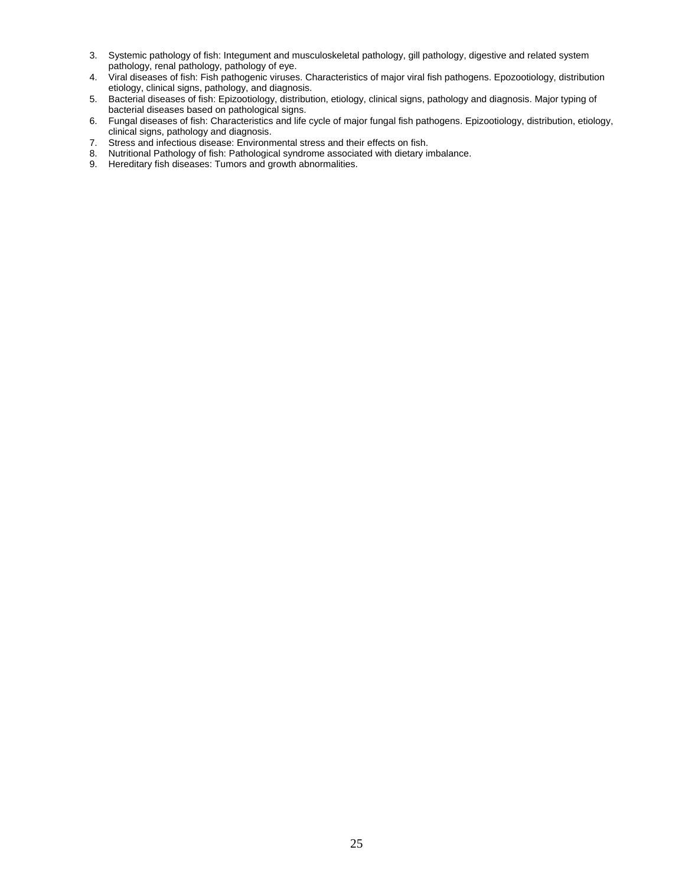- 3. Systemic pathology of fish: Integument and musculoskeletal pathology, gill pathology, digestive and related system pathology, renal pathology, pathology of eye.
- 4. Viral diseases of fish: Fish pathogenic viruses. Characteristics of major viral fish pathogens. Epozootiology, distribution etiology, clinical signs, pathology, and diagnosis.
- 5. Bacterial diseases of fish: Epizootiology, distribution, etiology, clinical signs, pathology and diagnosis. Major typing of bacterial diseases based on pathological signs.
- 6. Fungal diseases of fish: Characteristics and life cycle of major fungal fish pathogens. Epizootiology, distribution, etiology, clinical signs, pathology and diagnosis.
- 7. Stress and infectious disease: Environmental stress and their effects on fish.
- 8. Nutritional Pathology of fish: Pathological syndrome associated with dietary imbalance. 8. Nutritional Pathology of fish: Pathological syndrome associa<br>9. Hereditary fish diseases: Tumors and growth abnormalities.
-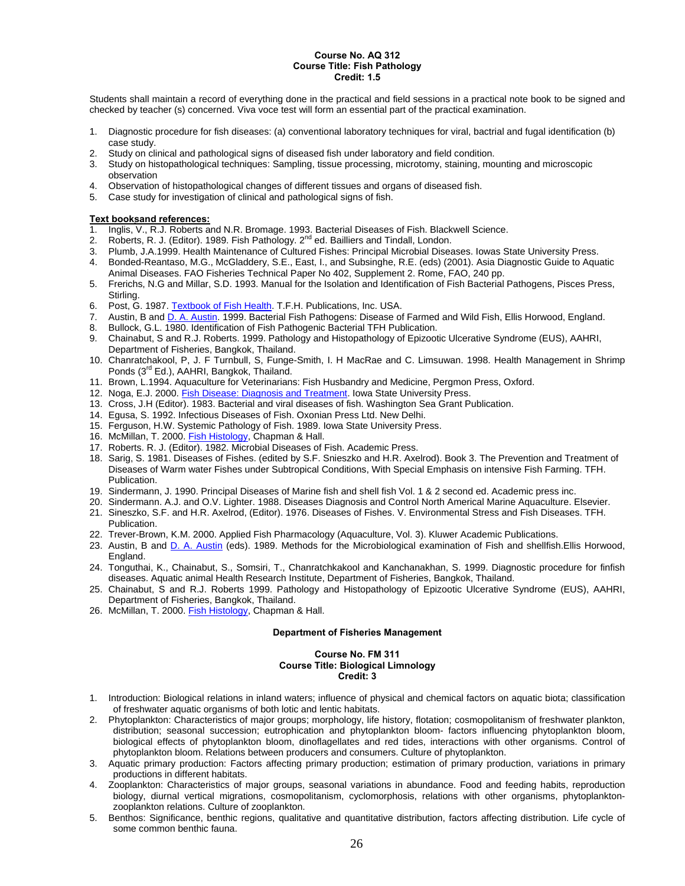#### **Course No. AQ 312 Course Title: Fish Pathology Credit: 1.5**

Students shall maintain a record of everything done in the practical and field sessions in a practical note book to be signed and checked by teacher (s) concerned. Viva voce test will form an essential part of the practical examination.

- 1. Diagnostic procedure for fish diseases: (a) conventional laboratory techniques for viral, bactrial and fugal identification (b) case study.
- 2. Study on clinical and pathological signs of diseased fish under laboratory and field condition.
- 3. Study on histopathological techniques: Sampling, tissue processing, microtomy, staining, mounting and microscopic observation
- 4. Observation of histopathological changes of different tissues and organs of diseased fish.
- 5. Case study for investigation of clinical and pathological signs of fish.

## **Text booksand references:**

- 1. Inglis, V., R.J. Roberts and N.R. Bromage. 1993. Bacterial Diseases of Fish. Blackwell Science.
- 2. Roberts, R. J. (Editor). 1989. Fish Pathology. 2<sup>nd</sup> ed. Bailliers and Tindall, London.
- 3. Plumb, J.A.1999. Health Maintenance of Cultured Fishes: Principal Microbial Diseases. Iowas State University Press.
- 4. Bonded-Reantaso, M.G., McGladdery, S.E., East, I., and Subsinghe, R.E. (eds) (2001). Asia Diagnostic Guide to Aquatic Animal Diseases. FAO Fisheries Technical Paper No 402, Supplement 2. Rome, FAO, 240 pp.
- 5. Frerichs, N.G and Millar, S.D. 1993. Manual for the Isolation and Identification of Fish Bacterial Pathogens, Pisces Press, Stirling.
- 6. Post, G. 1987. Textbook of Fish Health. T.F.H. Publications, Inc. USA.
- 7. Austin, B and D. A. Austin. 1999. Bacterial Fish Pathogens: Disease of Farmed and Wild Fish, Ellis Horwood, England.
- 8. Bullock, G.L. 1980. Identification of Fish Pathogenic Bacterial TFH Publication.
- 9. Chainabut, S and R.J. Roberts. 1999. Pathology and Histopathology of Epizootic Ulcerative Syndrome (EUS), AAHRI, Department of Fisheries, Bangkok, Thailand.
- 10. Chanratchakool, P, J. F Turnbull, S, Funge-Smith, I. H MacRae and C. Limsuwan. 1998. Health Management in Shrimp Ponds (3<sup>rd</sup> Ed.), AAHRI, Bangkok, Thailand.
- 11. Brown, L.1994. Aquaculture for Veterinarians: Fish Husbandry and Medicine, Pergmon Press, Oxford.
- 12. Noga, E.J. 2000. Fish Disease: Diagnosis and Treatment. Iowa State University Press.
- 13. Cross, J.H (Editor). 1983. Bacterial and viral diseases of fish. Washington Sea Grant Publication.
- 14. Egusa, S. 1992. Infectious Diseases of Fish. Oxonian Press Ltd. New Delhi.
- 15. Ferguson, H.W. Systemic Pathology of Fish. 1989. Iowa State University Press.
- 16. McMillan, T. 2000. Fish Histology, Chapman & Hall.
- 17. Roberts. R. J. (Editor). 1982. Microbial Diseases of Fish. Academic Press.
- 18. Sarig, S. 1981. Diseases of Fishes. (edited by S.F. Snieszko and H.R. Axelrod). Book 3. The Prevention and Treatment of Diseases of Warm water Fishes under Subtropical Conditions, With Special Emphasis on intensive Fish Farming. TFH. Publication.
- 19. Sindermann, J. 1990. Principal Diseases of Marine fish and shell fish Vol. 1 & 2 second ed. Academic press inc.
- 20. Sindermann. A.J. and O.V. Lighter. 1988. Diseases Diagnosis and Control North Americal Marine Aquaculture. Elsevier. 21. Sineszko, S.F. and H.R. Axelrod, (Editor). 1976. Diseases of Fishes. V. Environmental Stress and Fish Diseases. TFH. **Publication**
- 22. Trever-Brown, K.M. 2000. Applied Fish Pharmacology (Aquaculture, Vol. 3). Kluwer Academic Publications.
- 23. Austin, B and D. A. Austin (eds). 1989. Methods for the Microbiological examination of Fish and shellfish.Ellis Horwood, England.
- 24. Tonguthai, K., Chainabut, S., Somsiri, T., Chanratchkakool and Kanchanakhan, S. 1999. Diagnostic procedure for finfish diseases. Aquatic animal Health Research Institute, Department of Fisheries, Bangkok, Thailand.
- 25. Chainabut, S and R.J. Roberts 1999. Pathology and Histopathology of Epizootic Ulcerative Syndrome (EUS), AAHRI, Department of Fisheries, Bangkok, Thailand.
- 26. McMillan, T. 2000. Fish Histology, Chapman & Hall.

# **Department of Fisheries Management**

#### **Course No. FM 311 Course Title: Biological Limnology Credit: 3**

- 1. Introduction: Biological relations in inland waters; influence of physical and chemical factors on aquatic biota; classification of freshwater aquatic organisms of both lotic and lentic habitats.
- 2. Phytoplankton: Characteristics of major groups; morphology, life history, flotation; cosmopolitanism of freshwater plankton, distribution; seasonal succession; eutrophication and phytoplankton bloom- factors influencing phytoplankton bloom, biological effects of phytoplankton bloom, dinoflagellates and red tides, interactions with other organisms. Control of phytoplankton bloom. Relations between producers and consumers. Culture of phytoplankton.
- 3. Aquatic primary production: Factors affecting primary production; estimation of primary production, variations in primary productions in different habitats.
- 4. Zooplankton: Characteristics of major groups, seasonal variations in abundance. Food and feeding habits, reproduction biology, diurnal vertical migrations, cosmopolitanism, cyclomorphosis, relations with other organisms, phytoplanktonzooplankton relations. Culture of zooplankton.
- 5. Benthos: Significance, benthic regions, qualitative and quantitative distribution, factors affecting distribution. Life cycle of some common benthic fauna.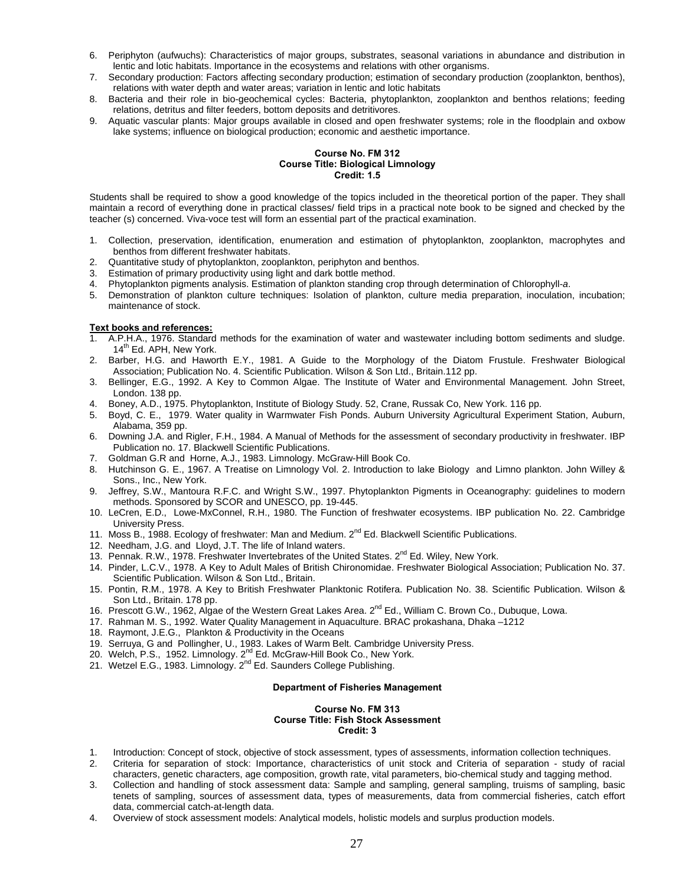- 6. Periphyton (aufwuchs): Characteristics of major groups, substrates, seasonal variations in abundance and distribution in lentic and lotic habitats. Importance in the ecosystems and relations with other organisms.
- 7. Secondary production: Factors affecting secondary production; estimation of secondary production (zooplankton, benthos), relations with water depth and water areas; variation in lentic and lotic habitats
- 8. Bacteria and their role in bio-geochemical cycles: Bacteria, phytoplankton, zooplankton and benthos relations; feeding relations, detritus and filter feeders, bottom deposits and detritivores.
- 9. Aquatic vascular plants: Major groups available in closed and open freshwater systems; role in the floodplain and oxbow lake systems; influence on biological production; economic and aesthetic importance.

# **Course No. FM 312 Course Title: Biological Limnology Credit: 1.5**

Students shall be required to show a good knowledge of the topics included in the theoretical portion of the paper. They shall maintain a record of everything done in practical classes/ field trips in a practical note book to be signed and checked by the teacher (s) concerned. Viva-voce test will form an essential part of the practical examination.

- 1. Collection, preservation, identification, enumeration and estimation of phytoplankton, zooplankton, macrophytes and benthos from different freshwater habitats.
- 2. Quantitative study of phytoplankton, zooplankton, periphyton and benthos.
- 3. Estimation of primary productivity using light and dark bottle method.
- 4. Phytoplankton pigments analysis. Estimation of plankton standing crop through determination of Chlorophyll-*a*.
- 5. Demonstration of plankton culture techniques: Isolation of plankton, culture media preparation, inoculation, incubation; maintenance of stock.

# **Text books and references:**

- 1. A.P.H.A., 1976. Standard methods for the examination of water and wastewater including bottom sediments and sludge. 14<sup>th</sup> Ed. APH, New York.
- 2. Barber, H.G. and Haworth E.Y., 1981. A Guide to the Morphology of the Diatom Frustule. Freshwater Biological Association; Publication No. 4. Scientific Publication. Wilson & Son Ltd., Britain.112 pp.
- 3. Bellinger, E.G., 1992. A Key to Common Algae. The Institute of Water and Environmental Management. John Street, London. 138 pp.
- 4. Boney, A.D., 1975. Phytoplankton, Institute of Biology Study. 52, Crane, Russak Co, New York. 116 pp.
- 5. Boyd, C. E., 1979. Water quality in Warmwater Fish Ponds. Auburn University Agricultural Experiment Station, Auburn, Alabama, 359 pp.
- 6. Downing J.A. and Rigler, F.H., 1984. A Manual of Methods for the assessment of secondary productivity in freshwater. IBP Publication no. 17. Blackwell Scientific Publications.
- 7. Goldman G.R and Horne, A.J., 1983. Limnology. McGraw-Hill Book Co.
- 8. Hutchinson G. E., 1967. A Treatise on Limnology Vol. 2. Introduction to lake Biology and Limno plankton. John Willey & Sons., Inc., New York.
- 9. Jeffrey, S.W., Mantoura R.F.C. and Wright S.W., 1997. Phytoplankton Pigments in Oceanography: guidelines to modern methods. Sponsored by SCOR and UNESCO, pp. 19-445.
- 10. LeCren, E.D., Lowe-MxConnel, R.H., 1980. The Function of freshwater ecosystems. IBP publication No. 22. Cambridge University Press.
- 11. Moss B., 1988. Ecology of freshwater: Man and Medium.  $2^{nd}$  Ed. Blackwell Scientific Publications.
- 12. Needham, J.G. and Lloyd, J.T. The life of Inland waters.
- 13. Pennak. R.W., 1978. Freshwater Invertebrates of the United States. 2<sup>nd</sup> Ed. Wiley, New York.
- 14. Pinder, L.C.V., 1978. A Key to Adult Males of British Chironomidae. Freshwater Biological Association; Publication No. 37. Scientific Publication. Wilson & Son Ltd., Britain.
- 15. Pontin, R.M., 1978. A Key to British Freshwater Planktonic Rotifera. Publication No. 38. Scientific Publication. Wilson & Son Ltd., Britain. 178 pp.
- 16. Prescott G.W., 1962, Algae of the Western Great Lakes Area. 2nd Ed., William C. Brown Co., Dubuque, Lowa.
- 17. Rahman M. S., 1992. Water Quality Management in Aquaculture. BRAC prokashana, Dhaka –1212
- 18. Raymont, J.E.G., Plankton & Productivity in the Oceans
- 19. Serruya, G and Pollingher, U., 1983. Lakes of Warm Belt. Cambridge University Press.
- 20. Welch, P.S., 1952. Limnology. 2<sup>nd</sup> Ed. McGraw-Hill Book Co., New York.
- 20. Wetch, F.G., 1992. Emmology. 2nd Ed. McGraw-Hill Book Co., New 1<br>21. Wetzel E.G., 1983. Limnology. 2<sup>nd</sup> Ed. Saunders College Publishing.

# **Department of Fisheries Management**

#### **Course No. FM 313 Course Title: Fish Stock Assessment Credit: 3**

- 1. Introduction: Concept of stock, objective of stock assessment, types of assessments, information collection techniques.
- 2. Criteria for separation of stock: Importance, characteristics of unit stock and Criteria of separation study of racial characters, genetic characters, age composition, growth rate, vital parameters, bio-chemical study and tagging method.
- 3. Collection and handling of stock assessment data: Sample and sampling, general sampling, truisms of sampling, basic tenets of sampling, sources of assessment data, types of measurements, data from commercial fisheries, catch effort data, commercial catch-at-length data.
- 4. Overview of stock assessment models: Analytical models, holistic models and surplus production models.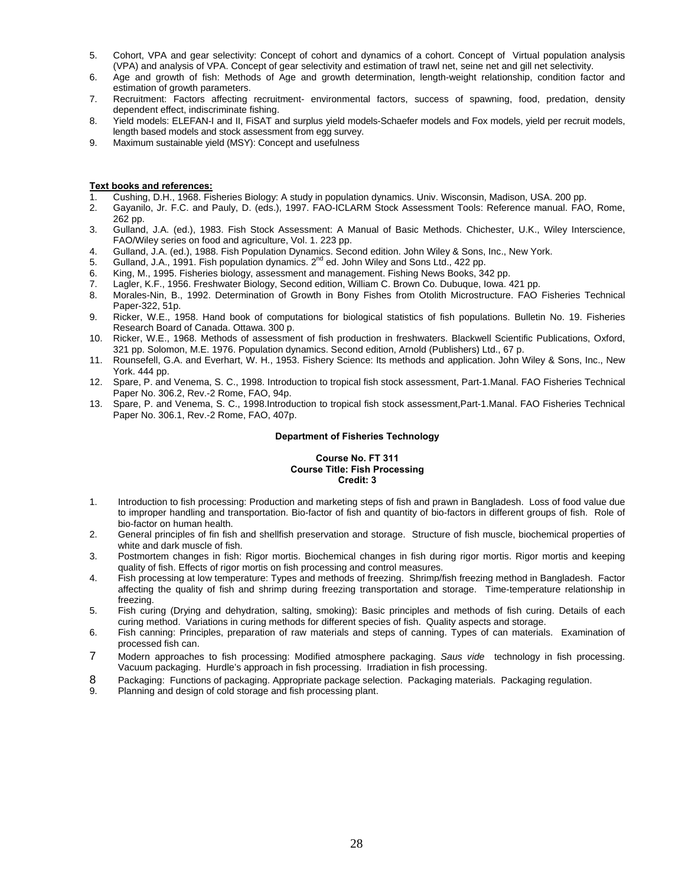- 5. Cohort, VPA and gear selectivity: Concept of cohort and dynamics of a cohort. Concept of Virtual population analysis (VPA) and analysis of VPA. Concept of gear selectivity and estimation of trawl net, seine net and gill net selectivity.
- 6. Age and growth of fish: Methods of Age and growth determination, length-weight relationship, condition factor and estimation of growth parameters.
- 7. Recruitment: Factors affecting recruitment- environmental factors, success of spawning, food, predation, density dependent effect, indiscriminate fishing.
- 8. Yield models: ELEFAN-I and II, FiSAT and surplus yield models-Schaefer models and Fox models, yield per recruit models, length based models and stock assessment from egg survey.
- 9. Maximum sustainable yield (MSY): Concept and usefulness

- 1. Cushing, D.H., 1968. Fisheries Biology: A study in population dynamics. Univ. Wisconsin, Madison, USA. 200 pp.
- 2. Gayanilo, Jr. F.C. and Pauly, D. (eds.), 1997. FAO-ICLARM Stock Assessment Tools: Reference manual. FAO, Rome, 262 pp.
- 3. Gulland, J.A. (ed.), 1983. Fish Stock Assessment: A Manual of Basic Methods. Chichester, U.K., Wiley Interscience, FAO/Wiley series on food and agriculture, Vol. 1. 223 pp.
- 4. Gulland, J.A. (ed.), 1988. Fish Population Dynamics. Second edition. John Wiley & Sons, Inc., New York.
- 5. Gulland, J.A., 1991. Fish population dynamics.  $2^{nd}$  ed. John Wiley and Sons Ltd., 422 pp.
- 6. King, M., 1995. Fisheries biology, assessment and management. Fishing News Books, 342 pp.
- 7. Lagler, K.F., 1956. Freshwater Biology, Second edition, William C. Brown Co. Dubuque, Iowa. 421 pp.
- 8. Morales-Nin, B., 1992. Determination of Growth in Bony Fishes from Otolith Microstructure. FAO Fisheries Technical Paper-322, 51p.
- 9. Ricker, W.E., 1958. Hand book of computations for biological statistics of fish populations. Bulletin No. 19. Fisheries Research Board of Canada. Ottawa. 300 p.
- 10. Ricker, W.E., 1968. Methods of assessment of fish production in freshwaters. Blackwell Scientific Publications, Oxford, 321 pp. Solomon, M.E. 1976. Population dynamics. Second edition, Arnold (Publishers) Ltd., 67 p.
- 11. Rounsefell, G.A. and Everhart, W. H., 1953. Fishery Science: Its methods and application. John Wiley & Sons, Inc., New York. 444 pp.
- 12. Spare, P. and Venema, S. C., 1998. Introduction to tropical fish stock assessment, Part-1.Manal. FAO Fisheries Technical Paper No. 306.2, Rev.-2 Rome, FAO, 94p.
- 13. Spare, P. and Venema, S. C., 1998.Introduction to tropical fish stock assessment,Part-1.Manal. FAO Fisheries Technical Paper No. 306.1, Rev.-2 Rome, FAO, 407p.

#### **Department of Fisheries Technology**

#### **Course No. FT 311 Course Title: Fish Processing Credit: 3**

- 1. Introduction to fish processing: Production and marketing steps of fish and prawn in Bangladesh. Loss of food value due to improper handling and transportation. Bio-factor of fish and quantity of bio-factors in different groups of fish. Role of bio-factor on human health.
- 2. General principles of fin fish and shellfish preservation and storage. Structure of fish muscle, biochemical properties of white and dark muscle of fish.
- 3. Postmortem changes in fish: Rigor mortis. Biochemical changes in fish during rigor mortis. Rigor mortis and keeping quality of fish. Effects of rigor mortis on fish processing and control measures.
- 4. Fish processing at low temperature: Types and methods of freezing. Shrimp/fish freezing method in Bangladesh. Factor affecting the quality of fish and shrimp during freezing transportation and storage. Time-temperature relationship in freezing.
- 5. Fish curing (Drying and dehydration, salting, smoking): Basic principles and methods of fish curing. Details of each curing method. Variations in curing methods for different species of fish. Quality aspects and storage.
- 6. Fish canning: Principles, preparation of raw materials and steps of canning. Types of can materials. Examination of processed fish can.
- 7 Modern approaches to fish processing: Modified atmosphere packaging. *Saus vide* technology in fish processing. Vacuum packaging. Hurdle's approach in fish processing. Irradiation in fish processing.
- 8 Packaging: Functions of packaging. Appropriate package selection. Packaging materials. Packaging regulation.
- 9. Planning and design of cold storage and fish processing plant.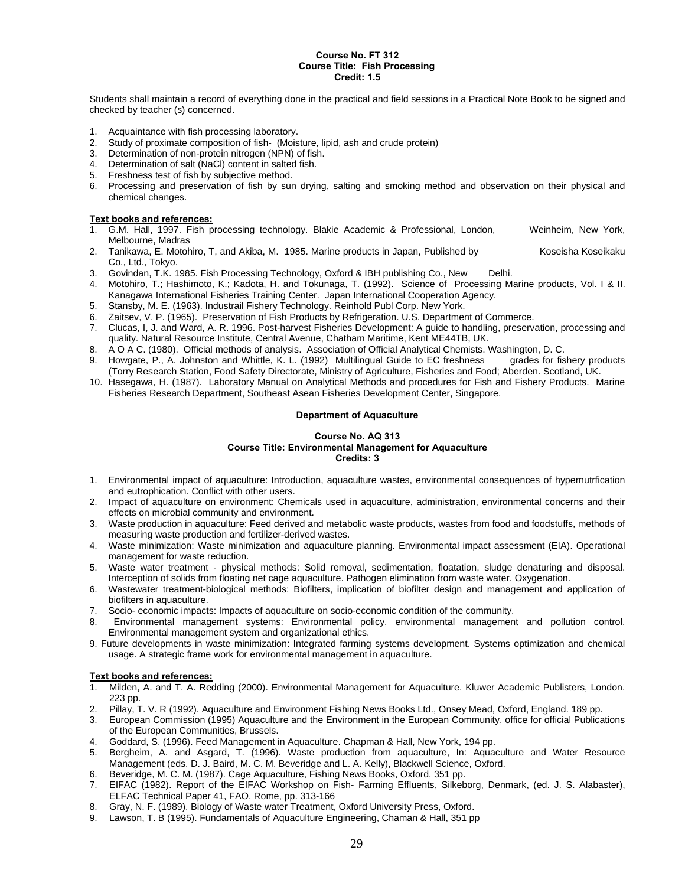# **Course No. FT 312 Course Title: Fish Processing Credit: 1.5**

Students shall maintain a record of everything done in the practical and field sessions in a Practical Note Book to be signed and checked by teacher (s) concerned.

- 1. Acquaintance with fish processing laboratory.<br>2. Study of proximate composition of fish- (Mois
- Study of proximate composition of fish- (Moisture, lipid, ash and crude protein)
- 3. Determination of non-protein nitrogen (NPN) of fish.
- 4. Determination of salt (NaCl) content in salted fish.<br>5. Freshness test of fish by subjective method.
- 5. Freshness test of fish by subjective method.
- 6. Processing and preservation of fish by sun drying, salting and smoking method and observation on their physical and chemical changes.

# **Text books and references:**

- 1. G.M. Hall, 1997. Fish processing technology. Blakie Academic & Professional, London, Weinheim, New York, Melbourne, Madras
- 2. Tanikawa, E. Motohiro, T, and Akiba, M. 1985. Marine products in Japan, Published by Koseisha Koseikaku Co., Ltd., Tokyo.
- 3. Govindan, T.K. 1985. Fish Processing Technology, Oxford & IBH publishing Co., New Delhi.
- 4. Motohiro, T.; Hashimoto, K.; Kadota, H. and Tokunaga, T. (1992). Science of Processing Marine products, Vol. I & II. Kanagawa International Fisheries Training Center. Japan International Cooperation Agency.
- 5. Stansby, M. E. (1963). Industrail Fishery Technology. Reinhold Publ Corp. New York.
- 6. Zaitsev, V. P. (1965). Preservation of Fish Products by Refrigeration. U.S. Department of Commerce.
- 7. Clucas, I, J. and Ward, A. R. 1996. Post-harvest Fisheries Development: A guide to handling, preservation, processing and quality. Natural Resource Institute, Central Avenue, Chatham Maritime, Kent ME44TB, UK.
- 8. A O A C. (1980). Official methods of analysis. Association of Official Analytical Chemists. Washington, D. C.
- 9. Howgate, P., A. Johnston and Whittle, K. L. (1992) Multilingual Guide to EC freshness grades for fishery products (Torry Research Station, Food Safety Directorate, Ministry of Agriculture, Fisheries and Food; Aberden. Scotland, UK.
- 10. Hasegawa, H. (1987). Laboratory Manual on Analytical Methods and procedures for Fish and Fishery Products. Marine Fisheries Research Department, Southeast Asean Fisheries Development Center, Singapore.

#### **Department of Aquaculture**

#### **Course No. AQ 313 Course Title: Environmental Management for Aquaculture Credits: 3**

- 1. Environmental impact of aquaculture: Introduction, aquaculture wastes, environmental consequences of hypernutrfication and eutrophication. Conflict with other users.
- 2. Impact of aquaculture on environment: Chemicals used in aquaculture, administration, environmental concerns and their effects on microbial community and environment.
- 3. Waste production in aquaculture: Feed derived and metabolic waste products, wastes from food and foodstuffs, methods of measuring waste production and fertilizer-derived wastes.
- 4. Waste minimization: Waste minimization and aquaculture planning. Environmental impact assessment (EIA). Operational management for waste reduction.
- 5. Waste water treatment physical methods: Solid removal, sedimentation, floatation, sludge denaturing and disposal. Interception of solids from floating net cage aquaculture. Pathogen elimination from waste water. Oxygenation.
- 6. Wastewater treatment-biological methods: Biofilters, implication of biofilter design and management and application of biofilters in aquaculture.
- 7. Socio- economic impacts: Impacts of aquaculture on socio-economic condition of the community.
- 8. Environmental management systems: Environmental policy, environmental management and pollution control. Environmental management system and organizational ethics.
- 9. Future developments in waste minimization: Integrated farming systems development. Systems optimization and chemical usage. A strategic frame work for environmental management in aquaculture.

- 1. Milden, A. and T. A. Redding (2000). Environmental Management for Aquaculture. Kluwer Academic Publisters, London. 223 pp.
- 2. Pillay, T. V. R (1992). Aquaculture and Environment Fishing News Books Ltd., Onsey Mead, Oxford, England. 189 pp.
- 3. European Commission (1995) Aquaculture and the Environment in the European Community, office for official Publications of the European Communities, Brussels.
- 4. Goddard, S. (1996). Feed Management in Aquaculture. Chapman & Hall, New York, 194 pp.
- 5. Bergheim, A. and Asgard, T. (1996). Waste production from aquaculture, In: Aquaculture and Water Resource Management (eds. D. J. Baird, M. C. M. Beveridge and L. A. Kelly), Blackwell Science, Oxford.
- 6. Beveridge, M. C. M. (1987). Cage Aquaculture, Fishing News Books, Oxford, 351 pp.
- 7. EIFAC (1982). Report of the EIFAC Workshop on Fish- Farming Effluents, Silkeborg, Denmark, (ed. J. S. Alabaster), ELFAC Technical Paper 41, FAO, Rome, pp. 313-166
- 8. Gray, N. F. (1989). Biology of Waste water Treatment, Oxford University Press, Oxford.
- 9. Lawson, T. B (1995). Fundamentals of Aquaculture Engineering, Chaman & Hall, 351 pp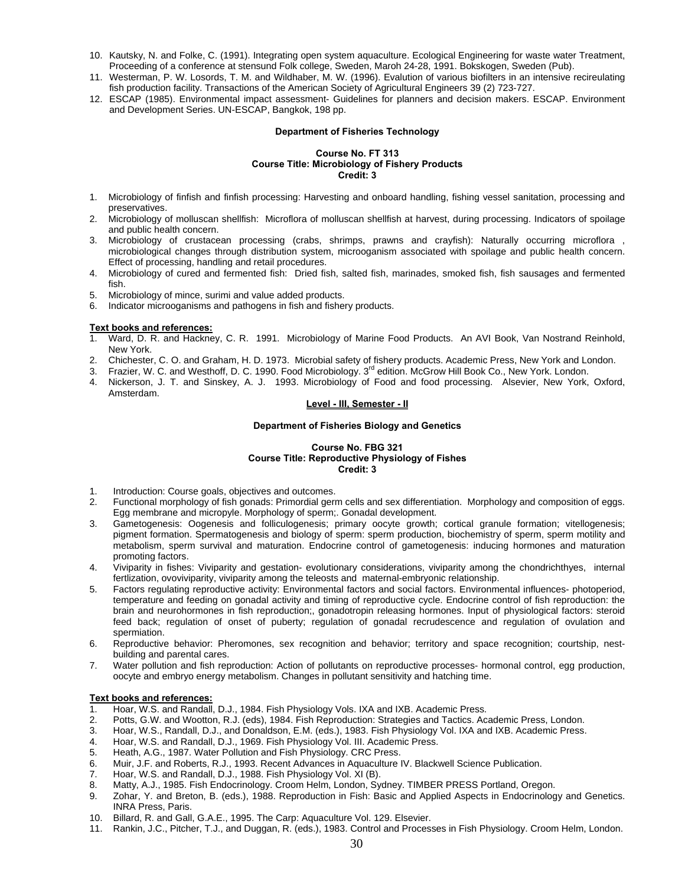- 10. Kautsky, N. and Folke, C. (1991). Integrating open system aquaculture. Ecological Engineering for waste water Treatment, Proceeding of a conference at stensund Folk college, Sweden, Maroh 24-28, 1991. Bokskogen, Sweden (Pub).
- 11. Westerman, P. W. Losords, T. M. and Wildhaber, M. W. (1996). Evalution of various biofilters in an intensive recireulating fish production facility. Transactions of the American Society of Agricultural Engineers 39 (2) 723-727.
- 12. ESCAP (1985). Environmental impact assessment- Guidelines for planners and decision makers. ESCAP. Environment and Development Series. UN-ESCAP, Bangkok, 198 pp.

## **Department of Fisheries Technology**

# **Course No. FT 313 Course Title: Microbiology of Fishery Products Credit: 3**

- 1. Microbiology of finfish and finfish processing: Harvesting and onboard handling, fishing vessel sanitation, processing and preservatives.
- 2. Microbiology of molluscan shellfish: Microflora of molluscan shellfish at harvest, during processing. Indicators of spoilage and public health concern.
- 3. Microbiology of crustacean processing (crabs, shrimps, prawns and crayfish): Naturally occurring microflora , microbiological changes through distribution system, microoganism associated with spoilage and public health concern. Effect of processing, handling and retail procedures.
- 4. Microbiology of cured and fermented fish: Dried fish, salted fish, marinades, smoked fish, fish sausages and fermented fish.
- 5. Microbiology of mince, surimi and value added products.
- 6. Indicator microoganisms and pathogens in fish and fishery products.

# **Text books and references:**

- 1. Ward, D. R. and Hackney, C. R. 1991. Microbiology of Marine Food Products. An AVI Book, Van Nostrand Reinhold, New York.
- 2. Chichester, C. O. and Graham, H. D. 1973. Microbial safety of fishery products. Academic Press, New York and London.
- 3. Frazier, W. C. and Westhoff, D. C. 1990. Food Microbiology. 3<sup>rd</sup> edition. McGrow Hill Book Co., New York. London.
- 4. Nickerson, J. T. and Sinskey, A. J. 1993. Microbiology of Food and food processing. Alsevier, New York, Oxford, Amsterdam.

# **Level - III, Semester - II**

# **Department of Fisheries Biology and Genetics**

# **Course No. FBG 321 Course Title: Reproductive Physiology of Fishes Credit: 3**

- 1. Introduction: Course goals, objectives and outcomes.
- 2. Functional morphology of fish gonads: Primordial germ cells and sex differentiation. Morphology and composition of eggs. Egg membrane and micropyle. Morphology of sperm;. Gonadal development.
- 3. Gametogenesis: Oogenesis and folliculogenesis; primary oocyte growth; cortical granule formation; vitellogenesis; pigment formation. Spermatogenesis and biology of sperm: sperm production, biochemistry of sperm, sperm motility and metabolism, sperm survival and maturation. Endocrine control of gametogenesis: inducing hormones and maturation promoting factors.
- 4. Viviparity in fishes: Viviparity and gestation- evolutionary considerations, viviparity among the chondrichthyes, internal fertlization, ovoviviparity, viviparity among the teleosts and maternal-embryonic relationship.
- 5. Factors regulating reproductive activity: Environmental factors and social factors. Environmental influences- photoperiod, temperature and feeding on gonadal activity and timing of reproductive cycle. Endocrine control of fish reproduction: the brain and neurohormones in fish reproduction;, gonadotropin releasing hormones. Input of physiological factors: steroid feed back; regulation of onset of puberty; regulation of gonadal recrudescence and regulation of ovulation and spermiation.
- 6. Reproductive behavior: Pheromones, sex recognition and behavior; territory and space recognition; courtship, nestbuilding and parental cares.
- 7. Water pollution and fish reproduction: Action of pollutants on reproductive processes- hormonal control, egg production, oocyte and embryo energy metabolism. Changes in pollutant sensitivity and hatching time.

- 1. Hoar, W.S. and Randall, D.J., 1984. Fish Physiology Vols. IXA and IXB. Academic Press.
- 2. Potts, G.W. and Wootton, R.J. (eds), 1984. Fish Reproduction: Strategies and Tactics. Academic Press, London.
- 3. Hoar, W.S., Randall, D.J., and Donaldson, E.M. (eds.), 1983. Fish Physiology Vol. IXA and IXB. Academic Press.
- 4. Hoar, W.S. and Randall, D.J., 1969. Fish Physiology Vol. III. Academic Press.
- 5. Heath, A.G., 1987. Water Pollution and Fish Physiology. CRC Press.
- 6. Muir, J.F. and Roberts, R.J., 1993. Recent Advances in Aquaculture IV. Blackwell Science Publication.
- 7. Hoar, W.S. and Randall, D.J., 1988. Fish Physiology Vol. XI (B).
- 8. Matty, A.J., 1985. Fish Endocrinology. Croom Helm, London, Sydney. TIMBER PRESS Portland, Oregon.
- 9. Zohar, Y. and Breton, B. (eds.), 1988. Reproduction in Fish: Basic and Applied Aspects in Endocrinology and Genetics. INRA Press, Paris.
- 10. Billard, R. and Gall, G.A.E., 1995. The Carp: Aquaculture Vol. 129. Elsevier.
- 11. Rankin, J.C., Pitcher, T.J., and Duggan, R. (eds.), 1983. Control and Processes in Fish Physiology. Croom Helm, London.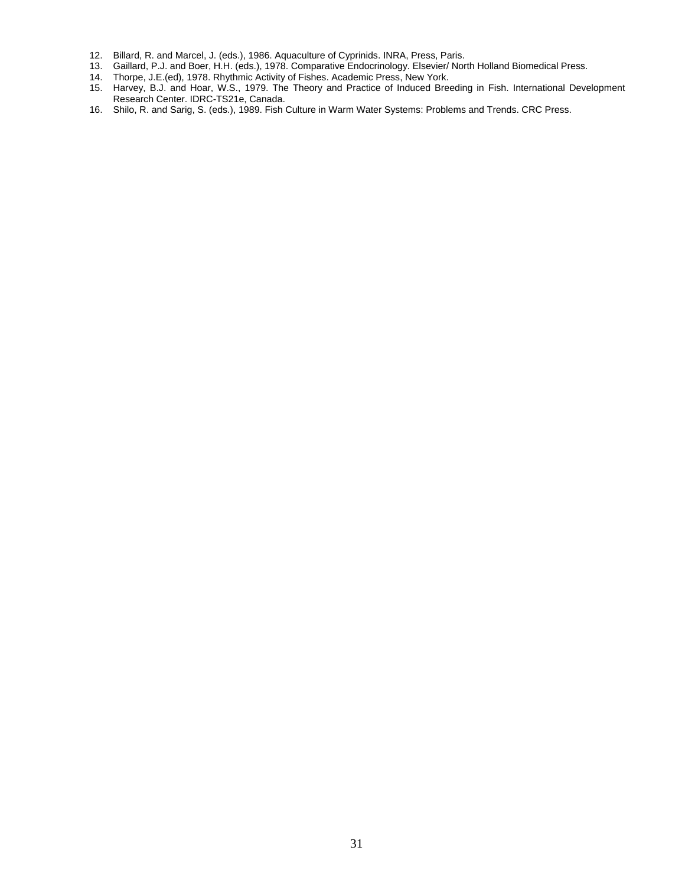- 12. Billard, R. and Marcel, J. (eds.), 1986. Aquaculture of Cyprinids. INRA, Press, Paris.
- 13. Gaillard, P.J. and Boer, H.H. (eds.), 1978. Comparative Endocrinology. Elsevier/ North Holland Biomedical Press.
- 14. Thorpe, J.E.(ed), 1978. Rhythmic Activity of Fishes. Academic Press, New York.
- 15. Harvey, B.J. and Hoar, W.S., 1979. The Theory and Practice of Induced Breeding in Fish. International Development Research Center. IDRC-TS21e, Canada.
- 16. Shilo, R. and Sarig, S. (eds.), 1989. Fish Culture in Warm Water Systems: Problems and Trends. CRC Press.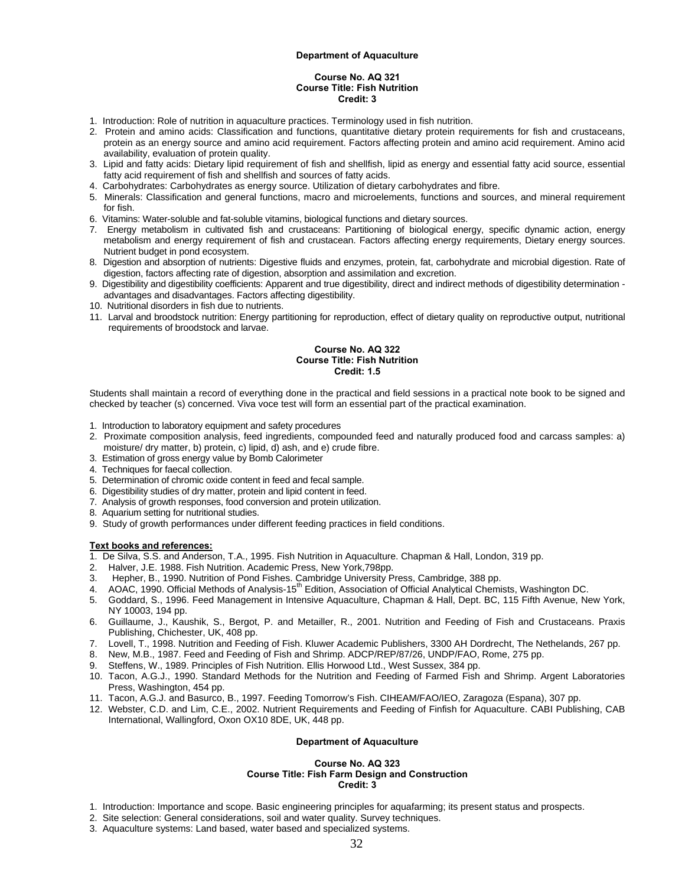#### **Department of Aquaculture**

#### **Course No. AQ 321 Course Title: Fish Nutrition Credit: 3**

- 1. Introduction: Role of nutrition in aquaculture practices. Terminology used in fish nutrition.
- 2. Protein and amino acids: Classification and functions, quantitative dietary protein requirements for fish and crustaceans, protein as an energy source and amino acid requirement. Factors affecting protein and amino acid requirement. Amino acid availability, evaluation of protein quality.
- 3. Lipid and fatty acids: Dietary lipid requirement of fish and shellfish, lipid as energy and essential fatty acid source, essential fatty acid requirement of fish and shellfish and sources of fatty acids.
- 4. Carbohydrates: Carbohydrates as energy source. Utilization of dietary carbohydrates and fibre.
- 5. Minerals: Classification and general functions, macro and microelements, functions and sources, and mineral requirement for fish.
- 6. Vitamins: Water-soluble and fat-soluble vitamins, biological functions and dietary sources.
- 7. Energy metabolism in cultivated fish and crustaceans: Partitioning of biological energy, specific dynamic action, energy metabolism and energy requirement of fish and crustacean. Factors affecting energy requirements, Dietary energy sources. Nutrient budget in pond ecosystem.
- 8. Digestion and absorption of nutrients: Digestive fluids and enzymes, protein, fat, carbohydrate and microbial digestion. Rate of digestion, factors affecting rate of digestion, absorption and assimilation and excretion.
- 9. Digestibility and digestibility coefficients: Apparent and true digestibility, direct and indirect methods of digestibility determination advantages and disadvantages. Factors affecting digestibility.
- 10. Nutritional disorders in fish due to nutrients.
- 11. Larval and broodstock nutrition: Energy partitioning for reproduction, effect of dietary quality on reproductive output, nutritional requirements of broodstock and larvae.

# **Course No. AQ 322 Course Title: Fish Nutrition Credit: 1.5**

Students shall maintain a record of everything done in the practical and field sessions in a practical note book to be signed and checked by teacher (s) concerned. Viva voce test will form an essential part of the practical examination.

- 1. Introduction to laboratory equipment and safety procedures
- 2. Proximate composition analysis, feed ingredients, compounded feed and naturally produced food and carcass samples: a) moisture/ dry matter, b) protein, c) lipid, d) ash, and e) crude fibre.
- 3. Estimation of gross energy value by Bomb Calorimeter
- 4. Techniques for faecal collection.
- 5. Determination of chromic oxide content in feed and fecal sample.
- 6. Digestibility studies of dry matter, protein and lipid content in feed.
- 7. Analysis of growth responses, food conversion and protein utilization.
- 8. Aquarium setting for nutritional studies.
- 9. Study of growth performances under different feeding practices in field conditions.

#### **Text books and references:**

1. De Silva, S.S. and Anderson, T.A., 1995. Fish Nutrition in Aquaculture. Chapman & Hall, London, 319 pp.

- 2. Halver, J.E. 1988. Fish Nutrition. Academic Press, New York,798pp.
- 3. Hepher, B., 1990. Nutrition of Pond Fishes. Cambridge University Press, Cambridge, 388 pp.
- 4. AOAC, 1990. Official Methods of Analysis-15<sup>th</sup> Edition, Association of Official Analytical Chemists, Washington DC.
- 5. Goddard, S., 1996. Feed Management in Intensive Aquaculture, Chapman & Hall, Dept. BC, 115 Fifth Avenue, New York, NY 10003, 194 pp.
- 6. Guillaume, J., Kaushik, S., Bergot, P. and Metailler, R., 2001. Nutrition and Feeding of Fish and Crustaceans. Praxis Publishing, Chichester, UK, 408 pp.
- 7. Lovell, T., 1998. Nutrition and Feeding of Fish. Kluwer Academic Publishers, 3300 AH Dordrecht, The Nethelands, 267 pp.
- 8. New, M.B., 1987. Feed and Feeding of Fish and Shrimp. ADCP/REP/87/26, UNDP/FAO, Rome, 275 pp.
- 9. Steffens, W., 1989. Principles of Fish Nutrition. Ellis Horwood Ltd., West Sussex, 384 pp.
- 10. Tacon, A.G.J., 1990. Standard Methods for the Nutrition and Feeding of Farmed Fish and Shrimp. Argent Laboratories Press, Washington, 454 pp.
- 11. Tacon, A.G.J. and Basurco, B., 1997. Feeding Tomorrow's Fish. CIHEAM/FAO/IEO, Zaragoza (Espana), 307 pp.
- 12. Webster, C.D. and Lim, C.E., 2002. Nutrient Requirements and Feeding of Finfish for Aquaculture. CABI Publishing, CAB International, Wallingford, Oxon OX10 8DE, UK, 448 pp.

#### **Department of Aquaculture**

#### **Course No. AQ 323 Course Title: Fish Farm Design and Construction Credit: 3**

- 1. Introduction: Importance and scope. Basic engineering principles for aquafarming; its present status and prospects.
- 2. Site selection: General considerations, soil and water quality. Survey techniques.
- 3. Aquaculture systems: Land based, water based and specialized systems.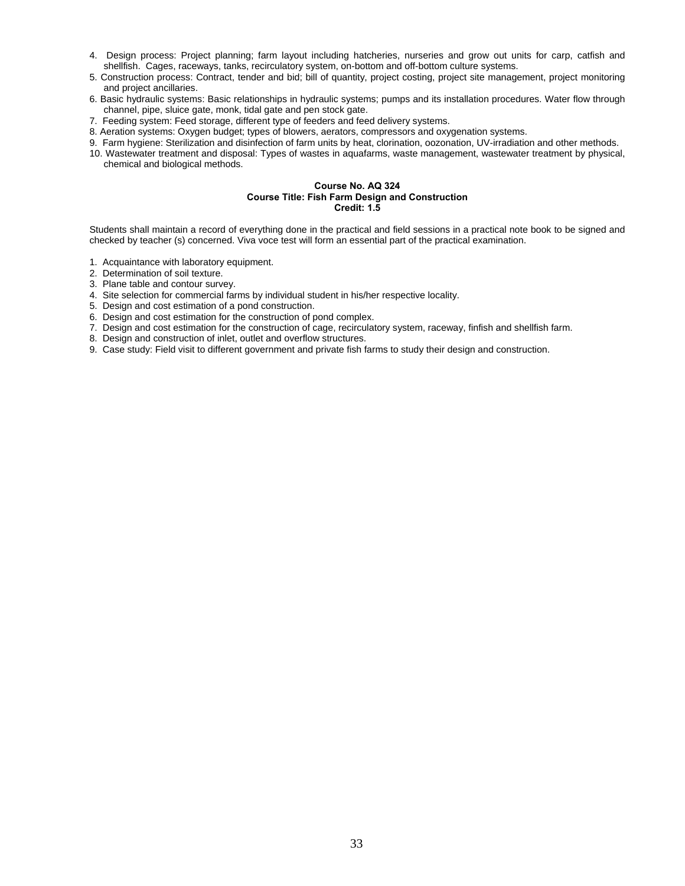- 4. Design process: Project planning; farm layout including hatcheries, nurseries and grow out units for carp, catfish and shellfish. Cages, raceways, tanks, recirculatory system, on-bottom and off-bottom culture systems.
- 5. Construction process: Contract, tender and bid; bill of quantity, project costing, project site management, project monitoring and project ancillaries.
- 6. Basic hydraulic systems: Basic relationships in hydraulic systems; pumps and its installation procedures. Water flow through channel, pipe, sluice gate, monk, tidal gate and pen stock gate.
- 7. Feeding system: Feed storage, different type of feeders and feed delivery systems.
- 8. Aeration systems: Oxygen budget; types of blowers, aerators, compressors and oxygenation systems.
- 9. Farm hygiene: Sterilization and disinfection of farm units by heat, clorination, oozonation, UV-irradiation and other methods.
- 10. Wastewater treatment and disposal: Types of wastes in aquafarms, waste management, wastewater treatment by physical, chemical and biological methods.

# **Course No. AQ 324 Course Title: Fish Farm Design and Construction Credit: 1.5**

Students shall maintain a record of everything done in the practical and field sessions in a practical note book to be signed and checked by teacher (s) concerned. Viva voce test will form an essential part of the practical examination.

- 1. Acquaintance with laboratory equipment.
- 2. Determination of soil texture.
- 3. Plane table and contour survey.
- 4. Site selection for commercial farms by individual student in his/her respective locality.
- 5. Design and cost estimation of a pond construction.
- 6. Design and cost estimation for the construction of pond complex.
- 7. Design and cost estimation for the construction of cage, recirculatory system, raceway, finfish and shellfish farm.
- 8. Design and construction of inlet, outlet and overflow structures.
- 9. Case study: Field visit to different government and private fish farms to study their design and construction.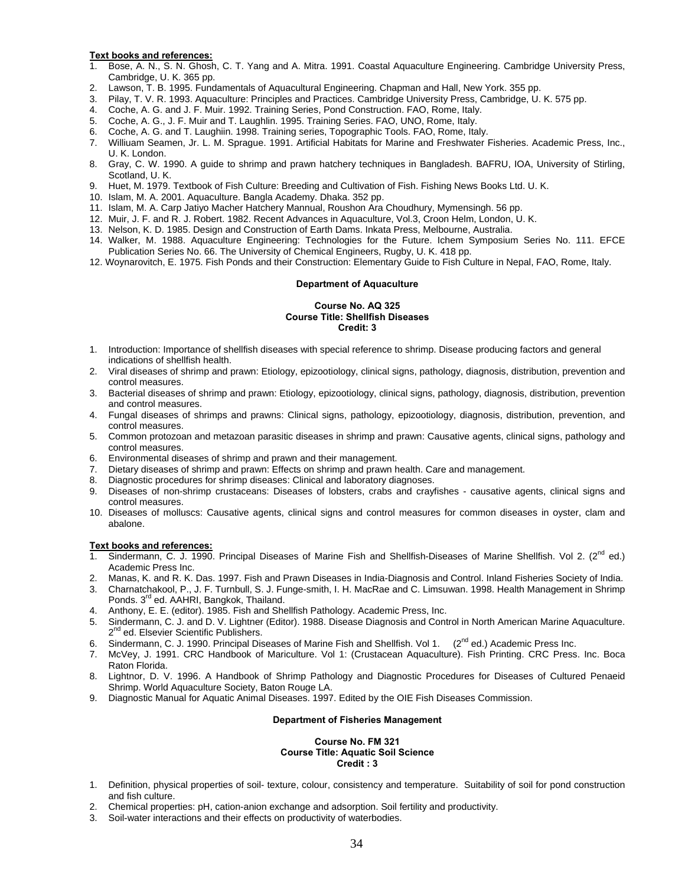- 1. Bose, A. N., S. N. Ghosh, C. T. Yang and A. Mitra. 1991. Coastal Aquaculture Engineering. Cambridge University Press, Cambridge, U. K. 365 pp.
- 2. Lawson, T. B. 1995. Fundamentals of Aquacultural Engineering. Chapman and Hall, New York. 355 pp.
- 3. Pilay, T. V. R. 1993. Aquaculture: Principles and Practices. Cambridge University Press, Cambridge, U. K. 575 pp.
- 4. Coche, A. G. and J. F. Muir. 1992. Training Series, Pond Construction. FAO, Rome, Italy.
- 5. Coche, A. G., J. F. Muir and T. Laughlin. 1995. Training Series. FAO, UNO, Rome, Italy.
- 6. Coche, A. G. and T. Laughiin. 1998. Training series, Topographic Tools. FAO, Rome, Italy.
- 7. Williuam Seamen, Jr. L. M. Sprague. 1991. Artificial Habitats for Marine and Freshwater Fisheries. Academic Press, Inc., U. K. London.
- 8. Gray, C. W. 1990. A guide to shrimp and prawn hatchery techniques in Bangladesh. BAFRU, IOA, University of Stirling, Scotland, U. K.
- 9. Huet, M. 1979. Textbook of Fish Culture: Breeding and Cultivation of Fish. Fishing News Books Ltd. U. K.
- 10. Islam, M. A. 2001. Aquaculture. Bangla Academy. Dhaka. 352 pp.
- 11. Islam, M. A. Carp Jatiyo Macher Hatchery Mannual, Roushon Ara Choudhury, Mymensingh. 56 pp.
- 12. Muir, J. F. and R. J. Robert. 1982. Recent Advances in Aquaculture, Vol.3, Croon Helm, London, U. K.
- 13. Nelson, K. D. 1985. Design and Construction of Earth Dams. Inkata Press, Melbourne, Australia.
- 14. Walker, M. 1988. Aquaculture Engineering: Technologies for the Future. Ichem Symposium Series No. 111. EFCE Publication Series No. 66. The University of Chemical Engineers, Rugby, U. K. 418 pp.
- 12. Woynarovitch, E. 1975. Fish Ponds and their Construction: Elementary Guide to Fish Culture in Nepal, FAO, Rome, Italy.

# **Department of Aquaculture**

#### **Course No. AQ 325 Course Title: Shellfish Diseases Credit: 3**

- 1. Introduction: Importance of shellfish diseases with special reference to shrimp. Disease producing factors and general indications of shellfish health.
- 2. Viral diseases of shrimp and prawn: Etiology, epizootiology, clinical signs, pathology, diagnosis, distribution, prevention and control measures.
- 3. Bacterial diseases of shrimp and prawn: Etiology, epizootiology, clinical signs, pathology, diagnosis, distribution, prevention and control measures.
- 4. Fungal diseases of shrimps and prawns: Clinical signs, pathology, epizootiology, diagnosis, distribution, prevention, and control measures.
- 5. Common protozoan and metazoan parasitic diseases in shrimp and prawn: Causative agents, clinical signs, pathology and control measures.
- 6. Environmental diseases of shrimp and prawn and their management.
- 7. Dietary diseases of shrimp and prawn: Effects on shrimp and prawn health. Care and management.
- 8. Diagnostic procedures for shrimp diseases: Clinical and laboratory diagnoses.
- 9. Diseases of non-shrimp crustaceans: Diseases of lobsters, crabs and crayfishes causative agents, clinical signs and control measures.
- 10. Diseases of molluscs: Causative agents, clinical signs and control measures for common diseases in oyster, clam and abalone.

- **Text books and references:** Sindermann, C. J. 1990. Principal Diseases of Marine Fish and Shellfish-Diseases of Marine Shellfish. Vol 2.  $(2^{nd}$  ed.) Academic Press Inc.
- 2. Manas, K. and R. K. Das. 1997. Fish and Prawn Diseases in India-Diagnosis and Control. Inland Fisheries Society of India.
- 3. Charnatchakool, P., J. F. Turnbull, S. J. Funge-smith, I. H. MacRae and C. Limsuwan. 1998. Health Management in Shrimp Ponds. 3<sup>rd</sup> ed. AAHRI, Bangkok, Thailand.
- 4. Anthony, E. E. (editor). 1985. Fish and Shellfish Pathology. Academic Press, Inc.
- 5. Sindermann, C. J. and D. V. Lightner (Editor). 1988. Disease Diagnosis and Control in North American Marine Aquaculture. 2<sup>nd</sup> ed. Elsevier Scientific Publishers.
- Sindermann, C. J. 1990. Principal Diseases of Marine Fish and Shellfish. Vol 1. (2<sup>nd</sup> ed.) Academic Press Inc.
- 7. McVey, J. 1991. CRC Handbook of Mariculture. Vol 1: (Crustacean Aquaculture). Fish Printing. CRC Press. Inc. Boca Raton Florida.
- 8. Lightnor, D. V. 1996. A Handbook of Shrimp Pathology and Diagnostic Procedures for Diseases of Cultured Penaeid Shrimp. World Aquaculture Society, Baton Rouge LA.
- 9. Diagnostic Manual for Aquatic Animal Diseases. 1997. Edited by the OIE Fish Diseases Commission.

#### **Department of Fisheries Management**

#### **Course No. FM 321 Course Title: Aquatic Soil Science Credit : 3**

- 1. Definition, physical properties of soil- texture, colour, consistency and temperature. Suitability of soil for pond construction and fish culture.
- 2. Chemical properties: pH, cation-anion exchange and adsorption. Soil fertility and productivity.
- 3. Soil-water interactions and their effects on productivity of waterbodies.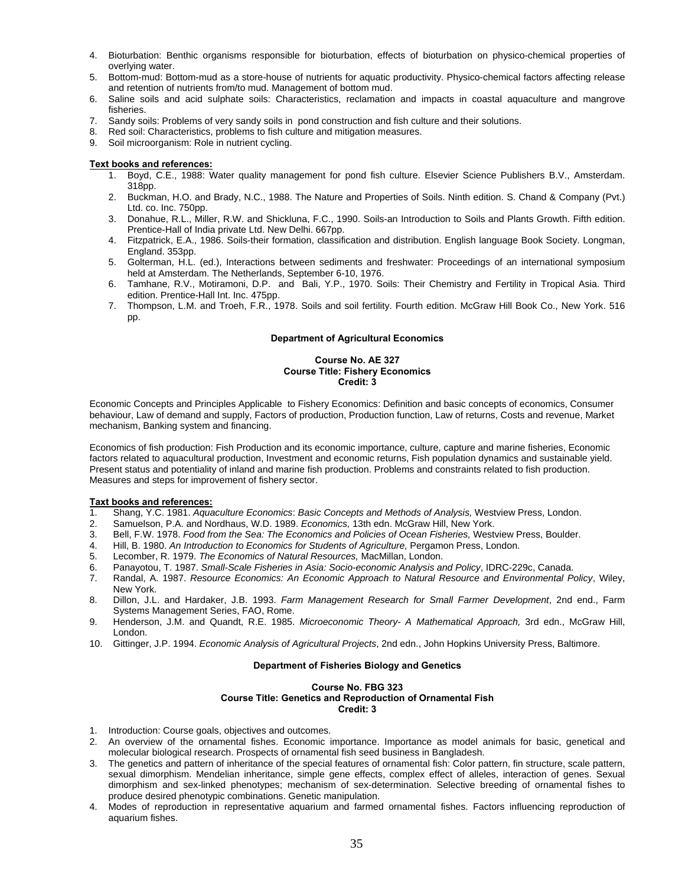- 4. Bioturbation: Benthic organisms responsible for bioturbation, effects of bioturbation on physico-chemical properties of overlying water.
- 5. Bottom-mud: Bottom-mud as a store-house of nutrients for aquatic productivity. Physico-chemical factors affecting release and retention of nutrients from/to mud. Management of bottom mud.
- 6. Saline soils and acid sulphate soils: Characteristics, reclamation and impacts in coastal aquaculture and mangrove fisheries.
- Sandy soils: Problems of very sandy soils in pond construction and fish culture and their solutions.
- 8. Red soil: Characteristics, problems to fish culture and mitigation measures.
- 9. Soil microorganism: Role in nutrient cycling.

- 1. Boyd, C.E., 1988: Water quality management for pond fish culture. Elsevier Science Publishers B.V., Amsterdam. 318pp.
- 2. Buckman, H.O. and Brady, N.C., 1988. The Nature and Properties of Soils. Ninth edition. S. Chand & Company (Pvt.) Ltd. co. Inc. 750pp.
- 3. Donahue, R.L., Miller, R.W. and Shickluna, F.C., 1990. Soils-an Introduction to Soils and Plants Growth. Fifth edition. Prentice-Hall of India private Ltd. New Delhi. 667pp.
- 4. Fitzpatrick, E.A., 1986. Soils-their formation, classification and distribution. English language Book Society. Longman, England. 353pp.
- 5. Golterman, H.L. (ed.), Interactions between sediments and freshwater: Proceedings of an international symposium held at Amsterdam. The Netherlands, September 6-10, 1976.
- 6. Tamhane, R.V., Motiramoni, D.P. and Bali, Y.P., 1970. Soils: Their Chemistry and Fertility in Tropical Asia. Third edition. Prentice-Hall Int. Inc. 475pp.
- 7. Thompson, L.M. and Troeh, F.R., 1978. Soils and soil fertility. Fourth edition. McGraw Hill Book Co., New York. 516 pp.

#### **Department of Agricultural Economics**

# **Course No. AE 327 Course Title: Fishery Economics Credit: 3**

Economic Concepts and Principles Applicable to Fishery Economics: Definition and basic concepts of economics, Consumer behaviour, Law of demand and supply, Factors of production, Production function, Law of returns, Costs and revenue, Market mechanism, Banking system and financing.

Economics of fish production: Fish Production and its economic importance, culture, capture and marine fisheries, Economic factors related to aquacultural production, Investment and economic returns, Fish population dynamics and sustainable yield. Present status and potentiality of inland and marine fish production. Problems and constraints related to fish production. Measures and steps for improvement of fishery sector.

#### **Taxt books and references:**

- 1. Shang, Y.C. 1981. *Aquaculture Economics*: *Basic Concepts and Methods of Analysis,* Westview Press, London.
- 2. Samuelson, P.A. and Nordhaus, W.D. 1989. *Economics,* 13th edn. McGraw Hill, New York.
- 3. Bell, F.W. 1978. *Food from the Sea: The Economics and Policies of Ocean Fisheries,* Westview Press, Boulder.
- 4. Hill, B. 1980. *An Introduction to Economics for Students of Agriculture,* Pergamon Press, London.
- 5. Lecomber, R. 1979. *The Economics of Natural Resources,* MacMillan, London.
- 6. Panayotou, T. 1987. *Small-Scale Fisheries in Asia: Socio-economic Analysis and Policy*, IDRC-229c, Canada.
- 7. Randal, A. 1987. *Resource Economics: An Economic Approach to Natural Resource and Environmental Policy*, Wiley, New York.
- 8. Dillon, J.L. and Hardaker, J.B. 1993. *Farm Management Research for Small Farmer Development*, 2nd end., Farm Systems Management Series, FAO, Rome.
- 9. Henderson, J.M. and Quandt, R.E. 1985. *Microeconomic Theory- A Mathematical Approach,* 3rd edn., McGraw Hill, London.
- 10. Gittinger, J.P. 1994. *Economic Analysis of Agricultural Projects*, 2nd edn., John Hopkins University Press, Baltimore.

#### **Department of Fisheries Biology and Genetics**

# **Course No. FBG 323 Course Title: Genetics and Reproduction of Ornamental Fish Credit: 3**

- 1. Introduction: Course goals, objectives and outcomes.
- 2. An overview of the ornamental fishes. Economic importance. Importance as model animals for basic, genetical and molecular biological research. Prospects of ornamental fish seed business in Bangladesh.
- 3. The genetics and pattern of inheritance of the special features of ornamental fish: Color pattern, fin structure, scale pattern, sexual dimorphism. Mendelian inheritance, simple gene effects, complex effect of alleles, interaction of genes. Sexual dimorphism and sex-linked phenotypes; mechanism of sex-determination. Selective breeding of ornamental fishes to produce desired phenotypic combinations. Genetic manipulation.
- 4. Modes of reproduction in representative aquarium and farmed ornamental fishes. Factors influencing reproduction of aquarium fishes.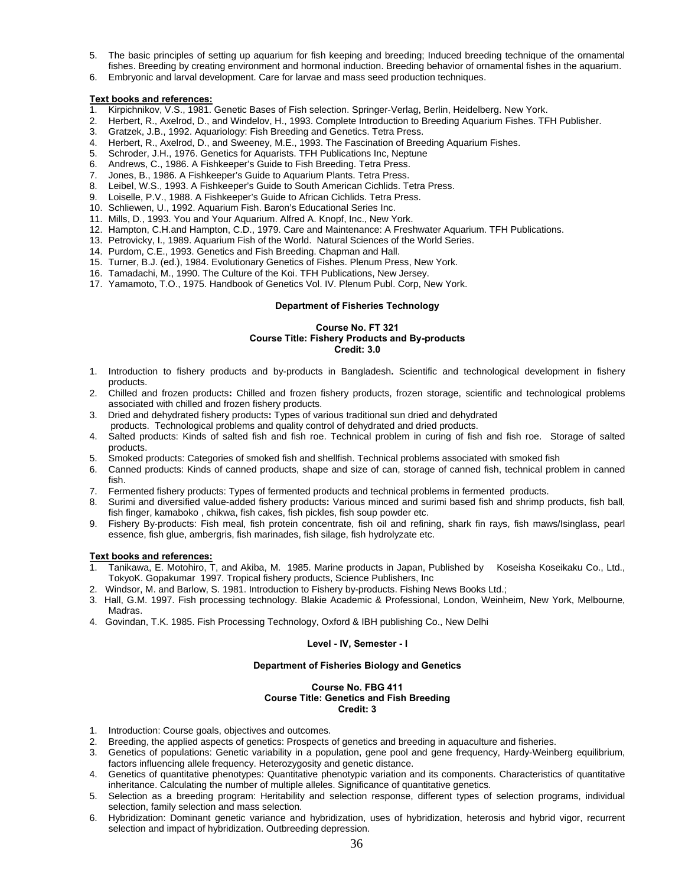- 5. The basic principles of setting up aquarium for fish keeping and breeding; Induced breeding technique of the ornamental fishes. Breeding by creating environment and hormonal induction. Breeding behavior of ornamental fishes in the aquarium.
- 6. Embryonic and larval development. Care for larvae and mass seed production techniques.

- 1. Kirpichnikov, V.S., 1981. Genetic Bases of Fish selection. Springer-Verlag, Berlin, Heidelberg. New York.
- 2. Herbert, R., Axelrod, D., and Windelov, H., 1993. Complete Introduction to Breeding Aquarium Fishes. TFH Publisher.
- 3. Gratzek, J.B., 1992. Aquariology: Fish Breeding and Genetics. Tetra Press.
- Herbert, R., Axelrod, D., and Sweeney, M.E., 1993. The Fascination of Breeding Aquarium Fishes.
- 5. Schroder, J.H., 1976. Genetics for Aquarists. TFH Publications Inc, Neptune 6. Andrews. C., 1986. A Fishkeeper's Guide to Fish Breeding. Tetra Press.
- 6. Andrews, C., 1986. A Fishkeeper's Guide to Fish Breeding. Tetra Press.
- 7. Jones, B., 1986. A Fishkeeper's Guide to Aquarium Plants. Tetra Press.
- 8. Leibel, W.S., 1993. A Fishkeeper's Guide to South American Cichlids. Tetra Press.
- 9. Loiselle, P.V., 1988. A Fishkeeper's Guide to African Cichlids. Tetra Press.
- 10. Schliewen, U., 1992. Aquarium Fish. Baron's Educational Series Inc.
- 11. Mills, D., 1993. You and Your Aquarium. Alfred A. Knopf, Inc., New York.
- 12. Hampton, C.H.and Hampton, C.D., 1979. Care and Maintenance: A Freshwater Aquarium. TFH Publications.
- 13. Petrovicky, I., 1989. Aquarium Fish of the World. Natural Sciences of the World Series.
- 14. Purdom, C.E., 1993. Genetics and Fish Breeding. Chapman and Hall.
- 15. Turner, B.J. (ed.), 1984. Evolutionary Genetics of Fishes. Plenum Press, New York.
- 16. Tamadachi, M., 1990. The Culture of the Koi. TFH Publications, New Jersey.
- 17. Yamamoto, T.O., 1975. Handbook of Genetics Vol. IV. Plenum Publ. Corp, New York.

# **Department of Fisheries Technology**

#### **Course No. FT 321 Course Title: Fishery Products and By-products Credit: 3.0**

- 1. Introduction to fishery products and by-products in Bangladesh**.** Scientific and technological development in fishery products.
- 2. Chilled and frozen products**:** Chilled and frozen fishery products, frozen storage, scientific and technological problems associated with chilled and frozen fishery products.
- 3. Dried and dehydrated fishery products**:** Types of various traditional sun dried and dehydrated
- products. Technological problems and quality control of dehydrated and dried products.
- 4. Salted products: Kinds of salted fish and fish roe. Technical problem in curing of fish and fish roe. Storage of salted products.
- 5. Smoked products: Categories of smoked fish and shellfish. Technical problems associated with smoked fish
- 6. Canned products: Kinds of canned products, shape and size of can, storage of canned fish, technical problem in canned fish.
- 7. Fermented fishery products: Types of fermented products and technical problems in fermented products.
- 8. Surimi and diversified value-added fishery products**:** Various minced and surimi based fish and shrimp products, fish ball, fish finger, kamaboko , chikwa, fish cakes, fish pickles, fish soup powder etc.
- 9. Fishery By-products: Fish meal, fish protein concentrate, fish oil and refining, shark fin rays, fish maws/Isinglass, pearl essence, fish glue, ambergris, fish marinades, fish silage, fish hydrolyzate etc.

# **Text books and references:**

- 1. Tanikawa, E. Motohiro, T, and Akiba, M. 1985. Marine products in Japan, Published by Koseisha Koseikaku Co., Ltd., TokyoK. Gopakumar 1997. Tropical fishery products, Science Publishers, Inc
- 2. Windsor, M. and Barlow, S. 1981. Introduction to Fishery by-products. Fishing News Books Ltd.;
- 3. Hall, G.M. 1997. Fish processing technology. Blakie Academic & Professional, London, Weinheim, New York, Melbourne, Madras.
- 4. Govindan, T.K. 1985. Fish Processing Technology, Oxford & IBH publishing Co., New Delhi

#### **Level - IV, Semester - I**

# **Department of Fisheries Biology and Genetics**

# **Course No. FBG 411 Course Title: Genetics and Fish Breeding Credit: 3**

- 1. Introduction: Course goals, objectives and outcomes.
- 2. Breeding, the applied aspects of genetics: Prospects of genetics and breeding in aquaculture and fisheries.
- 3. Genetics of populations: Genetic variability in a population, gene pool and gene frequency, Hardy-Weinberg equilibrium, factors influencing allele frequency. Heterozygosity and genetic distance.
- 4. Genetics of quantitative phenotypes: Quantitative phenotypic variation and its components. Characteristics of quantitative inheritance. Calculating the number of multiple alleles. Significance of quantitative genetics.
- 5. Selection as a breeding program: Heritability and selection response, different types of selection programs, individual selection, family selection and mass selection.
- 6. Hybridization: Dominant genetic variance and hybridization, uses of hybridization, heterosis and hybrid vigor, recurrent selection and impact of hybridization. Outbreeding depression.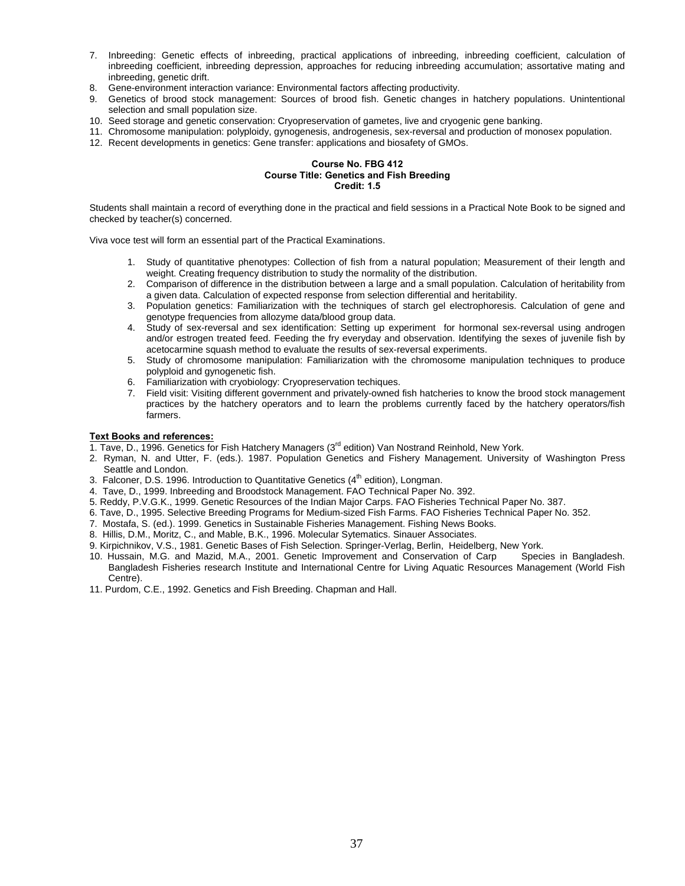- 7. Inbreeding: Genetic effects of inbreeding, practical applications of inbreeding, inbreeding coefficient, calculation of inbreeding coefficient, inbreeding depression, approaches for reducing inbreeding accumulation; assortative mating and inbreeding, genetic drift.
- 8. Gene-environment interaction variance: Environmental factors affecting productivity.
- 9. Genetics of brood stock management: Sources of brood fish. Genetic changes in hatchery populations. Unintentional selection and small population size.
- 10. Seed storage and genetic conservation: Cryopreservation of gametes, live and cryogenic gene banking.
- 11. Chromosome manipulation: polyploidy, gynogenesis, androgenesis, sex-reversal and production of monosex population.
- 12. Recent developments in genetics: Gene transfer: applications and biosafety of GMOs.

# **Course No. FBG 412 Course Title: Genetics and Fish Breeding Credit: 1.5**

Students shall maintain a record of everything done in the practical and field sessions in a Practical Note Book to be signed and checked by teacher(s) concerned.

Viva voce test will form an essential part of the Practical Examinations.

- 1. Study of quantitative phenotypes: Collection of fish from a natural population; Measurement of their length and weight. Creating frequency distribution to study the normality of the distribution.
- 2. Comparison of difference in the distribution between a large and a small population. Calculation of heritability from a given data. Calculation of expected response from selection differential and heritability.
- 3. Population genetics: Familiarization with the techniques of starch gel electrophoresis. Calculation of gene and genotype frequencies from allozyme data/blood group data.
- 4. Study of sex-reversal and sex identification: Setting up experiment for hormonal sex-reversal using androgen and/or estrogen treated feed. Feeding the fry everyday and observation. Identifying the sexes of juvenile fish by acetocarmine squash method to evaluate the results of sex-reversal experiments.
- 5. Study of chromosome manipulation: Familiarization with the chromosome manipulation techniques to produce polyploid and gynogenetic fish.
- 6. Familiarization with cryobiology: Cryopreservation techiques.
- 7. Field visit: Visiting different government and privately-owned fish hatcheries to know the brood stock management practices by the hatchery operators and to learn the problems currently faced by the hatchery operators/fish farmers.

- 1. Tave, D., 1996. Genetics for Fish Hatchery Managers ( $3<sup>rd</sup>$  edition) Van Nostrand Reinhold, New York.
- 2. Ryman, N. and Utter, F. (eds.). 1987. Population Genetics and Fishery Management. University of Washington Press Seattle and London.
- 3. Falconer, D.S. 1996. Introduction to Quantitative Genetics  $(4<sup>th</sup>$  edition), Longman.
- 4. Tave, D., 1999. Inbreeding and Broodstock Management. FAO Technical Paper No. 392.
- 5. Reddy, P.V.G.K., 1999. Genetic Resources of the Indian Major Carps. FAO Fisheries Technical Paper No. 387.
- 6. Tave, D., 1995. Selective Breeding Programs for Medium-sized Fish Farms. FAO Fisheries Technical Paper No. 352.
- 7. Mostafa, S. (ed.). 1999. Genetics in Sustainable Fisheries Management. Fishing News Books.
- 8. Hillis, D.M., Moritz, C., and Mable, B.K., 1996. Molecular Sytematics. Sinauer Associates.
- 9. Kirpichnikov, V.S., 1981. Genetic Bases of Fish Selection. Springer-Verlag, Berlin, Heidelberg, New York.
- 10. Hussain, M.G. and Mazid, M.A., 2001. Genetic Improvement and Conservation of Carp Species in Bangladesh. Bangladesh Fisheries research Institute and International Centre for Living Aquatic Resources Management (World Fish Centre).
- 11. Purdom, C.E., 1992. Genetics and Fish Breeding. Chapman and Hall.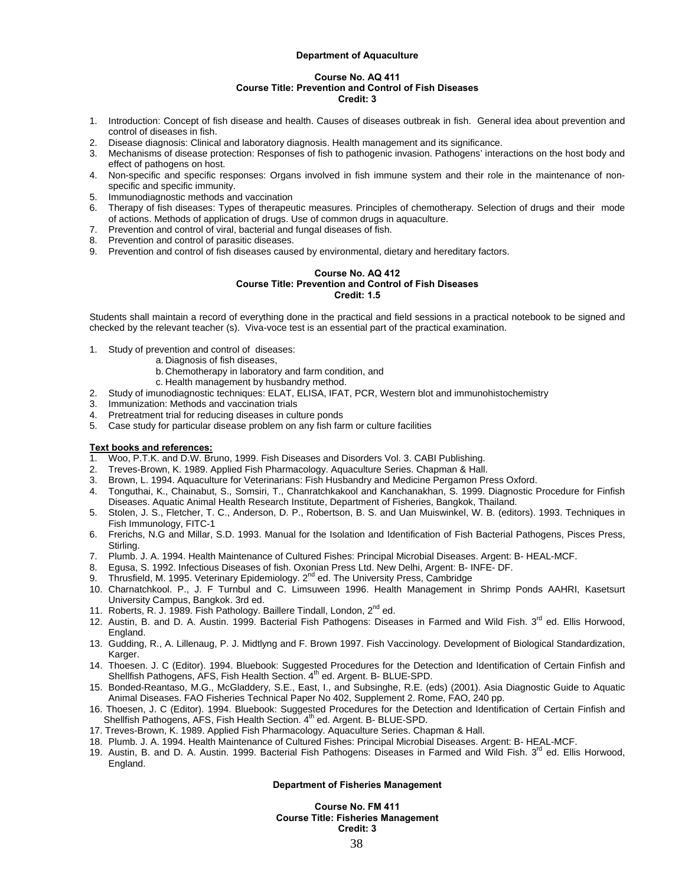#### **Department of Aquaculture**

#### **Course No. AQ 411 Course Title: Prevention and Control of Fish Diseases Credit: 3**

- 1. Introduction: Concept of fish disease and health. Causes of diseases outbreak in fish. General idea about prevention and control of diseases in fish.
- 2. Disease diagnosis: Clinical and laboratory diagnosis. Health management and its significance.
- 3. Mechanisms of disease protection: Responses of fish to pathogenic invasion. Pathogens' interactions on the host body and effect of pathogens on host.
- 4. Non-specific and specific responses: Organs involved in fish immune system and their role in the maintenance of nonspecific and specific immunity.
- 5. Immunodiagnostic methods and vaccination
- 6. Therapy of fish diseases: Types of therapeutic measures. Principles of chemotherapy. Selection of drugs and their mode of actions. Methods of application of drugs. Use of common drugs in aquaculture.
- 7. Prevention and control of viral, bacterial and fungal diseases of fish.
- 8. Prevention and control of parasitic diseases.
- 9. Prevention and control of fish diseases caused by environmental, dietary and hereditary factors.

#### **Course No. AQ 412 Course Title: Prevention and Control of Fish Diseases Credit: 1.5**

Students shall maintain a record of everything done in the practical and field sessions in a practical notebook to be signed and checked by the relevant teacher (s). Viva-voce test is an essential part of the practical examination.

- 1. Study of prevention and control of diseases:
	- a. Diagnosis of fish diseases,
		- b. Chemotherapy in laboratory and farm condition, and
		- c. Health management by husbandry method.
- 2. Study of imunodiagnostic techniques: ELAT, ELISA, IFAT, PCR, Western blot and immunohistochemistry
- 3. Immunization: Methods and vaccination trials<br>4. Pretreatment trial for reducing diseases in cult
- 4. Pretreatment trial for reducing diseases in culture ponds
- 5. Case study for particular disease problem on any fish farm or culture facilities

## **Text books and references:**

- 1. Woo, P.T.K. and D.W. Bruno, 1999. Fish Diseases and Disorders Vol. 3. CABI Publishing.
- 2. Treves-Brown, K. 1989. Applied Fish Pharmacology. Aquaculture Series. Chapman & Hall.
- 3. Brown, L. 1994. Aquaculture for Veterinarians: Fish Husbandry and Medicine Pergamon Press Oxford.
- 4. Tonguthai, K., Chainabut, S., Somsiri, T., Chanratchkakool and Kanchanakhan, S. 1999. Diagnostic Procedure for Finfish Diseases. Aquatic Animal Health Research Institute, Department of Fisheries, Bangkok, Thailand.
- 5. Stolen, J. S., Fletcher, T. C., Anderson, D. P., Robertson, B. S. and Uan Muiswinkel, W. B. (editors). 1993. Techniques in Fish Immunology, FITC-1
- 6. Frerichs, N.G and Millar, S.D. 1993. Manual for the Isolation and Identification of Fish Bacterial Pathogens, Pisces Press, Stirling.
- 7. Plumb. J. A. 1994. Health Maintenance of Cultured Fishes: Principal Microbial Diseases. Argent: B- HEAL-MCF.
- 8. Egusa, S. 1992. Infectious Diseases of fish. Oxonian Press Ltd. New Delhi, Argent: B- INFE- DF.
- Thrusfield, M. 1995. Veterinary Epidemiology. 2<sup>nd</sup> ed. The University Press, Cambridge
- 10. Charnatchkool. P., J. F Turnbul and C. Limsuween 1996. Health Management in Shrimp Ponds AAHRI, Kasetsurt University Campus, Bangkok. 3rd ed.
- 11. Roberts, R. J. 1989. Fish Pathology. Baillere Tindall, London, 2<sup>nd</sup> ed.
- 12. Austin, B. and D. A. Austin. 1999. Bacterial Fish Pathogens: Diseases in Farmed and Wild Fish. 3<sup>rd</sup> ed. Ellis Horwood, England.
- 13. Gudding, R., A. Lillenaug, P. J. Midtlyng and F. Brown 1997. Fish Vaccinology. Development of Biological Standardization, Karger.
- 14. Thoesen. J. C (Editor). 1994. Bluebook: Suggested Procedures for the Detection and Identification of Certain Finfish and Shellfish Pathogens, AFS, Fish Health Section. 4<sup>th</sup> ed. Argent. B- BLUE-SPD.
- 15. Bonded-Reantaso, M.G., McGladdery, S.E., East, I., and Subsinghe, R.E. (eds) (2001). Asia Diagnostic Guide to Aquatic Animal Diseases. FAO Fisheries Technical Paper No 402, Supplement 2. Rome, FAO, 240 pp.
- 16. Thoesen, J. C (Editor). 1994. Bluebook: Suggested Procedures for the Detection and Identification of Certain Finfish and Shellfish Pathogens, AFS, Fish Health Section. 4<sup>th</sup> ed. Argent. B- BLUE-SPD.
- 17. Treves-Brown, K. 1989. Applied Fish Pharmacology. Aquaculture Series. Chapman & Hall.
- 18. Plumb. J. A. 1994. Health Maintenance of Cultured Fishes: Principal Microbial Diseases. Argent: B- HEAL-MCF.
- 19. Austin, B. and D. A. Austin. 1999. Bacterial Fish Pathogens: Diseases in Farmed and Wild Fish. 3<sup>rd</sup> ed. Ellis Horwood, England.

#### **Department of Fisheries Management**

**Course No. FM 411 Course Title: Fisheries Management Credit: 3**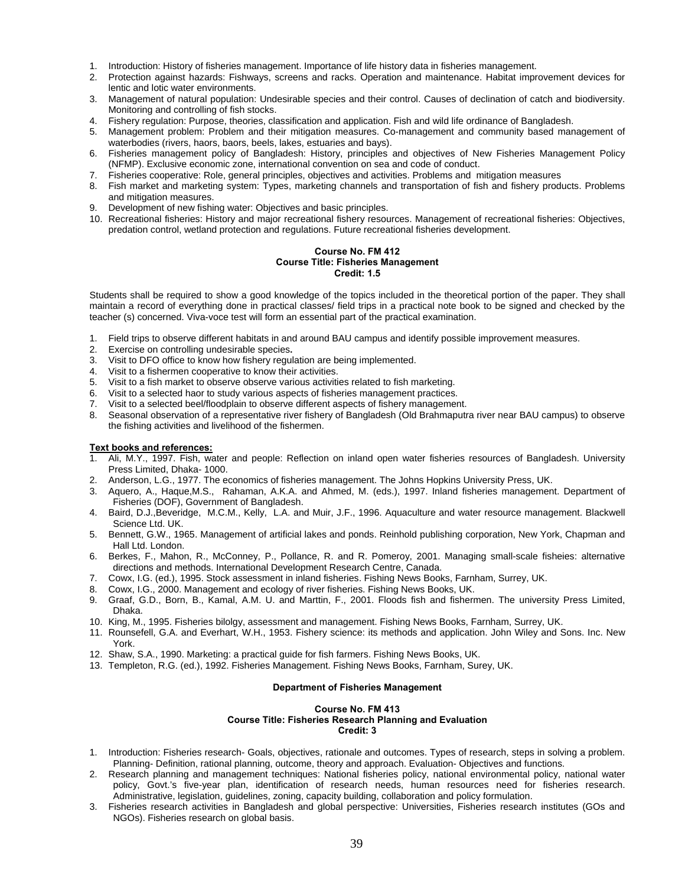- 1. Introduction: History of fisheries management. Importance of life history data in fisheries management.
- 2. Protection against hazards: Fishways, screens and racks. Operation and maintenance. Habitat improvement devices for lentic and lotic water environments.
- 3. Management of natural population: Undesirable species and their control. Causes of declination of catch and biodiversity. Monitoring and controlling of fish stocks.
- 4. Fishery regulation: Purpose, theories, classification and application. Fish and wild life ordinance of Bangladesh.
- 5. Management problem: Problem and their mitigation measures. Co-management and community based management of waterbodies (rivers, haors, baors, beels, lakes, estuaries and bays).
- 6. Fisheries management policy of Bangladesh: History, principles and objectives of New Fisheries Management Policy (NFMP). Exclusive economic zone, international convention on sea and code of conduct.
- 7. Fisheries cooperative: Role, general principles, objectives and activities. Problems and mitigation measures
- 8. Fish market and marketing system: Types, marketing channels and transportation of fish and fishery products. Problems and mitigation measures.
- 9. Development of new fishing water: Objectives and basic principles.
- 10. Recreational fisheries: History and major recreational fishery resources. Management of recreational fisheries: Objectives, predation control, wetland protection and regulations. Future recreational fisheries development.

#### **Course No. FM 412 Course Title: Fisheries Management Credit: 1.5**

Students shall be required to show a good knowledge of the topics included in the theoretical portion of the paper. They shall maintain a record of everything done in practical classes/ field trips in a practical note book to be signed and checked by the teacher (s) concerned. Viva-voce test will form an essential part of the practical examination.

- 1. Field trips to observe different habitats in and around BAU campus and identify possible improvement measures.
- 2. Exercise on controlling undesirable species**.**
- 3. Visit to DFO office to know how fishery regulation are being implemented.
- 4. Visit to a fishermen cooperative to know their activities.
- 5. Visit to a fish market to observe observe various activities related to fish marketing.
- 6. Visit to a selected haor to study various aspects of fisheries management practices.
- 7. Visit to a selected beel/floodplain to observe different aspects of fishery management.
- 8. Seasonal observation of a representative river fishery of Bangladesh (Old Brahmaputra river near BAU campus) to observe the fishing activities and livelihood of the fishermen.

# **Text books and references:**

- 1. Ali, M.Y., 1997. Fish, water and people: Reflection on inland open water fisheries resources of Bangladesh. University Press Limited, Dhaka- 1000.
- 2. Anderson, L.G., 1977. The economics of fisheries management. The Johns Hopkins University Press, UK.<br>3. Aguero, A., Hague M.S., Rahaman, A.K.A., and Ahmed. M. (eds.), 1997. Inland fisheries managemen
- 3. Aquero, A., Haque,M.S., Rahaman, A.K.A. and Ahmed, M. (eds.), 1997. Inland fisheries management. Department of Fisheries (DOF), Government of Bangladesh.
- 4. Baird, D.J.,Beveridge, M.C.M., Kelly, L.A. and Muir, J.F., 1996. Aquaculture and water resource management. Blackwell Science Ltd. UK.
- 5. Bennett, G.W., 1965. Management of artificial lakes and ponds. Reinhold publishing corporation, New York, Chapman and Hall Ltd. London.
- 6. Berkes, F., Mahon, R., McConney, P., Pollance, R. and R. Pomeroy, 2001. Managing small-scale fisheies: alternative directions and methods. International Development Research Centre, Canada.
- 7. Cowx, I.G. (ed.), 1995. Stock assessment in inland fisheries. Fishing News Books, Farnham, Surrey, UK.
- 8. Cowx, I.G., 2000. Management and ecology of river fisheries. Fishing News Books, UK.
- 9. Graaf, G.D., Born, B., Kamal, A.M. U. and Marttin, F., 2001. Floods fish and fishermen. The university Press Limited, Dhaka.
- 10. King, M., 1995. Fisheries bilolgy, assessment and management. Fishing News Books, Farnham, Surrey, UK.
- 11. Rounsefell, G.A. and Everhart, W.H., 1953. Fishery science: its methods and application. John Wiley and Sons. Inc. New York.
- 12. Shaw, S.A., 1990. Marketing: a practical guide for fish farmers. Fishing News Books, UK.
- 13. Templeton, R.G. (ed.), 1992. Fisheries Management. Fishing News Books, Farnham, Surey, UK.

#### **Department of Fisheries Management**

#### **Course No. FM 413 Course Title: Fisheries Research Planning and Evaluation Credit: 3**

- 1. Introduction: Fisheries research- Goals, objectives, rationale and outcomes. Types of research, steps in solving a problem. Planning- Definition, rational planning, outcome, theory and approach. Evaluation- Objectives and functions.
- 2. Research planning and management techniques: National fisheries policy, national environmental policy, national water policy, Govt.'s five-year plan, identification of research needs, human resources need for fisheries research. Administrative, legislation, guidelines, zoning, capacity building, collaboration and policy formulation.
- 3. Fisheries research activities in Bangladesh and global perspective: Universities, Fisheries research institutes (GOs and NGOs). Fisheries research on global basis.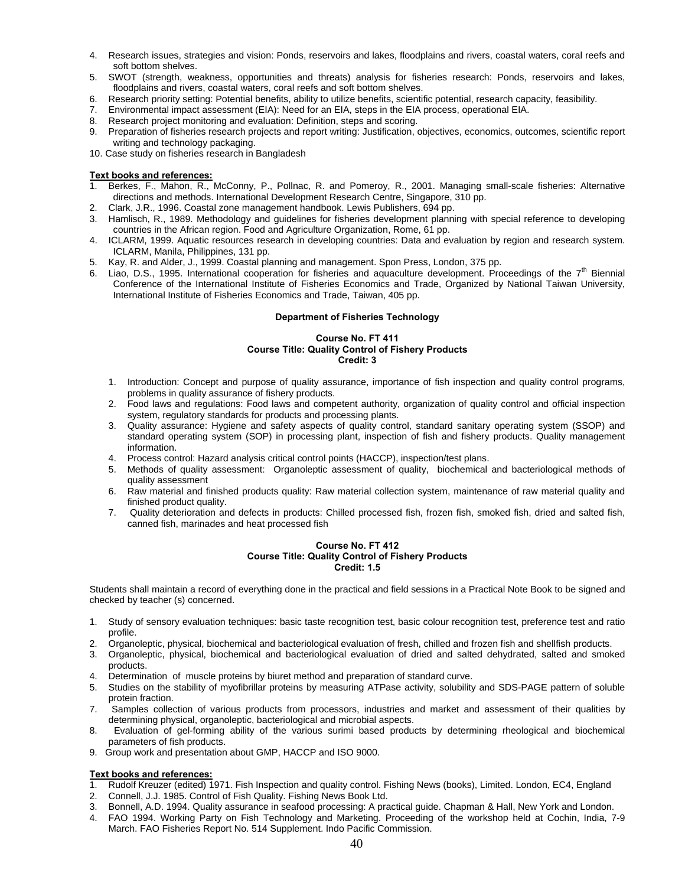- 4. Research issues, strategies and vision: Ponds, reservoirs and lakes, floodplains and rivers, coastal waters, coral reefs and soft bottom shelves.
- 5. SWOT (strength, weakness, opportunities and threats) analysis for fisheries research: Ponds, reservoirs and lakes, floodplains and rivers, coastal waters, coral reefs and soft bottom shelves.
- 6. Research priority setting: Potential benefits, ability to utilize benefits, scientific potential, research capacity, feasibility.<br>7. Environmental impact assessment (EIA): Need for an EIA, steps in the EIA process, oper
- 7. Environmental impact assessment (EIA): Need for an EIA, steps in the EIA process, operational EIA.
- 8. Research project monitoring and evaluation: Definition, steps and scoring.
- 9. Preparation of fisheries research projects and report writing: Justification, objectives, economics, outcomes, scientific report writing and technology packaging.
- 10. Case study on fisheries research in Bangladesh

- 1. Berkes, F., Mahon, R., McConny, P., Pollnac, R. and Pomeroy, R., 2001. Managing small-scale fisheries: Alternative directions and methods. International Development Research Centre, Singapore, 310 pp.
- 2. Clark, J.R., 1996. Coastal zone management handbook. Lewis Publishers, 694 pp.
- 3. Hamlisch, R., 1989. Methodology and guidelines for fisheries development planning with special reference to developing countries in the African region. Food and Agriculture Organization, Rome, 61 pp.
- 4. ICLARM, 1999. Aquatic resources research in developing countries: Data and evaluation by region and research system. ICLARM, Manila, Philippines, 131 pp.
- 5. Kay, R. and Alder, J., 1999. Coastal planning and management. Spon Press, London, 375 pp.
- 6. Liao, D.S., 1995. International cooperation for fisheries and aquaculture development. Proceedings of the 7<sup>th</sup> Biennial Conference of the International Institute of Fisheries Economics and Trade, Organized by National Taiwan University, International Institute of Fisheries Economics and Trade, Taiwan, 405 pp.

#### **Department of Fisheries Technology**

# **Course No. FT 411 Course Title: Quality Control of Fishery Products Credit: 3**

- 1. Introduction: Concept and purpose of quality assurance, importance of fish inspection and quality control programs, problems in quality assurance of fishery products.
- 2. Food laws and regulations: Food laws and competent authority, organization of quality control and official inspection system, regulatory standards for products and processing plants.
- 3. Quality assurance: Hygiene and safety aspects of quality control, standard sanitary operating system (SSOP) and standard operating system (SOP) in processing plant, inspection of fish and fishery products. Quality management information.
- 4. Process control: Hazard analysis critical control points (HACCP), inspection/test plans.
- 5. Methods of quality assessment: Organoleptic assessment of quality, biochemical and bacteriological methods of quality assessment
- 6. Raw material and finished products quality: Raw material collection system, maintenance of raw material quality and finished product quality.
- 7. Quality deterioration and defects in products: Chilled processed fish, frozen fish, smoked fish, dried and salted fish, canned fish, marinades and heat processed fish

# **Course No. FT 412 Course Title: Quality Control of Fishery Products Credit: 1.5**

Students shall maintain a record of everything done in the practical and field sessions in a Practical Note Book to be signed and checked by teacher (s) concerned.

- 1. Study of sensory evaluation techniques: basic taste recognition test, basic colour recognition test, preference test and ratio profile.
- 2. Organoleptic, physical, biochemical and bacteriological evaluation of fresh, chilled and frozen fish and shellfish products.
- 3. Organoleptic, physical, biochemical and bacteriological evaluation of dried and salted dehydrated, salted and smoked products.
- 4. Determination of muscle proteins by biuret method and preparation of standard curve.
- 5. Studies on the stability of myofibrillar proteins by measuring ATPase activity, solubility and SDS-PAGE pattern of soluble protein fraction.
- 7. Samples collection of various products from processors, industries and market and assessment of their qualities by determining physical, organoleptic, bacteriological and microbial aspects.
- 8. Evaluation of gel-forming ability of the various surimi based products by determining rheological and biochemical parameters of fish products.
- 9. Group work and presentation about GMP, HACCP and ISO 9000.

- 1. Rudolf Kreuzer (edited) 1971. Fish Inspection and quality control. Fishing News (books), Limited. London, EC4, England
- 2. Connell, J.J. 1985. Control of Fish Quality. Fishing News Book Ltd.
- 3. Bonnell, A.D. 1994. Quality assurance in seafood processing: A practical guide. Chapman & Hall, New York and London.
- 4. FAO 1994. Working Party on Fish Technology and Marketing. Proceeding of the workshop held at Cochin, India, 7-9 March. FAO Fisheries Report No. 514 Supplement. Indo Pacific Commission.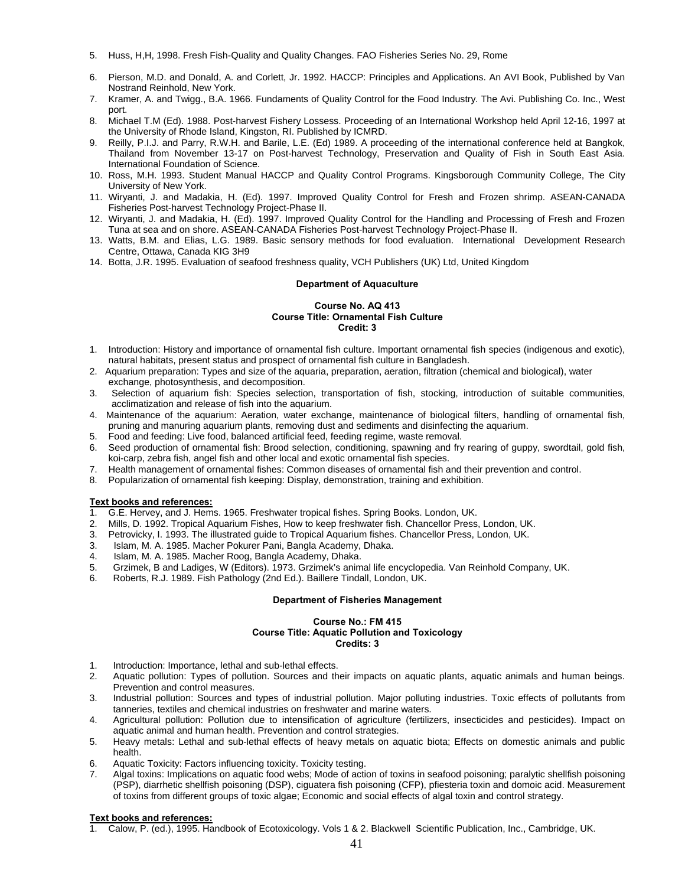- 5. Huss, H,H, 1998. Fresh Fish-Quality and Quality Changes. FAO Fisheries Series No. 29, Rome
- 6. Pierson, M.D. and Donald, A. and Corlett, Jr. 1992. HACCP: Principles and Applications. An AVI Book, Published by Van Nostrand Reinhold, New York.
- 7. Kramer, A. and Twigg., B.A. 1966. Fundaments of Quality Control for the Food Industry. The Avi. Publishing Co. Inc., West port.
- 8. Michael T.M (Ed). 1988. Post-harvest Fishery Lossess. Proceeding of an International Workshop held April 12-16, 1997 at the University of Rhode Island, Kingston, RI. Published by ICMRD.
- 9. Reilly, P.I.J. and Parry, R.W.H. and Barile, L.E. (Ed) 1989. A proceeding of the international conference held at Bangkok, Thailand from November 13-17 on Post-harvest Technology, Preservation and Quality of Fish in South East Asia. International Foundation of Science.
- 10. Ross, M.H. 1993. Student Manual HACCP and Quality Control Programs. Kingsborough Community College, The City University of New York.
- 11. Wiryanti, J. and Madakia, H. (Ed). 1997. Improved Quality Control for Fresh and Frozen shrimp. ASEAN-CANADA Fisheries Post-harvest Technology Project-Phase II.
- 12. Wiryanti, J. and Madakia, H. (Ed). 1997. Improved Quality Control for the Handling and Processing of Fresh and Frozen Tuna at sea and on shore. ASEAN-CANADA Fisheries Post-harvest Technology Project-Phase II.
- 13. Watts, B.M. and Elias, L.G. 1989. Basic sensory methods for food evaluation. International Development Research Centre, Ottawa, Canada KIG 3H9
- 14. Botta, J.R. 1995. Evaluation of seafood freshness quality, VCH Publishers (UK) Ltd, United Kingdom

#### **Department of Aquaculture**

#### **Course No. AQ 413 Course Title: Ornamental Fish Culture Credit: 3**

- 1. Introduction: History and importance of ornamental fish culture. Important ornamental fish species (indigenous and exotic), natural habitats, present status and prospect of ornamental fish culture in Bangladesh.
- 2. Aquarium preparation: Types and size of the aquaria, preparation, aeration, filtration (chemical and biological), water exchange, photosynthesis, and decomposition.
- 3. Selection of aquarium fish: Species selection, transportation of fish, stocking, introduction of suitable communities, acclimatization and release of fish into the aquarium.
- 4. Maintenance of the aquarium: Aeration, water exchange, maintenance of biological filters, handling of ornamental fish, pruning and manuring aquarium plants, removing dust and sediments and disinfecting the aquarium.
- 5. Food and feeding: Live food, balanced artificial feed, feeding regime, waste removal.
- 6. Seed production of ornamental fish: Brood selection, conditioning, spawning and fry rearing of guppy, swordtail, gold fish, koi-carp, zebra fish, angel fish and other local and exotic ornamental fish species.
- 7. Health management of ornamental fishes: Common diseases of ornamental fish and their prevention and control.
- 8. Popularization of ornamental fish keeping: Display, demonstration, training and exhibition.

# **Text books and references:**

- 1. G.E. Hervey, and J. Hems. 1965. Freshwater tropical fishes. Spring Books. London, UK.
- 2. Mills, D. 1992. Tropical Aquarium Fishes, How to keep freshwater fish. Chancellor Press, London, UK.
- 3. Petrovicky, I. 1993. The illustrated guide to Tropical Aquarium fishes. Chancellor Press, London, UK.
- 3. Islam, M. A. 1985. Macher Pokurer Pani, Bangla Academy, Dhaka.
- 4. Islam, M. A. 1985. Macher Roog, Bangla Academy, Dhaka.
- 5. Grzimek, B and Ladiges, W (Editors). 1973. Grzimek's animal life encyclopedia. Van Reinhold Company, UK.
- 6. Roberts, R.J. 1989. Fish Pathology (2nd Ed.). Baillere Tindall, London, UK.

#### **Department of Fisheries Management**

#### **Course No.: FM 415 Course Title: Aquatic Pollution and Toxicology Credits: 3**

- 1. Introduction: Importance, lethal and sub-lethal effects.
- 2. Aquatic pollution: Types of pollution. Sources and their impacts on aquatic plants, aquatic animals and human beings. Prevention and control measures.
- 3. Industrial pollution: Sources and types of industrial pollution. Major polluting industries. Toxic effects of pollutants from tanneries, textiles and chemical industries on freshwater and marine waters.
- 4. Agricultural pollution: Pollution due to intensification of agriculture (fertilizers, insecticides and pesticides). Impact on aquatic animal and human health. Prevention and control strategies.
- 5. Heavy metals: Lethal and sub-lethal effects of heavy metals on aquatic biota; Effects on domestic animals and public health.
- 6. Aquatic Toxicity: Factors influencing toxicity. Toxicity testing.
- 7. Algal toxins: Implications on aquatic food webs; Mode of action of toxins in seafood poisoning; paralytic shellfish poisoning (PSP), diarrhetic shellfish poisoning (DSP), ciguatera fish poisoning (CFP), pfiesteria toxin and domoic acid. Measurement of toxins from different groups of toxic algae; Economic and social effects of algal toxin and control strategy.

#### **Text books and references:**

1. Calow, P. (ed.), 1995. Handbook of Ecotoxicology. Vols 1 & 2. Blackwell Scientific Publication, Inc., Cambridge, UK.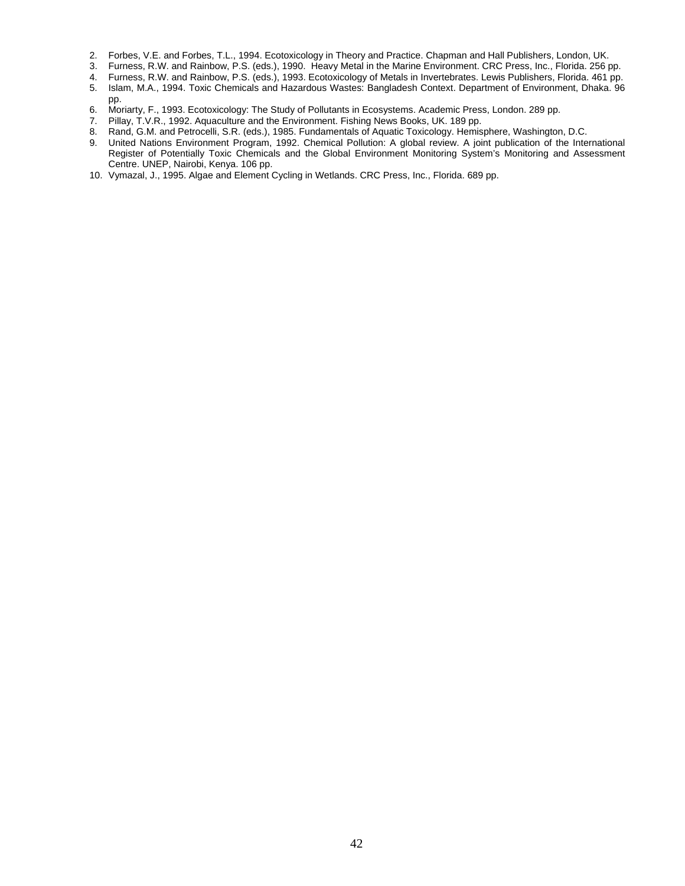- 2. Forbes, V.E. and Forbes, T.L., 1994. Ecotoxicology in Theory and Practice. Chapman and Hall Publishers, London, UK.
- 3. Furness, R.W. and Rainbow, P.S. (eds.), 1990. Heavy Metal in the Marine Environment. CRC Press, Inc., Florida. 256 pp.
- 4. Furness, R.W. and Rainbow, P.S. (eds.), 1993. Ecotoxicology of Metals in Invertebrates. Lewis Publishers, Florida. 461 pp.
- 5. Islam, M.A., 1994. Toxic Chemicals and Hazardous Wastes: Bangladesh Context. Department of Environment, Dhaka. 96 pp.
- 6. Moriarty, F., 1993. Ecotoxicology: The Study of Pollutants in Ecosystems. Academic Press, London. 289 pp.
- 7. Pillay, T.V.R., 1992. Aquaculture and the Environment. Fishing News Books, UK. 189 pp.
- 8. Rand, G.M. and Petrocelli, S.R. (eds.), 1985. Fundamentals of Aquatic Toxicology. Hemisphere, Washington, D.C.
- 9. United Nations Environment Program, 1992. Chemical Pollution: A global review. A joint publication of the International Register of Potentially Toxic Chemicals and the Global Environment Monitoring System's Monitoring and Assessment Centre. UNEP, Nairobi, Kenya. 106 pp.
- 10. Vymazal, J., 1995. Algae and Element Cycling in Wetlands. CRC Press, Inc., Florida. 689 pp.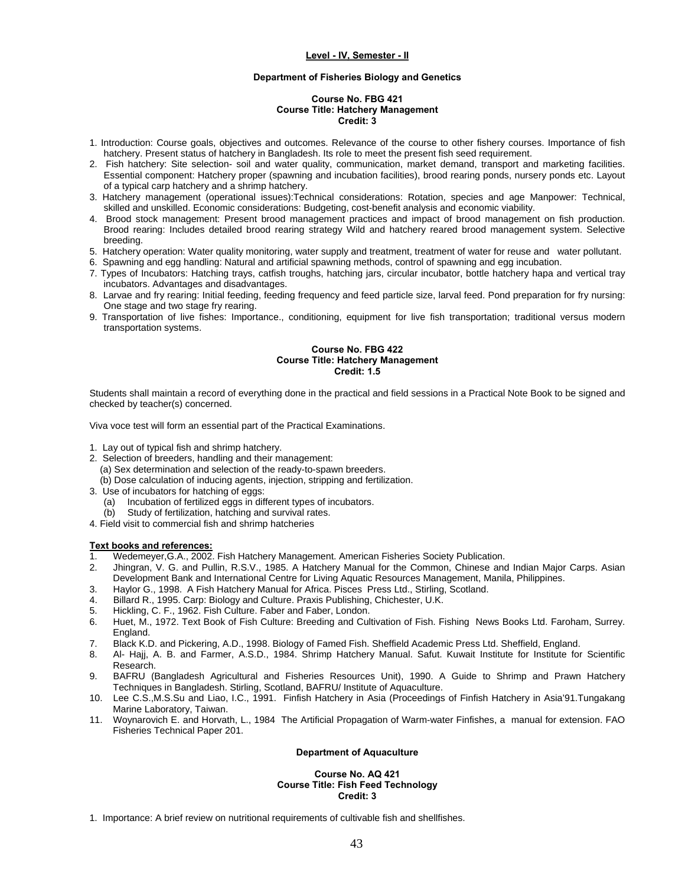# **Department of Fisheries Biology and Genetics**

# **Course No. FBG 421 Course Title: Hatchery Management Credit: 3**

- 1. Introduction: Course goals, objectives and outcomes. Relevance of the course to other fishery courses. Importance of fish hatchery. Present status of hatchery in Bangladesh. Its role to meet the present fish seed requirement.
- 2. Fish hatchery: Site selection- soil and water quality, communication, market demand, transport and marketing facilities. Essential component: Hatchery proper (spawning and incubation facilities), brood rearing ponds, nursery ponds etc. Layout of a typical carp hatchery and a shrimp hatchery.
- 3. Hatchery management (operational issues):Technical considerations: Rotation, species and age Manpower: Technical, skilled and unskilled. Economic considerations: Budgeting, cost-benefit analysis and economic viability.
- 4. Brood stock management: Present brood management practices and impact of brood management on fish production. Brood rearing: Includes detailed brood rearing strategy Wild and hatchery reared brood management system. Selective breeding.
- 5. Hatchery operation: Water quality monitoring, water supply and treatment, treatment of water for reuse and water pollutant.
- 6. Spawning and egg handling: Natural and artificial spawning methods, control of spawning and egg incubation.
- 7. Types of Incubators: Hatching trays, catfish troughs, hatching jars, circular incubator, bottle hatchery hapa and vertical tray incubators. Advantages and disadvantages.
- 8. Larvae and fry rearing: Initial feeding, feeding frequency and feed particle size, larval feed. Pond preparation for fry nursing: One stage and two stage fry rearing.
- 9. Transportation of live fishes: Importance., conditioning, equipment for live fish transportation; traditional versus modern transportation systems.

# **Course No. FBG 422 Course Title: Hatchery Management Credit: 1.5**

Students shall maintain a record of everything done in the practical and field sessions in a Practical Note Book to be signed and checked by teacher(s) concerned.

Viva voce test will form an essential part of the Practical Examinations.

- 1. Lay out of typical fish and shrimp hatchery.
- 2. Selection of breeders, handling and their management: (a) Sex determination and selection of the ready-to-spawn breeders. (b) Dose calculation of inducing agents, injection, stripping and fertilization.
- 3. Use of incubators for hatching of eggs:
	- (a) Incubation of fertilized eggs in different types of incubators.
- (b) Study of fertilization, hatching and survival rates.
- 4. Field visit to commercial fish and shrimp hatcheries

# **Text books and references:**

- 1. Wedemeyer,G.A., 2002. Fish Hatchery Management. American Fisheries Society Publication.
- 2. Jhingran, V. G. and Pullin, R.S.V., 1985. A Hatchery Manual for the Common, Chinese and Indian Major Carps. Asian Development Bank and International Centre for Living Aquatic Resources Management, Manila, Philippines.
- 3. Haylor G., 1998. A Fish Hatchery Manual for Africa. Pisces Press Ltd., Stirling, Scotland.
- 4. Billard R., 1995. Carp: Biology and Culture. Praxis Publishing, Chichester, U.K.
- 5. Hickling, C. F., 1962. Fish Culture. Faber and Faber, London.
- 6. Huet, M., 1972. Text Book of Fish Culture: Breeding and Cultivation of Fish. Fishing News Books Ltd. Faroham, Surrey. England.
- 7. Black K.D. and Pickering, A.D., 1998. Biology of Famed Fish. Sheffield Academic Press Ltd. Sheffield, England.
- 8. Al- Hajj, A. B. and Farmer, A.S.D., 1984. Shrimp Hatchery Manual. Safut. Kuwait Institute for Institute for Scientific Research.
- 9. BAFRU (Bangladesh Agricultural and Fisheries Resources Unit), 1990. A Guide to Shrimp and Prawn Hatchery Techniques in Bangladesh. Stirling, Scotland, BAFRU/ Institute of Aquaculture.
- 10. Lee C.S.,M.S.Su and Liao, I.C., 1991. Finfish Hatchery in Asia (Proceedings of Finfish Hatchery in Asia'91.Tungakang Marine Laboratory, Taiwan.
- 11. Woynarovich E. and Horvath, L., 1984 The Artificial Propagation of Warm-water Finfishes, a manual for extension. FAO Fisheries Technical Paper 201.

# **Department of Aquaculture**

# **Course No. AQ 421 Course Title: Fish Feed Technology Credit: 3**

1. Importance: A brief review on nutritional requirements of cultivable fish and shellfishes.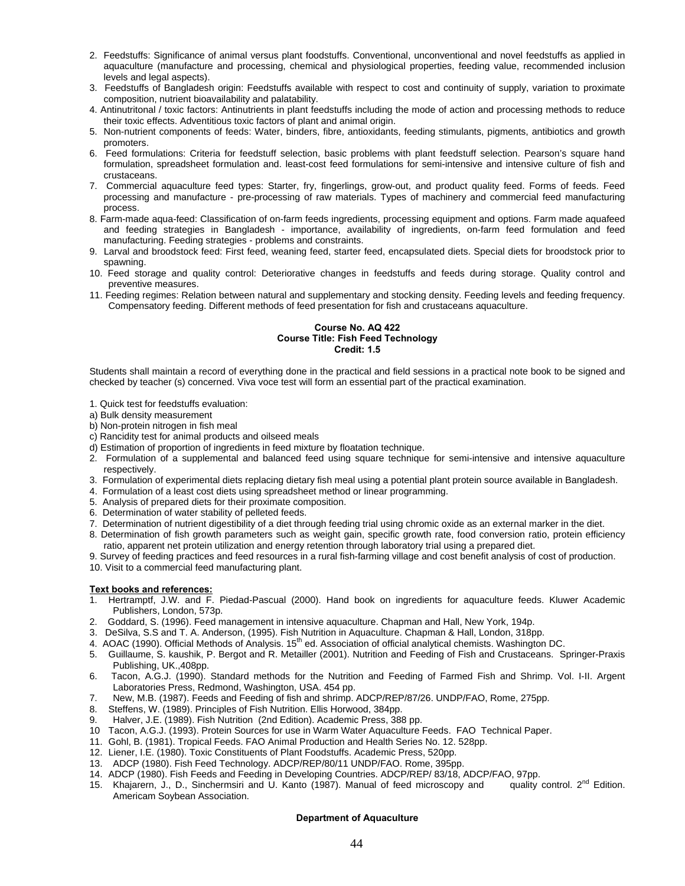- 2. Feedstuffs: Significance of animal versus plant foodstuffs. Conventional, unconventional and novel feedstuffs as applied in aquaculture (manufacture and processing, chemical and physiological properties, feeding value, recommended inclusion levels and legal aspects).
- 3. Feedstuffs of Bangladesh origin: Feedstuffs available with respect to cost and continuity of supply, variation to proximate composition, nutrient bioavailability and palatability.
- 4. Antinutritonal / toxic factors: Antinutrients in plant feedstuffs including the mode of action and processing methods to reduce their toxic effects. Adventitious toxic factors of plant and animal origin.
- 5. Non-nutrient components of feeds: Water, binders, fibre, antioxidants, feeding stimulants, pigments, antibiotics and growth promoters.
- 6. Feed formulations: Criteria for feedstuff selection, basic problems with plant feedstuff selection. Pearson's square hand formulation, spreadsheet formulation and. least-cost feed formulations for semi-intensive and intensive culture of fish and crustaceans.
- 7. Commercial aquaculture feed types: Starter, fry, fingerlings, grow-out, and product quality feed. Forms of feeds. Feed processing and manufacture - pre-processing of raw materials. Types of machinery and commercial feed manufacturing process.
- 8. Farm-made aqua-feed: Classification of on-farm feeds ingredients, processing equipment and options. Farm made aquafeed and feeding strategies in Bangladesh - importance, availability of ingredients, on-farm feed formulation and feed manufacturing. Feeding strategies - problems and constraints.
- 9. Larval and broodstock feed: First feed, weaning feed, starter feed, encapsulated diets. Special diets for broodstock prior to spawning.
- 10. Feed storage and quality control: Deteriorative changes in feedstuffs and feeds during storage. Quality control and preventive measures.
- 11. Feeding regimes: Relation between natural and supplementary and stocking density. Feeding levels and feeding frequency. Compensatory feeding. Different methods of feed presentation for fish and crustaceans aquaculture.

#### **Course No. AQ 422 Course Title: Fish Feed Technology Credit: 1.5**

Students shall maintain a record of everything done in the practical and field sessions in a practical note book to be signed and checked by teacher (s) concerned. Viva voce test will form an essential part of the practical examination.

- 1. Quick test for feedstuffs evaluation:
- a) Bulk density measurement
- b) Non-protein nitrogen in fish meal
- c) Rancidity test for animal products and oilseed meals
- d) Estimation of proportion of ingredients in feed mixture by floatation technique.
- 2. Formulation of a supplemental and balanced feed using square technique for semi-intensive and intensive aquaculture respectively.
- 3. Formulation of experimental diets replacing dietary fish meal using a potential plant protein source available in Bangladesh.
- 4. Formulation of a least cost diets using spreadsheet method or linear programming.
- 5. Analysis of prepared diets for their proximate composition.
- 6. Determination of water stability of pelleted feeds.
- 7. Determination of nutrient digestibility of a diet through feeding trial using chromic oxide as an external marker in the diet.
- 8. Determination of fish growth parameters such as weight gain, specific growth rate, food conversion ratio, protein efficiency ratio, apparent net protein utilization and energy retention through laboratory trial using a prepared diet.
- 9. Survey of feeding practices and feed resources in a rural fish-farming village and cost benefit analysis of cost of production. 10. Visit to a commercial feed manufacturing plant.

# **Text books and references:**

- 1. Hertramptf, J.W. and F. Piedad-Pascual (2000). Hand book on ingredients for aquaculture feeds. Kluwer Academic Publishers, London, 573p.
- 2. Goddard, S. (1996). Feed management in intensive aquaculture. Chapman and Hall, New York, 194p.
- 3. DeSilva, S.S and T. A. Anderson, (1995). Fish Nutrition in Aquaculture. Chapman & Hall, London, 318pp.
- 4. AOAC (1990). Official Methods of Analysis. 15th ed. Association of official analytical chemists. Washington DC.
- 5. Guillaume, S. kaushik, P. Bergot and R. Metailler (2001). Nutrition and Feeding of Fish and Crustaceans. Springer-Praxis Publishing, UK.,408pp.
- 6. Tacon, A.G.J. (1990). Standard methods for the Nutrition and Feeding of Farmed Fish and Shrimp. Vol. I-II. Argent Laboratories Press, Redmond, Washington, USA. 454 pp.
- 7. New, M.B. (1987). Feeds and Feeding of fish and shrimp. ADCP/REP/87/26. UNDP/FAO, Rome, 275pp.
- 8. Steffens, W. (1989). Principles of Fish Nutrition. Ellis Horwood, 384pp.
- 9. Halver, J.E. (1989). Fish Nutrition (2nd Edition). Academic Press, 388 pp.
- 10 Tacon, A.G.J. (1993). Protein Sources for use in Warm Water Aquaculture Feeds. FAO Technical Paper.
- 11. Gohl, B. (1981). Tropical Feeds. FAO Animal Production and Health Series No. 12. 528pp.
- 12. Liener, I.E. (1980). Toxic Constituents of Plant Foodstuffs. Academic Press, 520pp.
- 13. ADCP (1980). Fish Feed Technology. ADCP/REP/80/11 UNDP/FAO. Rome, 395pp.
- 
- 14. ADCP (1980). Fish Feeds and Feeding in Developing Countries. ADCP/REP/ 83/18, ADCP/FAO, 97pp.<br>15. Khajarern, J., D., Sinchermsiri and U. Kanto (1987). Manual of feed microscopy and quality control. 2<sup>nd</sup> Edition. 15. Khajarern, J., D., Sinchermsiri and U. Kanto (1987). Manual of feed microscopy and Americam Soybean Association.

# **Department of Aquaculture**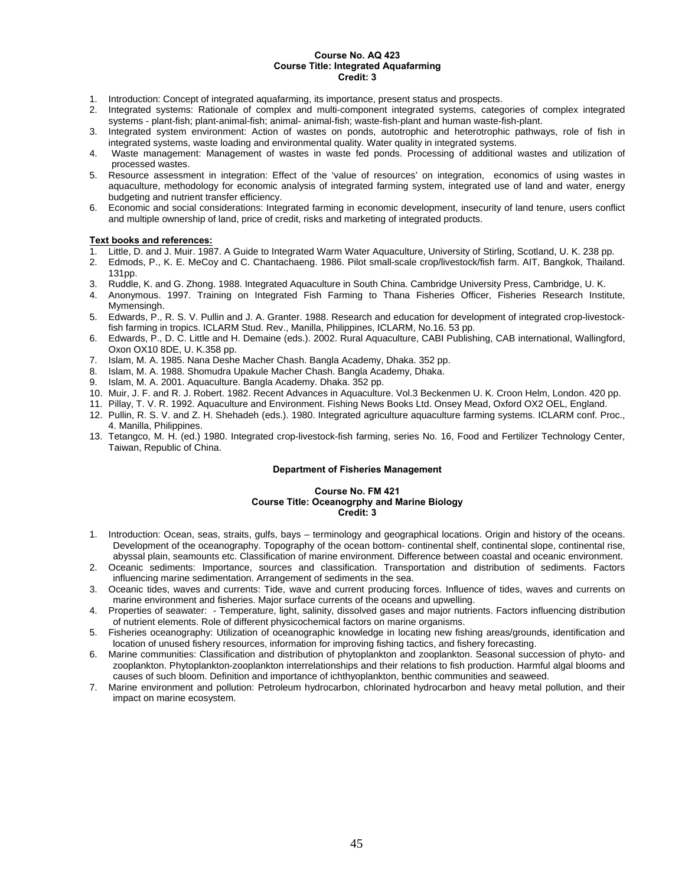#### **Course No. AQ 423 Course Title: Integrated Aquafarming Credit: 3**

- 1. Introduction: Concept of integrated aquafarming, its importance, present status and prospects.
- 2. Integrated systems: Rationale of complex and multi-component integrated systems, categories of complex integrated systems - plant-fish; plant-animal-fish; animal- animal-fish; waste-fish-plant and human waste-fish-plant.
- 3. Integrated system environment: Action of wastes on ponds, autotrophic and heterotrophic pathways, role of fish in integrated systems, waste loading and environmental quality. Water quality in integrated systems.
- 4. Waste management: Management of wastes in waste fed ponds. Processing of additional wastes and utilization of processed wastes.
- 5. Resource assessment in integration: Effect of the 'value of resources' on integration, economics of using wastes in aquaculture, methodology for economic analysis of integrated farming system, integrated use of land and water, energy budgeting and nutrient transfer efficiency.
- 6. Economic and social considerations: Integrated farming in economic development, insecurity of land tenure, users conflict and multiple ownership of land, price of credit, risks and marketing of integrated products.

# **Text books and references:**

- 1. Little, D. and J. Muir. 1987. A Guide to Integrated Warm Water Aquaculture, University of Stirling, Scotland, U. K. 238 pp.
- 2. Edmods, P., K. E. MeCoy and C. Chantachaeng. 1986. Pilot small-scale crop/livestock/fish farm. AIT, Bangkok, Thailand. 131pp.
- 3. Ruddle, K. and G. Zhong. 1988. Integrated Aquaculture in South China. Cambridge University Press, Cambridge, U. K.
- 4. Anonymous. 1997. Training on Integrated Fish Farming to Thana Fisheries Officer, Fisheries Research Institute, Mymensingh.
- 5. Edwards, P., R. S. V. Pullin and J. A. Granter. 1988. Research and education for development of integrated crop-livestockfish farming in tropics. ICLARM Stud. Rev., Manilla, Philippines, ICLARM, No.16. 53 pp.
- 6. Edwards, P., D. C. Little and H. Demaine (eds.). 2002. Rural Aquaculture, CABI Publishing, CAB international, Wallingford, Oxon OX10 8DE, U. K.358 pp.
- 7. Islam, M. A. 1985. Nana Deshe Macher Chash. Bangla Academy, Dhaka. 352 pp.
- 8. Islam, M. A. 1988. Shomudra Upakule Macher Chash. Bangla Academy, Dhaka.
- 9. Islam, M. A. 2001. Aquaculture. Bangla Academy. Dhaka. 352 pp.
- 10. Muir, J. F. and R. J. Robert. 1982. Recent Advances in Aquaculture. Vol.3 Beckenmen U. K. Croon Helm, London. 420 pp.
- 11. Pillay, T. V. R. 1992. Aquaculture and Environment. Fishing News Books Ltd. Onsey Mead, Oxford OX2 OEL, England.
- 12. Pullin, R. S. V. and Z. H. Shehadeh (eds.). 1980. Integrated agriculture aquaculture farming systems. ICLARM conf. Proc., 4. Manilla, Philippines.
- 13. Tetangco, M. H. (ed.) 1980. Integrated crop-livestock-fish farming, series No. 16, Food and Fertilizer Technology Center, Taiwan, Republic of China.

# **Department of Fisheries Management**

#### **Course No. FM 421 Course Title: Oceanogrphy and Marine Biology Credit: 3**

- 1. Introduction: Ocean, seas, straits, gulfs, bays terminology and geographical locations. Origin and history of the oceans. Development of the oceanography. Topography of the ocean bottom- continental shelf, continental slope, continental rise, abyssal plain, seamounts etc. Classification of marine environment. Difference between coastal and oceanic environment.
- 2. Oceanic sediments: Importance, sources and classification. Transportation and distribution of sediments. Factors influencing marine sedimentation. Arrangement of sediments in the sea.
- 3. Oceanic tides, waves and currents: Tide, wave and current producing forces. Influence of tides, waves and currents on marine environment and fisheries. Major surface currents of the oceans and upwelling.
- 4. Properties of seawater: Temperature, light, salinity, dissolved gases and major nutrients. Factors influencing distribution of nutrient elements. Role of different physicochemical factors on marine organisms.
- 5. Fisheries oceanography: Utilization of oceanographic knowledge in locating new fishing areas/grounds, identification and location of unused fishery resources, information for improving fishing tactics, and fishery forecasting.
- 6. Marine communities: Classification and distribution of phytoplankton and zooplankton. Seasonal succession of phyto- and zooplankton. Phytoplankton-zooplankton interrelationships and their relations to fish production. Harmful algal blooms and causes of such bloom. Definition and importance of ichthyoplankton, benthic communities and seaweed.
- 7. Marine environment and pollution: Petroleum hydrocarbon, chlorinated hydrocarbon and heavy metal pollution, and their impact on marine ecosystem.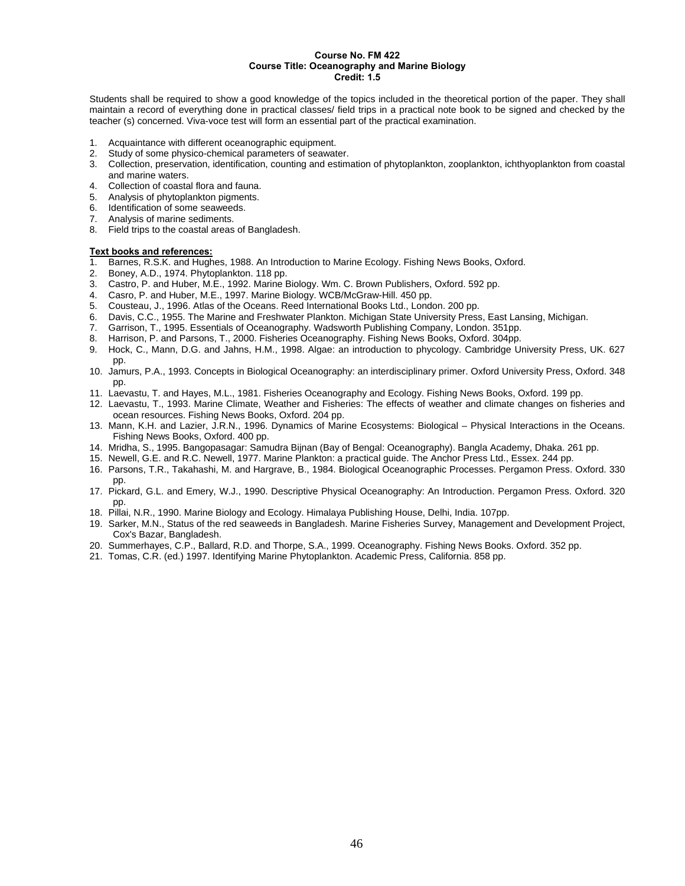# **Course No. FM 422 Course Title: Oceanography and Marine Biology Credit: 1.5**

Students shall be required to show a good knowledge of the topics included in the theoretical portion of the paper. They shall maintain a record of everything done in practical classes/ field trips in a practical note book to be signed and checked by the teacher (s) concerned. Viva-voce test will form an essential part of the practical examination.

- 1. Acquaintance with different oceanographic equipment.
- 2. Study of some physico-chemical parameters of seawater.
- 3. Collection, preservation, identification, counting and estimation of phytoplankton, zooplankton, ichthyoplankton from coastal and marine waters.
- 4. Collection of coastal flora and fauna.
- 5. Analysis of phytoplankton pigments.
- 6. Identification of some seaweeds.<br>7. Analysis of marine sediments.
- Analysis of marine sediments.
- 8. Field trips to the coastal areas of Bangladesh.

- 1. Barnes, R.S.K. and Hughes, 1988. An Introduction to Marine Ecology. Fishing News Books, Oxford.
- 2. Boney, A.D., 1974. Phytoplankton. 118 pp.
- 3. Castro, P. and Huber, M.E., 1992. Marine Biology. Wm. C. Brown Publishers, Oxford. 592 pp.
- 4. Casro, P. and Huber, M.E., 1997. Marine Biology. WCB/McGraw-Hill. 450 pp.
- 5. Cousteau, J., 1996. Atlas of the Oceans. Reed International Books Ltd., London. 200 pp.
- 6. Davis, C.C., 1955. The Marine and Freshwater Plankton. Michigan State University Press, East Lansing, Michigan.
- 7. Garrison, T., 1995. Essentials of Oceanography. Wadsworth Publishing Company, London. 351pp.
- 8. Harrison, P. and Parsons, T., 2000. Fisheries Oceanography. Fishing News Books, Oxford. 304pp.
- 9. Hock, C., Mann, D.G. and Jahns, H.M., 1998. Algae: an introduction to phycology. Cambridge University Press, UK. 627 pp.
- 10. Jamurs, P.A., 1993. Concepts in Biological Oceanography: an interdisciplinary primer. Oxford University Press, Oxford. 348 pp.
- 11. Laevastu, T. and Hayes, M.L., 1981. Fisheries Oceanography and Ecology. Fishing News Books, Oxford. 199 pp.
- 12. Laevastu, T., 1993. Marine Climate, Weather and Fisheries: The effects of weather and climate changes on fisheries and ocean resources. Fishing News Books, Oxford. 204 pp.
- 13. Mann, K.H. and Lazier, J.R.N., 1996. Dynamics of Marine Ecosystems: Biological Physical Interactions in the Oceans. Fishing News Books, Oxford. 400 pp.
- 14. Mridha, S., 1995. Bangopasagar: Samudra Bijnan (Bay of Bengal: Oceanography). Bangla Academy, Dhaka. 261 pp.
- 15. Newell, G.E. and R.C. Newell, 1977. Marine Plankton: a practical guide. The Anchor Press Ltd., Essex. 244 pp.
- 16. Parsons, T.R., Takahashi, M. and Hargrave, B., 1984. Biological Oceanographic Processes. Pergamon Press. Oxford. 330 pp.
- 17. Pickard, G.L. and Emery, W.J., 1990. Descriptive Physical Oceanography: An Introduction. Pergamon Press. Oxford. 320 pp.
- 18. Pillai, N.R., 1990. Marine Biology and Ecology. Himalaya Publishing House, Delhi, India. 107pp.
- 19. Sarker, M.N., Status of the red seaweeds in Bangladesh. Marine Fisheries Survey, Management and Development Project, Cox's Bazar, Bangladesh.
- 20. Summerhayes, C.P., Ballard, R.D. and Thorpe, S.A., 1999. Oceanography. Fishing News Books. Oxford. 352 pp.
- 21. Tomas, C.R. (ed.) 1997. Identifying Marine Phytoplankton. Academic Press, California. 858 pp.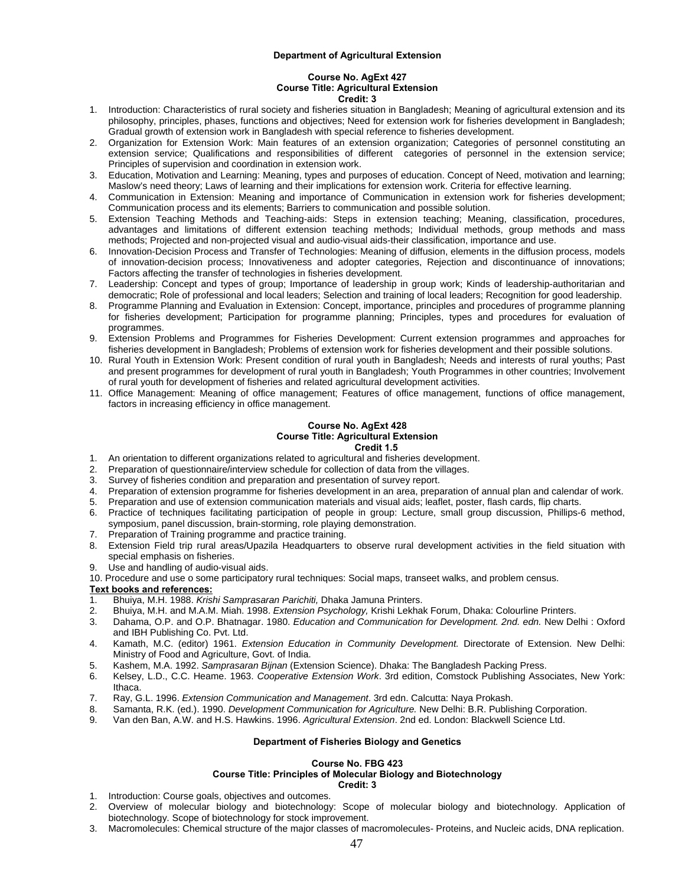#### **Department of Agricultural Extension**

#### **Course No. AgExt 427 Course Title: Agricultural Extension Credit: 3**

- 1. Introduction: Characteristics of rural society and fisheries situation in Bangladesh; Meaning of agricultural extension and its philosophy, principles, phases, functions and objectives; Need for extension work for fisheries development in Bangladesh; Gradual growth of extension work in Bangladesh with special reference to fisheries development.
- 2. Organization for Extension Work: Main features of an extension organization; Categories of personnel constituting an extension service; Qualifications and responsibilities of different categories of personnel in the extension service; Principles of supervision and coordination in extension work.
- 3. Education, Motivation and Learning: Meaning, types and purposes of education. Concept of Need, motivation and learning; Maslow's need theory; Laws of learning and their implications for extension work. Criteria for effective learning.
- 4. Communication in Extension: Meaning and importance of Communication in extension work for fisheries development; Communication process and its elements; Barriers to communication and possible solution.
- 5. Extension Teaching Methods and Teaching-aids: Steps in extension teaching; Meaning, classification, procedures, advantages and limitations of different extension teaching methods; Individual methods, group methods and mass methods; Projected and non-projected visual and audio-visual aids-their classification, importance and use.
- 6. Innovation-Decision Process and Transfer of Technologies: Meaning of diffusion, elements in the diffusion process, models of innovation-decision process; Innovativeness and adopter categories, Rejection and discontinuance of innovations; Factors affecting the transfer of technologies in fisheries development.
- 7. Leadership: Concept and types of group; Importance of leadership in group work; Kinds of leadership-authoritarian and democratic; Role of professional and local leaders; Selection and training of local leaders; Recognition for good leadership.
- 8. Programme Planning and Evaluation in Extension: Concept, importance, principles and procedures of programme planning for fisheries development; Participation for programme planning; Principles, types and procedures for evaluation of programmes.
- 9. Extension Problems and Programmes for Fisheries Development: Current extension programmes and approaches for fisheries development in Bangladesh; Problems of extension work for fisheries development and their possible solutions.
- 10. Rural Youth in Extension Work: Present condition of rural youth in Bangladesh; Needs and interests of rural youths; Past and present programmes for development of rural youth in Bangladesh; Youth Programmes in other countries; Involvement of rural youth for development of fisheries and related agricultural development activities.
- 11. Office Management: Meaning of office management; Features of office management, functions of office management, factors in increasing efficiency in office management.

#### **Course No. AgExt 428 Course Title: Agricultural Extension Credit 1.5**

- 1. An orientation to different organizations related to agricultural and fisheries development.
- 2. Preparation of questionnaire/interview schedule for collection of data from the villages.
- 3. Survey of fisheries condition and preparation and presentation of survey report.
- Preparation of extension programme for fisheries development in an area, preparation of annual plan and calendar of work.
- 5. Preparation and use of extension communication materials and visual aids; leaflet, poster, flash cards, flip charts.
- 6. Practice of techniques facilitating participation of people in group: Lecture, small group discussion, Phillips-6 method, symposium, panel discussion, brain-storming, role playing demonstration.
- 7. Preparation of Training programme and practice training.
- 8. Extension Field trip rural areas/Upazila Headquarters to observe rural development activities in the field situation with special emphasis on fisheries.
- 9. Use and handling of audio-visual aids.
- 10. Procedure and use o some participatory rural techniques: Social maps, transeet walks, and problem census.

# **Text books and references:**

- 1. Bhuiya, M.H. 1988. *Krishi Samprasaran Parichiti,* Dhaka Jamuna Printers.
- 2. Bhuiya, M.H. and M.A.M. Miah. 1998. *Extension Psychology,* Krishi Lekhak Forum, Dhaka: Colourline Printers.
- 3. Dahama, O.P. and O.P. Bhatnagar. 1980. *Education and Communication for Development. 2nd. edn.* New Delhi : Oxford and IBH Publishing Co. Pvt. Ltd.
- 4. Kamath, M.C. (editor) 1961. *Extension Education in Community Development.* Directorate of Extension. New Delhi: Ministry of Food and Agriculture, Govt. of India.
- 5. Kashem, M.A. 1992. *Samprasaran Bijnan* (Extension Science). Dhaka: The Bangladesh Packing Press.
- 6. Kelsey, L.D., C.C. Heame. 1963. *Cooperative Extension Work*. 3rd edition, Comstock Publishing Associates, New York: Ithaca.
- 7. Ray, G.L. 1996. *Extension Communication and Management*. 3rd edn. Calcutta: Naya Prokash.
- 8. Samanta, R.K. (ed.). 1990. *Development Communication for Agriculture.* New Delhi: B.R. Publishing Corporation.
- 9. Van den Ban, A.W. and H.S. Hawkins. 1996. *Agricultural Extension*. 2nd ed. London: Blackwell Science Ltd.

# **Department of Fisheries Biology and Genetics**

# **Course No. FBG 423**

**Course Title: Principles of Molecular Biology and Biotechnology** 

#### **Credit: 3**

- 1. Introduction: Course goals, objectives and outcomes.
- 2. Overview of molecular biology and biotechnology: Scope of molecular biology and biotechnology. Application of biotechnology. Scope of biotechnology for stock improvement.
- 3. Macromolecules: Chemical structure of the major classes of macromolecules- Proteins, and Nucleic acids, DNA replication.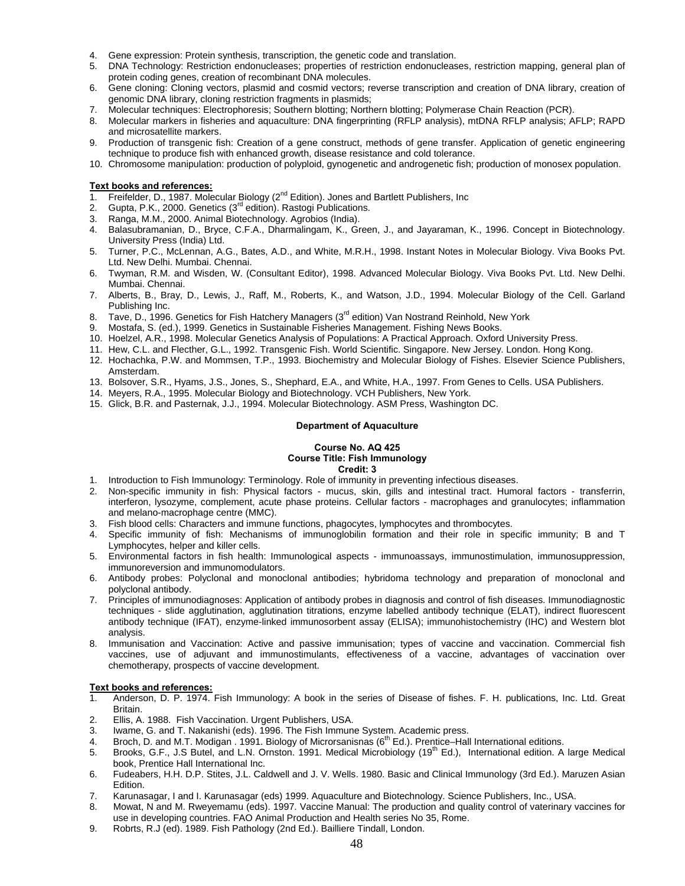- 4. Gene expression: Protein synthesis, transcription, the genetic code and translation.
- 5. DNA Technology: Restriction endonucleases; properties of restriction endonucleases, restriction mapping, general plan of protein coding genes, creation of recombinant DNA molecules.
- 6. Gene cloning: Cloning vectors, plasmid and cosmid vectors; reverse transcription and creation of DNA library, creation of genomic DNA library, cloning restriction fragments in plasmids;
- 7. Molecular techniques: Electrophoresis; Southern blotting; Northern blotting; Polymerase Chain Reaction (PCR).
- 8. Molecular markers in fisheries and aquaculture: DNA fingerprinting (RFLP analysis), mtDNA RFLP analysis; AFLP; RAPD and microsatellite markers.
- 9. Production of transgenic fish: Creation of a gene construct, methods of gene transfer. Application of genetic engineering technique to produce fish with enhanced growth, disease resistance and cold tolerance.
- 10. Chromosome manipulation: production of polyploid, gynogenetic and androgenetic fish; production of monosex population.

- 1. Freifelder, D., 1987. Molecular Biology (2<sup>nd</sup> Edition). Jones and Bartlett Publishers, Inc
- 2. Gupta, P.K., 2000. Genetics (3<sup>rd</sup> edition). Rastogi Publications.
- 3. Ranga, M.M., 2000. Animal Biotechnology. Agrobios (India).
- 4. Balasubramanian, D., Bryce, C.F.A., Dharmalingam, K., Green, J., and Jayaraman, K., 1996. Concept in Biotechnology. University Press (India) Ltd.
- 5. Turner, P.C., McLennan, A.G., Bates, A.D., and White, M.R.H., 1998. Instant Notes in Molecular Biology. Viva Books Pvt. Ltd. New Delhi. Mumbai. Chennai.
- 6. Twyman, R.M. and Wisden, W. (Consultant Editor), 1998. Advanced Molecular Biology. Viva Books Pvt. Ltd. New Delhi. Mumbai. Chennai.
- 7. Alberts, B., Bray, D., Lewis, J., Raff, M., Roberts, K., and Watson, J.D., 1994. Molecular Biology of the Cell. Garland Publishing Inc.
- 8. Tave, D., 1996. Genetics for Fish Hatchery Managers (3<sup>rd</sup> edition) Van Nostrand Reinhold, New York
- 9. Mostafa, S. (ed.), 1999. Genetics in Sustainable Fisheries Management. Fishing News Books.
- 10. Hoelzel, A.R., 1998. Molecular Genetics Analysis of Populations: A Practical Approach. Oxford University Press.
- 11. Hew, C.L. and Flecther, G.L., 1992. Transgenic Fish. World Scientific. Singapore. New Jersey. London. Hong Kong.
- 12. Hochachka, P.W. and Mommsen, T.P., 1993. Biochemistry and Molecular Biology of Fishes. Elsevier Science Publishers, Amsterdam.
- 13. Bolsover, S.R., Hyams, J.S., Jones, S., Shephard, E.A., and White, H.A., 1997. From Genes to Cells. USA Publishers.
- 14. Meyers, R.A., 1995. Molecular Biology and Biotechnology. VCH Publishers, New York.
- 15. Glick, B.R. and Pasternak, J.J., 1994. Molecular Biotechnology. ASM Press, Washington DC.

# **Department of Aquaculture**

#### **Course No. AQ 425 Course Title: Fish Immunology Credit: 3**

- 1. Introduction to Fish Immunology: Terminology. Role of immunity in preventing infectious diseases.
- 2. Non-specific immunity in fish: Physical factors mucus, skin, gills and intestinal tract. Humoral factors transferrin, interferon, lysozyme, complement, acute phase proteins. Cellular factors - macrophages and granulocytes; inflammation and melano-macrophage centre (MMC).
- 3. Fish blood cells: Characters and immune functions, phagocytes, lymphocytes and thrombocytes.
- 4. Specific immunity of fish: Mechanisms of immunoglobilin formation and their role in specific immunity; B and T Lymphocytes, helper and killer cells.
- 5. Environmental factors in fish health: Immunological aspects immunoassays, immunostimulation, immunosuppression, immunoreversion and immunomodulators.
- 6. Antibody probes: Polyclonal and monoclonal antibodies; hybridoma technology and preparation of monoclonal and polyclonal antibody.
- 7. Principles of immunodiagnoses: Application of antibody probes in diagnosis and control of fish diseases. Immunodiagnostic techniques - slide agglutination, agglutination titrations, enzyme labelled antibody technique (ELAT), indirect fluorescent antibody technique (IFAT), enzyme-linked immunosorbent assay (ELISA); immunohistochemistry (IHC) and Western blot analysis.
- Immunisation and Vaccination: Active and passive immunisation; types of vaccine and vaccination. Commercial fish vaccines, use of adjuvant and immunostimulants, effectiveness of a vaccine, advantages of vaccination over chemotherapy, prospects of vaccine development.

- 1. Anderson, D. P. 1974. Fish Immunology: A book in the series of Disease of fishes. F. H. publications, Inc. Ltd. Great Britain.
- 2. Ellis, A. 1988. Fish Vaccination. Urgent Publishers, USA.
- 3. Iwame, G. and T. Nakanishi (eds). 1996. The Fish Immune System. Academic press.
- 4. Broch, D. and M.T. Modigan . 1991. Biology of Microrsanisnas (6<sup>th</sup> Ed.). Prentice–Hall International editions.
- 5. Brooks, G.F., J.S Butel, and L.N. Ornston. 1991. Medical Microbiology (19<sup>th</sup> Ed.), International edition. A large Medical book, Prentice Hall International Inc.
- 6. Fudeabers, H.H. D.P. Stites, J.L. Caldwell and J. V. Wells. 1980. Basic and Clinical Immunology (3rd Ed.). Maruzen Asian Edition.
- 7. Karunasagar, I and I. Karunasagar (eds) 1999. Aquaculture and Biotechnology. Science Publishers, Inc., USA.
- 8. Mowat, N and M. Rweyemamu (eds). 1997. Vaccine Manual: The production and quality control of vaterinary vaccines for use in developing countries. FAO Animal Production and Health series No 35, Rome.
- 9. Robrts, R.J (ed). 1989. Fish Pathology (2nd Ed.). Bailliere Tindall, London.